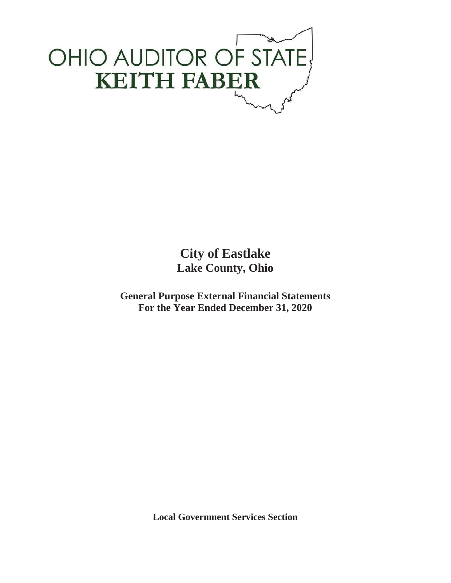

**City of Eastlake Lake County, Ohio** 

**General Purpose External Financial Statements For the Year Ended December 31, 2020** 

**Local Government Services Section**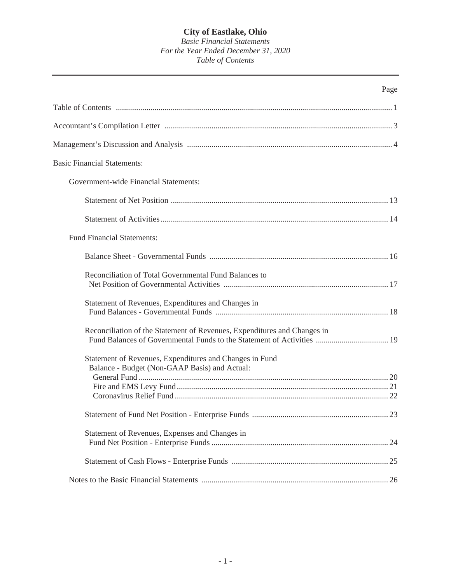# *Basic Financial Statements For the Year Ended December 31, 2020 Table of Contents*

# Page

| <b>Basic Financial Statements:</b>                                                                       |
|----------------------------------------------------------------------------------------------------------|
| Government-wide Financial Statements:                                                                    |
|                                                                                                          |
|                                                                                                          |
| <b>Fund Financial Statements:</b>                                                                        |
|                                                                                                          |
| Reconciliation of Total Governmental Fund Balances to                                                    |
| Statement of Revenues, Expenditures and Changes in                                                       |
| Reconciliation of the Statement of Revenues, Expenditures and Changes in                                 |
| Statement of Revenues, Expenditures and Changes in Fund<br>Balance - Budget (Non-GAAP Basis) and Actual: |
|                                                                                                          |
| Statement of Revenues, Expenses and Changes in                                                           |
|                                                                                                          |
|                                                                                                          |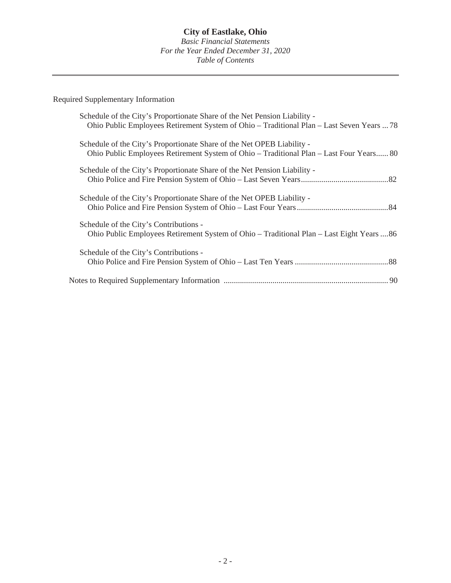Required Supplementary Information

| Schedule of the City's Proportionate Share of the Net Pension Liability -<br>Ohio Public Employees Retirement System of Ohio – Traditional Plan – Last Seven Years  78 |
|------------------------------------------------------------------------------------------------------------------------------------------------------------------------|
| Schedule of the City's Proportionate Share of the Net OPEB Liability -<br>Ohio Public Employees Retirement System of Ohio - Traditional Plan - Last Four Years 80      |
| Schedule of the City's Proportionate Share of the Net Pension Liability -                                                                                              |
| Schedule of the City's Proportionate Share of the Net OPEB Liability -                                                                                                 |
| Schedule of the City's Contributions -<br>Ohio Public Employees Retirement System of Ohio – Traditional Plan – Last Eight Years  86                                    |
| Schedule of the City's Contributions -                                                                                                                                 |
|                                                                                                                                                                        |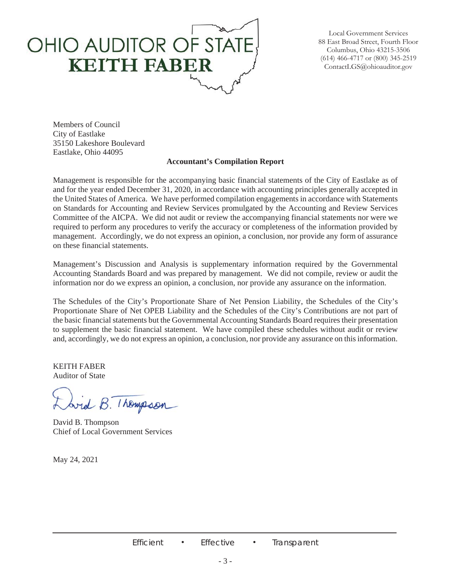

Local Government Services 88 East Broad Street, Fourth Floor Columbus, Ohio 43215-3506 (614) 466-4717 or (800) 345-2519 ContactLGS@ohioauditor.gov

Members of Council City of Eastlake 35150 Lakeshore Boulevard Eastlake, Ohio 44095

# **Accountant's Compilation Report**

Management is responsible for the accompanying basic financial statements of the City of Eastlake as of and for the year ended December 31, 2020, in accordance with accounting principles generally accepted in the United States of America. We have performed compilation engagements in accordance with Statements on Standards for Accounting and Review Services promulgated by the Accounting and Review Services Committee of the AICPA. We did not audit or review the accompanying financial statements nor were we required to perform any procedures to verify the accuracy or completeness of the information provided by management. Accordingly, we do not express an opinion, a conclusion, nor provide any form of assurance on these financial statements.

Management's Discussion and Analysis is supplementary information required by the Governmental Accounting Standards Board and was prepared by management. We did not compile, review or audit the information nor do we express an opinion, a conclusion, nor provide any assurance on the information.

The Schedules of the City's Proportionate Share of Net Pension Liability, the Schedules of the City's Proportionate Share of Net OPEB Liability and the Schedules of the City's Contributions are not part of the basic financial statements but the Governmental Accounting Standards Board requires their presentation to supplement the basic financial statement. We have compiled these schedules without audit or review and, accordingly, we do not express an opinion, a conclusion, nor provide any assurance on this information.

KEITH FABER Auditor of State

vid B. Thompson

David B. Thompson Chief of Local Government Services

May 24, 2021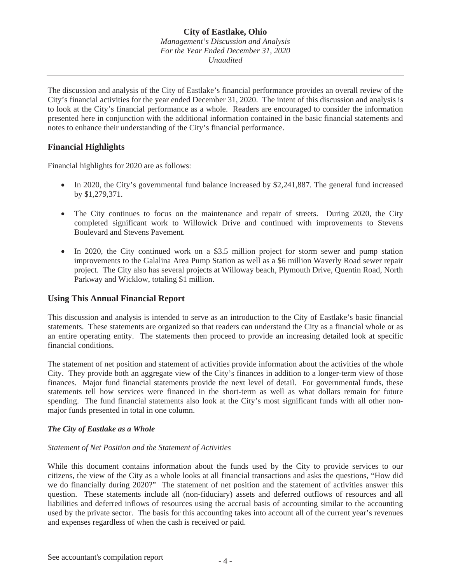The discussion and analysis of the City of Eastlake's financial performance provides an overall review of the City's financial activities for the year ended December 31, 2020. The intent of this discussion and analysis is to look at the City's financial performance as a whole. Readers are encouraged to consider the information presented here in conjunction with the additional information contained in the basic financial statements and notes to enhance their understanding of the City's financial performance.

# **Financial Highlights**

Financial highlights for 2020 are as follows:

- In 2020, the City's governmental fund balance increased by \$2,241,887. The general fund increased by \$1,279,371.
- The City continues to focus on the maintenance and repair of streets. During 2020, the City completed significant work to Willowick Drive and continued with improvements to Stevens Boulevard and Stevens Pavement.
- In 2020, the City continued work on a \$3.5 million project for storm sewer and pump station improvements to the Galalina Area Pump Station as well as a \$6 million Waverly Road sewer repair project. The City also has several projects at Willoway beach, Plymouth Drive, Quentin Road, North Parkway and Wicklow, totaling \$1 million.

# **Using This Annual Financial Report**

This discussion and analysis is intended to serve as an introduction to the City of Eastlake's basic financial statements. These statements are organized so that readers can understand the City as a financial whole or as an entire operating entity. The statements then proceed to provide an increasing detailed look at specific financial conditions.

The statement of net position and statement of activities provide information about the activities of the whole City. They provide both an aggregate view of the City's finances in addition to a longer-term view of those finances. Major fund financial statements provide the next level of detail. For governmental funds, these statements tell how services were financed in the short-term as well as what dollars remain for future spending. The fund financial statements also look at the City's most significant funds with all other nonmajor funds presented in total in one column.

# *The City of Eastlake as a Whole*

# *Statement of Net Position and the Statement of Activities*

While this document contains information about the funds used by the City to provide services to our citizens, the view of the City as a whole looks at all financial transactions and asks the questions, "How did we do financially during 2020?" The statement of net position and the statement of activities answer this question. These statements include all (non-fiduciary) assets and deferred outflows of resources and all liabilities and deferred inflows of resources using the accrual basis of accounting similar to the accounting used by the private sector. The basis for this accounting takes into account all of the current year's revenues and expenses regardless of when the cash is received or paid.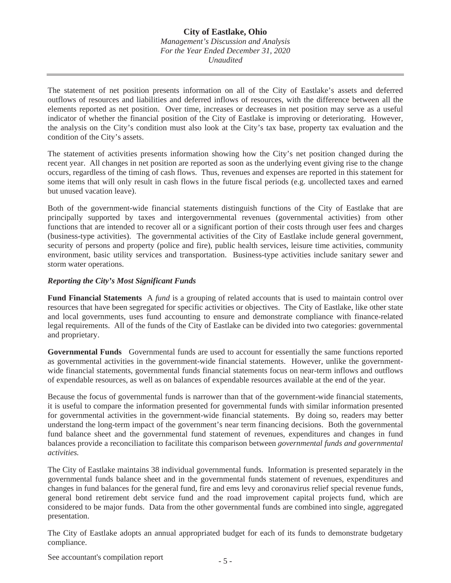The statement of net position presents information on all of the City of Eastlake's assets and deferred outflows of resources and liabilities and deferred inflows of resources, with the difference between all the elements reported as net position. Over time, increases or decreases in net position may serve as a useful indicator of whether the financial position of the City of Eastlake is improving or deteriorating. However, the analysis on the City's condition must also look at the City's tax base, property tax evaluation and the condition of the City's assets.

The statement of activities presents information showing how the City's net position changed during the recent year. All changes in net position are reported as soon as the underlying event giving rise to the change occurs, regardless of the timing of cash flows. Thus, revenues and expenses are reported in this statement for some items that will only result in cash flows in the future fiscal periods (e.g. uncollected taxes and earned but unused vacation leave).

Both of the government-wide financial statements distinguish functions of the City of Eastlake that are principally supported by taxes and intergovernmental revenues (governmental activities) from other functions that are intended to recover all or a significant portion of their costs through user fees and charges (business-type activities). The governmental activities of the City of Eastlake include general government, security of persons and property (police and fire), public health services, leisure time activities, community environment, basic utility services and transportation. Business-type activities include sanitary sewer and storm water operations.

# *Reporting the City's Most Significant Funds*

**Fund Financial Statements** A *fund* is a grouping of related accounts that is used to maintain control over resources that have been segregated for specific activities or objectives. The City of Eastlake, like other state and local governments, uses fund accounting to ensure and demonstrate compliance with finance-related legal requirements. All of the funds of the City of Eastlake can be divided into two categories: governmental and proprietary.

**Governmental Funds** Governmental funds are used to account for essentially the same functions reported as governmental activities in the government-wide financial statements. However, unlike the governmentwide financial statements, governmental funds financial statements focus on near-term inflows and outflows of expendable resources, as well as on balances of expendable resources available at the end of the year.

Because the focus of governmental funds is narrower than that of the government-wide financial statements, it is useful to compare the information presented for governmental funds with similar information presented for governmental activities in the government-wide financial statements. By doing so, readers may better understand the long-term impact of the government's near term financing decisions. Both the governmental fund balance sheet and the governmental fund statement of revenues, expenditures and changes in fund balances provide a reconciliation to facilitate this comparison between *governmental funds and governmental activities.* 

The City of Eastlake maintains 38 individual governmental funds. Information is presented separately in the governmental funds balance sheet and in the governmental funds statement of revenues, expenditures and changes in fund balances for the general fund, fire and ems levy and coronavirus relief special revenue funds, general bond retirement debt service fund and the road improvement capital projects fund, which are considered to be major funds. Data from the other governmental funds are combined into single, aggregated presentation.

The City of Eastlake adopts an annual appropriated budget for each of its funds to demonstrate budgetary compliance.

- 5 - See accountant's compilation report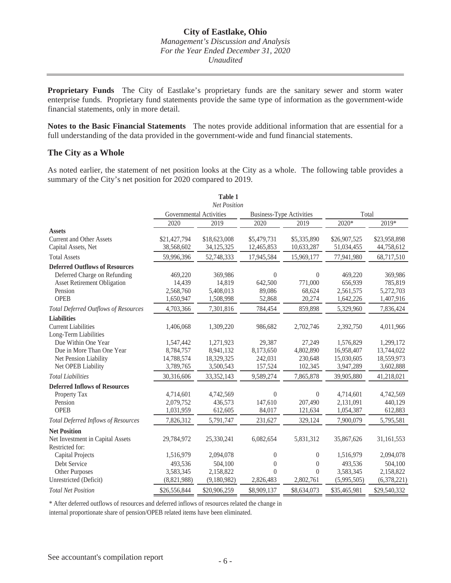**Proprietary Funds** The City of Eastlake's proprietary funds are the sanitary sewer and storm water enterprise funds. Proprietary fund statements provide the same type of information as the government-wide financial statements, only in more detail.

**Notes to the Basic Financial Statements** The notes provide additional information that are essential for a full understanding of the data provided in the government-wide and fund financial statements.

# **The City as a Whole**

As noted earlier, the statement of net position looks at the City as a whole. The following table provides a summary of the City's net position for 2020 compared to 2019.

|                                             |                         | Table 1<br><b>Net Position</b> |                                 |                |              |              |
|---------------------------------------------|-------------------------|--------------------------------|---------------------------------|----------------|--------------|--------------|
|                                             | Governmental Activities |                                | <b>Business-Type Activities</b> |                | Total        |              |
|                                             | 2020                    | 2019                           | 2020                            | 2019           | 2020*        | 2019*        |
| <b>Assets</b>                               |                         |                                |                                 |                |              |              |
| <b>Current and Other Assets</b>             | \$21,427,794            | \$18,623,008                   | \$5,479,731                     | \$5,335,890    | \$26,907,525 | \$23,958,898 |
| Capital Assets, Net                         | 38,568,602              | 34,125,325                     | 12,465,853                      | 10,633,287     | 51,034,455   | 44,758,612   |
| <b>Total Assets</b>                         | 59,996,396              | 52,748,333                     | 17,945,584                      | 15,969,177     | 77,941,980   | 68,717,510   |
| <b>Deferred Outflows of Resources</b>       |                         |                                |                                 |                |              |              |
| Deferred Charge on Refunding                | 469,220                 | 369,986                        | $\theta$                        | $\Omega$       | 469,220      | 369,986      |
| Asset Retirement Obligation                 | 14,439                  | 14,819                         | 642,500                         | 771,000        | 656,939      | 785,819      |
| Pension                                     | 2,568,760               | 5,408,013                      | 89,086                          | 68,624         | 2,561,575    | 5,272,703    |
| <b>OPEB</b>                                 | 1,650,947               | 1,508,998                      | 52,868                          | 20,274         | 1,642,226    | 1,407,916    |
| <b>Total Deferred Outflows of Resources</b> | 4,703,366               | 7,301,816                      | 784,454                         | 859,898        | 5,329,960    | 7,836,424    |
| <b>Liabilities</b>                          |                         |                                |                                 |                |              |              |
| <b>Current Liabilities</b>                  | 1,406,068               | 1,309,220                      | 986,682                         | 2,702,746      | 2,392,750    | 4,011,966    |
| Long-Term Liabilities                       |                         |                                |                                 |                |              |              |
| Due Within One Year                         | 1,547,442               | 1,271,923                      | 29,387                          | 27,249         | 1,576,829    | 1,299,172    |
| Due in More Than One Year                   | 8,784,757               | 8,941,132                      | 8,173,650                       | 4,802,890      | 16,958,407   | 13,744,022   |
| Net Pension Liability                       | 14,788,574              | 18,329,325                     | 242,031                         | 230,648        | 15,030,605   | 18,559,973   |
| Net OPEB Liability                          | 3,789,765               | 3,500,543                      | 157,524                         | 102,345        | 3,947,289    | 3,602,888    |
| <b>Total Liabilities</b>                    | 30,316,606              | 33, 352, 143                   | 9,589,274                       | 7,865,878      | 39,905,880   | 41,218,021   |
| <b>Deferred Inflows of Resources</b>        |                         |                                |                                 |                |              |              |
| Property Tax                                | 4,714,601               | 4,742,569                      | $\theta$                        | $\overline{0}$ | 4,714,601    | 4,742,569    |
| Pension                                     | 2,079,752               | 436.573                        | 147,610                         | 207,490        | 2,131,091    | 440,129      |
| <b>OPEB</b>                                 | 1,031,959               | 612,605                        | 84,017                          | 121,634        | 1,054,387    | 612,883      |
| <b>Total Deferred Inflows of Resources</b>  | 7,826,312               | 5,791,747                      | 231,627                         | 329,124        | 7,900,079    | 5,795,581    |
| <b>Net Position</b>                         |                         |                                |                                 |                |              |              |
| Net Investment in Capital Assets            | 29,784,972              | 25,330,241                     | 6,082,654                       | 5,831,312      | 35,867,626   | 31,161,553   |
| Restricted for:                             |                         |                                |                                 |                |              |              |
| Capital Projects                            | 1,516,979               | 2,094,078                      | $\theta$                        | $\left($       | 1,516,979    | 2,094,078    |
| Debt Service                                | 493,536                 | 504,100                        | $\theta$                        | 0              | 493.536      | 504,100      |
| Other Purposes                              | 3,583,345               | 2,158,822                      | $\theta$                        | $\Omega$       | 3,583,345    | 2,158,822    |
| Unrestricted (Deficit)                      | (8,821,988)             | (9,180,982)                    | 2,826,483                       | 2,802,761      | (5,995,505)  | (6,378,221)  |
| <b>Total Net Position</b>                   | \$26,556,844            | \$20,906.259                   | \$8,909,137                     | \$8,634,073    | \$35,465,981 | \$29,540,332 |

\* After deferred outflows of resources and deferred inflows of resources related the change in

internal proportionate share of pension/OPEB related items have been eliminated.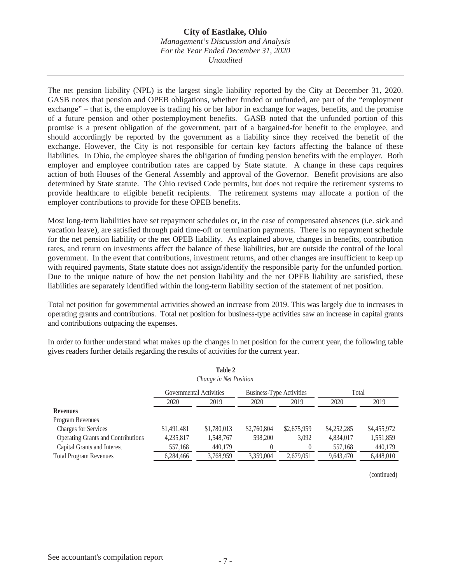The net pension liability (NPL) is the largest single liability reported by the City at December 31, 2020. GASB notes that pension and OPEB obligations, whether funded or unfunded, are part of the "employment exchange" – that is, the employee is trading his or her labor in exchange for wages, benefits, and the promise of a future pension and other postemployment benefits. GASB noted that the unfunded portion of this promise is a present obligation of the government, part of a bargained-for benefit to the employee, and should accordingly be reported by the government as a liability since they received the benefit of the exchange. However, the City is not responsible for certain key factors affecting the balance of these liabilities. In Ohio, the employee shares the obligation of funding pension benefits with the employer. Both employer and employee contribution rates are capped by State statute. A change in these caps requires action of both Houses of the General Assembly and approval of the Governor. Benefit provisions are also determined by State statute. The Ohio revised Code permits, but does not require the retirement systems to provide healthcare to eligible benefit recipients. The retirement systems may allocate a portion of the employer contributions to provide for these OPEB benefits.

Most long-term liabilities have set repayment schedules or, in the case of compensated absences (i.e. sick and vacation leave), are satisfied through paid time-off or termination payments. There is no repayment schedule for the net pension liability or the net OPEB liability. As explained above, changes in benefits, contribution rates, and return on investments affect the balance of these liabilities, but are outside the control of the local government. In the event that contributions, investment returns, and other changes are insufficient to keep up with required payments, State statute does not assign/identify the responsible party for the unfunded portion. Due to the unique nature of how the net pension liability and the net OPEB liability are satisfied, these liabilities are separately identified within the long-term liability section of the statement of net position.

Total net position for governmental activities showed an increase from 2019. This was largely due to increases in operating grants and contributions. Total net position for business-type activities saw an increase in capital grants and contributions outpacing the expenses.

In order to further understand what makes up the changes in net position for the current year, the following table gives readers further details regarding the results of activities for the current year.

|                                    |                         | Table 2<br>Change in Net Position |                          |             |             |             |
|------------------------------------|-------------------------|-----------------------------------|--------------------------|-------------|-------------|-------------|
|                                    | Governmental Activities |                                   | Business-Type Activities |             | Total       |             |
|                                    | 2020                    | 2019                              | 2020                     | 2019        | 2020        | 2019        |
| <b>Revenues</b>                    |                         |                                   |                          |             |             |             |
| Program Revenues                   |                         |                                   |                          |             |             |             |
| <b>Charges for Services</b>        | \$1,491,481             | \$1,780,013                       | \$2,760,804              | \$2,675,959 | \$4,252,285 | \$4,455,972 |
| Operating Grants and Contributions | 4,235,817               | 1,548,767                         | 598,200                  | 3,092       | 4,834,017   | 1,551,859   |
| Capital Grants and Interest        | 557,168                 | 440,179                           |                          |             | 557,168     | 440,179     |
| <b>Total Program Revenues</b>      | 6,284,466               | 3,768,959                         | 3,359,004                | 2,679,051   | 9,643,470   | 6,448,010   |

(continued)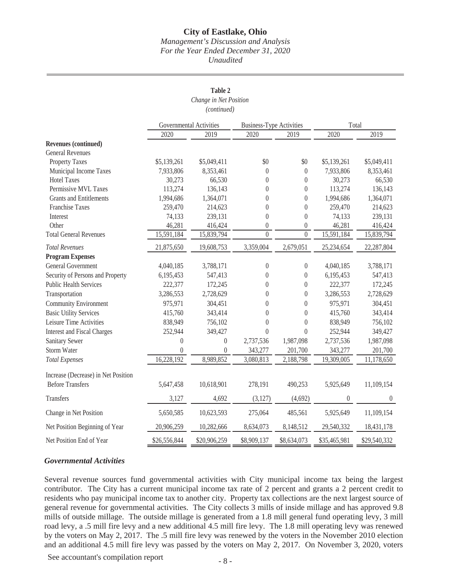*Management's Discussion and Analysis For the Year Ended December 31, 2020 Unaudited*

| ۰,<br>.,<br>۰.<br>×<br>۰, |  |
|---------------------------|--|
|---------------------------|--|

*Change in Net Position (continued)*

|                                     | Governmental Activities |                  | <b>Business-Type Activities</b> |                  | Total            |              |
|-------------------------------------|-------------------------|------------------|---------------------------------|------------------|------------------|--------------|
|                                     | 2020                    | 2019             | 2020                            | 2019             | 2020             | 2019         |
| Revenues (continued)                |                         |                  |                                 |                  |                  |              |
| <b>General Revenues</b>             |                         |                  |                                 |                  |                  |              |
| <b>Property Taxes</b>               | \$5,139,261             | \$5,049,411      | \$0                             | \$0              | \$5,139,261      | \$5,049,411  |
| Municipal Income Taxes              | 7,933,806               | 8,353,461        | $\boldsymbol{0}$                | $\theta$         | 7,933,806        | 8,353,461    |
| <b>Hotel Taxes</b>                  | 30,273                  | 66,530           | $\boldsymbol{0}$                | $\boldsymbol{0}$ | 30,273           | 66,530       |
| Permissive MVL Taxes                | 113,274                 | 136,143          | $\boldsymbol{0}$                | $\boldsymbol{0}$ | 113,274          | 136,143      |
| <b>Grants and Entitlements</b>      | 1,994,686               | 1,364,071        | $\boldsymbol{0}$                | $\boldsymbol{0}$ | 1,994,686        | 1,364,071    |
| <b>Franchise Taxes</b>              | 259,470                 | 214,623          | $\boldsymbol{0}$                | $\boldsymbol{0}$ | 259,470          | 214,623      |
| Interest                            | 74,133                  | 239,131          | $\boldsymbol{0}$                | $\overline{0}$   | 74,133           | 239,131      |
| Other                               | 46,281                  | 416,424          | $\boldsymbol{0}$                | $\boldsymbol{0}$ | 46,281           | 416,424      |
| <b>Total General Revenues</b>       | 15,591,184              | 15,839,794       | $\overline{0}$                  | $\overline{0}$   | 15,591,184       | 15,839,794   |
| <b>Total Revenues</b>               | 21,875,650              | 19,608,753       | 3,359,004                       | 2,679,051        | 25,234,654       | 22,287,804   |
| <b>Program Expenses</b>             |                         |                  |                                 |                  |                  |              |
| <b>General Government</b>           | 4,040,185               | 3,788,171        | $\boldsymbol{0}$                | $\theta$         | 4,040,185        | 3,788,171    |
| Security of Persons and Property    | 6,195,453               | 547,413          | $\boldsymbol{0}$                | $\boldsymbol{0}$ | 6,195,453        | 547,413      |
| <b>Public Health Services</b>       | 222,377                 | 172,245          | $\theta$                        | $\theta$         | 222,377          | 172,245      |
| Transportation                      | 3,286,553               | 2,728,629        | $\boldsymbol{0}$                | $\boldsymbol{0}$ | 3,286,553        | 2,728,629    |
| <b>Community Environment</b>        | 975,971                 | 304,451          | $\theta$                        | $\theta$         | 975,971          | 304,451      |
| <b>Basic Utility Services</b>       | 415,760                 | 343,414          | $\theta$                        | $\theta$         | 415,760          | 343,414      |
| Leisure Time Activities             | 838,949                 | 756,102          | $\boldsymbol{0}$                | $\theta$         | 838,949          | 756,102      |
| <b>Interest and Fiscal Charges</b>  | 252,944                 | 349,427          | $\theta$                        | $\theta$         | 252,944          | 349,427      |
| <b>Sanitary Sewer</b>               | $\overline{0}$          | $\boldsymbol{0}$ | 2,737,536                       | 1,987,098        | 2,737,536        | 1,987,098    |
| <b>Storm Water</b>                  | $\theta$                | $\theta$         | 343,277                         | 201,700          | 343,277          | 201,700      |
| <b>Total Expenses</b>               | 16,228,192              | 8,989,852        | 3,080,813                       | 2,188,798        | 19,309,005       | 11,178,650   |
| Increase (Decrease) in Net Position |                         |                  |                                 |                  |                  |              |
| <b>Before Transfers</b>             | 5,647,458               | 10,618,901       | 278,191                         | 490,253          | 5,925,649        | 11,109,154   |
| Transfers                           | 3,127                   | 4,692            | (3,127)                         | (4,692)          | $\boldsymbol{0}$ | $\theta$     |
| Change in Net Position              | 5,650,585               | 10,623,593       | 275,064                         | 485,561          | 5,925,649        | 11,109,154   |
| Net Position Beginning of Year      | 20,906,259              | 10,282,666       | 8,634,073                       | 8,148,512        | 29,540,332       | 18,431,178   |
| Net Position End of Year            | \$26,556,844            | \$20,906,259     | \$8,909,137                     | \$8,634,073      | \$35,465,981     | \$29,540,332 |

## *Governmental Activities*

Several revenue sources fund governmental activities with City municipal income tax being the largest contributor. The City has a current municipal income tax rate of 2 percent and grants a 2 percent credit to residents who pay municipal income tax to another city. Property tax collections are the next largest source of general revenue for governmental activities. The City collects 3 mills of inside millage and has approved 9.8 mills of outside millage. The outside millage is generated from a 1.8 mill general fund operating levy, 3 mill road levy, a .5 mill fire levy and a new additional 4.5 mill fire levy. The 1.8 mill operating levy was renewed by the voters on May 2, 2017. The .5 mill fire levy was renewed by the voters in the November 2010 election and an additional 4.5 mill fire levy was passed by the voters on May 2, 2017. On November 3, 2020, voters

See accountant's compilation report  $-8$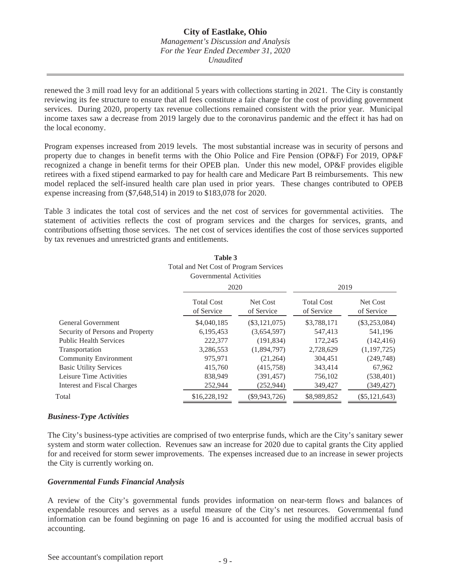renewed the 3 mill road levy for an additional 5 years with collections starting in 2021. The City is constantly reviewing its fee structure to ensure that all fees constitute a fair charge for the cost of providing government services. During 2020, property tax revenue collections remained consistent with the prior year. Municipal income taxes saw a decrease from 2019 largely due to the coronavirus pandemic and the effect it has had on the local economy.

Program expenses increased from 2019 levels. The most substantial increase was in security of persons and property due to changes in benefit terms with the Ohio Police and Fire Pension (OP&F) For 2019, OP&F recognized a change in benefit terms for their OPEB plan. Under this new model, OP&F provides eligible retirees with a fixed stipend earmarked to pay for health care and Medicare Part B reimbursements. This new model replaced the self-insured health care plan used in prior years. These changes contributed to OPEB expense increasing from (\$7,648,514) in 2019 to \$183,078 for 2020.

Table 3 indicates the total cost of services and the net cost of services for governmental activities. The statement of activities reflects the cost of program services and the charges for services, grants, and contributions offsetting those services. The net cost of services identifies the cost of those services supported by tax revenues and unrestricted grants and entitlements.

**Table 3** 

|                                  | Table 3<br>Total and Net Cost of Program Services<br>Governmental Activities<br>2020 |                        | 2019                            |                        |
|----------------------------------|--------------------------------------------------------------------------------------|------------------------|---------------------------------|------------------------|
|                                  | <b>Total Cost</b><br>of Service                                                      | Net Cost<br>of Service | <b>Total Cost</b><br>of Service | Net Cost<br>of Service |
| General Government               | \$4,040,185                                                                          | $(\$3,121,075)$        | \$3,788,171                     | $(\$3,253,084)$        |
| Security of Persons and Property | 6,195,453                                                                            | (3,654,597)            | 547,413                         | 541.196                |
| <b>Public Health Services</b>    | 222,377                                                                              | (191, 834)             | 172,245                         | (142, 416)             |
| Transportation                   | 3,286,553                                                                            | (1,894,797)            | 2,728,629                       | (1,197,725)            |
| <b>Community Environment</b>     | 975,971                                                                              | (21, 264)              | 304,451                         | (249, 748)             |
| <b>Basic Utility Services</b>    | 415,760                                                                              | (415, 758)             | 343,414                         | 67,962                 |
| Leisure Time Activities          | 838,949                                                                              | (391, 457)             | 756,102                         | (538, 401)             |
| Interest and Fiscal Charges      | 252,944                                                                              | (252, 944)             | 349,427                         | (349, 427)             |
| Total                            | \$16,228,192                                                                         | $(\$9,943,726)$        | \$8,989,852                     | $(\$5,121,643)$        |

# *Business-Type Activities*

The City's business-type activities are comprised of two enterprise funds, which are the City's sanitary sewer system and storm water collection. Revenues saw an increase for 2020 due to capital grants the City applied for and received for storm sewer improvements. The expenses increased due to an increase in sewer projects the City is currently working on.

# *Governmental Funds Financial Analysis*

A review of the City's governmental funds provides information on near-term flows and balances of expendable resources and serves as a useful measure of the City's net resources. Governmental fund information can be found beginning on page 16 and is accounted for using the modified accrual basis of accounting.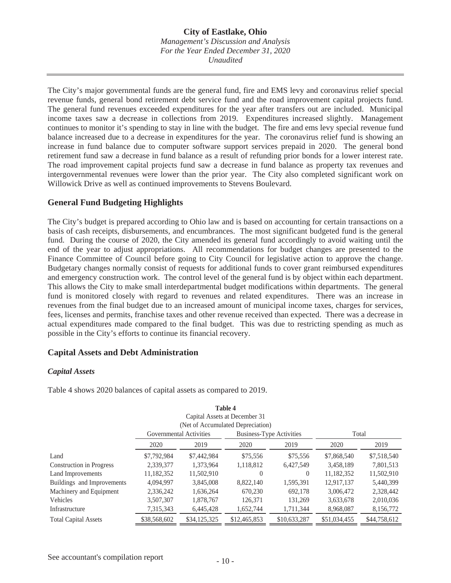The City's major governmental funds are the general fund, fire and EMS levy and coronavirus relief special revenue funds, general bond retirement debt service fund and the road improvement capital projects fund. The general fund revenues exceeded expenditures for the year after transfers out are included. Municipal income taxes saw a decrease in collections from 2019. Expenditures increased slightly. Management continues to monitor it's spending to stay in line with the budget. The fire and ems levy special revenue fund balance increased due to a decrease in expenditures for the year. The coronavirus relief fund is showing an increase in fund balance due to computer software support services prepaid in 2020. The general bond retirement fund saw a decrease in fund balance as a result of refunding prior bonds for a lower interest rate. The road improvement capital projects fund saw a decrease in fund balance as property tax revenues and intergovernmental revenues were lower than the prior year. The City also completed significant work on Willowick Drive as well as continued improvements to Stevens Boulevard.

# **General Fund Budgeting Highlights**

The City's budget is prepared according to Ohio law and is based on accounting for certain transactions on a basis of cash receipts, disbursements, and encumbrances. The most significant budgeted fund is the general fund. During the course of 2020, the City amended its general fund accordingly to avoid waiting until the end of the year to adjust appropriations. All recommendations for budget changes are presented to the Finance Committee of Council before going to City Council for legislative action to approve the change. Budgetary changes normally consist of requests for additional funds to cover grant reimbursed expenditures and emergency construction work. The control level of the general fund is by object within each department. This allows the City to make small interdepartmental budget modifications within departments. The general fund is monitored closely with regard to revenues and related expenditures. There was an increase in revenues from the final budget due to an increased amount of municipal income taxes, charges for services, fees, licenses and permits, franchise taxes and other revenue received than expected. There was a decrease in actual expenditures made compared to the final budget. This was due to restricting spending as much as possible in the City's efforts to continue its financial recovery.

# **Capital Assets and Debt Administration**

# *Capital Assets*

Table 4 shows 2020 balances of capital assets as compared to 2019.

| Table 4<br>Capital Assets at December 31<br>(Net of Accumulated Depreciation) |                         |              |                                 |              |              |              |
|-------------------------------------------------------------------------------|-------------------------|--------------|---------------------------------|--------------|--------------|--------------|
|                                                                               | Governmental Activities |              | <b>Business-Type Activities</b> |              | Total        |              |
|                                                                               | 2020                    | 2019         | 2020                            | 2019         | 2020         | 2019         |
| Land                                                                          | \$7,792,984             | \$7,442,984  | \$75,556                        | \$75,556     | \$7,868,540  | \$7,518,540  |
| Construction in Progress                                                      | 2,339,377               | 1.373.964    | 1,118,812                       | 6,427,549    | 3,458,189    | 7,801,513    |
| Land Improvements                                                             | 11,182,352              | 11,502,910   | $\theta$                        | $\bf{0}$     | 11,182,352   | 11,502,910   |
| Buildings and Improvements                                                    | 4,094,997               | 3,845,008    | 8,822,140                       | 1,595,391    | 12,917,137   | 5,440,399    |
| Machinery and Equipment                                                       | 2,336,242               | 1,636,264    | 670.230                         | 692.178      | 3,006,472    | 2,328,442    |
| <b>Vehicles</b>                                                               | 3,507,307               | 1,878,767    | 126,371                         | 131,269      | 3,633,678    | 2,010,036    |
| Infrastructure                                                                | 7,315,343               | 6,445,428    | 1,652,744                       | 1,711,344    | 8,968,087    | 8,156,772    |
| <b>Total Capital Assets</b>                                                   | \$38,568,602            | \$34,125,325 | \$12,465,853                    | \$10,633,287 | \$51,034,455 | \$44,758,612 |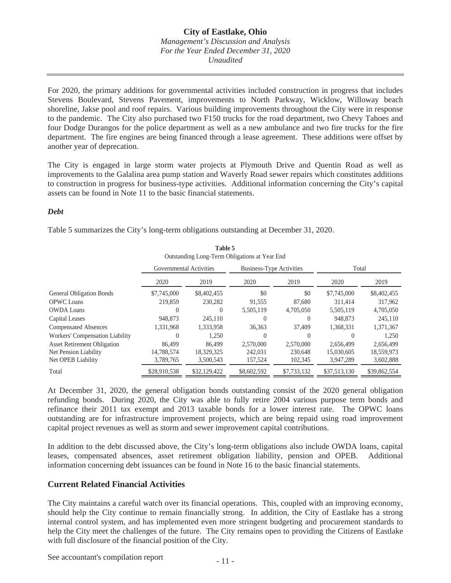For 2020, the primary additions for governmental activities included construction in progress that includes Stevens Boulevard, Stevens Pavement, improvements to North Parkway, Wicklow, Willoway beach shoreline, Jakse pool and roof repairs. Various building improvements throughout the City were in response to the pandemic. The City also purchased two F150 trucks for the road department, two Chevy Tahoes and four Dodge Durangos for the police department as well as a new ambulance and two fire trucks for the fire department. The fire engines are being financed through a lease agreement. These additions were offset by another year of deprecation.

The City is engaged in large storm water projects at Plymouth Drive and Quentin Road as well as improvements to the Galalina area pump station and Waverly Road sewer repairs which constitutes additions to construction in progress for business-type activities. Additional information concerning the City's capital assets can be found in Note 11 to the basic financial statements.

## *Debt*

Table 5 summarizes the City's long-term obligations outstanding at December 31, 2020.

| 1 avie 5<br>Outstanding Long-Term Obligations at Year End |                         |              |             |                                 |              |              |  |
|-----------------------------------------------------------|-------------------------|--------------|-------------|---------------------------------|--------------|--------------|--|
|                                                           | Governmental Activities |              |             | <b>Business-Type Activities</b> |              | Total        |  |
|                                                           | 2020                    | 2019         | 2020        | 2019                            | 2020         | 2019         |  |
| <b>General Obligation Bonds</b>                           | \$7,745,000             | \$8,402,455  | \$0         | \$0                             | \$7,745,000  | \$8,402,455  |  |
| <b>OPWC</b> Loans                                         | 219,859                 | 230,282      | 91,555      | 87,680                          | 311,414      | 317,962      |  |
| <b>OWDA Loans</b>                                         |                         | $\theta$     | 5,505,119   | 4,705,050                       | 5,505,119    | 4,705,050    |  |
| Capital Leases                                            | 948,873                 | 245.110      |             |                                 | 948,873      | 245,110      |  |
| <b>Compensated Absences</b>                               | 1,331,968               | 1,333,958    | 36,363      | 37.409                          | 1,368,331    | 1,371,367    |  |
| Workers' Compensation Liability                           |                         | 1.250        |             |                                 | $\Omega$     | 1,250        |  |
| <b>Asset Retirement Obligation</b>                        | 86,499                  | 86.499       | 2.570,000   | 2.570,000                       | 2,656,499    | 2,656,499    |  |
| Net Pension Liability                                     | 14,788,574              | 18,329,325   | 242,031     | 230,648                         | 15,030,605   | 18,559,973   |  |
| Net OPEB Liability                                        | 3,789,765               | 3,500,543    | 157,524     | 102,345                         | 3,947,289    | 3,602,888    |  |
| Total                                                     | \$28,910,538            | \$32,129,422 | \$8,602,592 | \$7,733,132                     | \$37,513,130 | \$39,862,554 |  |

**Table 5**

At December 31, 2020, the general obligation bonds outstanding consist of the 2020 general obligation refunding bonds. During 2020, the City was able to fully retire 2004 various purpose term bonds and refinance their 2011 tax exempt and 2013 taxable bonds for a lower interest rate. The OPWC loans outstanding are for infrastructure improvement projects, which are being repaid using road improvement capital project revenues as well as storm and sewer improvement capital contributions.

In addition to the debt discussed above, the City's long-term obligations also include OWDA loans, capital leases, compensated absences, asset retirement obligation liability, pension and OPEB. Additional information concerning debt issuances can be found in Note 16 to the basic financial statements.

# **Current Related Financial Activities**

The City maintains a careful watch over its financial operations. This, coupled with an improving economy, should help the City continue to remain financially strong. In addition, the City of Eastlake has a strong internal control system, and has implemented even more stringent budgeting and procurement standards to help the City meet the challenges of the future. The City remains open to providing the Citizens of Eastlake with full disclosure of the financial position of the City.

See accountant's compilation report [1] -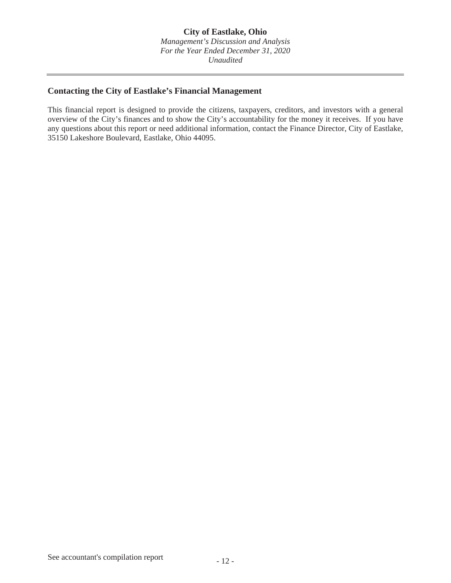# **Contacting the City of Eastlake's Financial Management**

This financial report is designed to provide the citizens, taxpayers, creditors, and investors with a general overview of the City's finances and to show the City's accountability for the money it receives. If you have any questions about this report or need additional information, contact the Finance Director, City of Eastlake, 35150 Lakeshore Boulevard, Eastlake, Ohio 44095.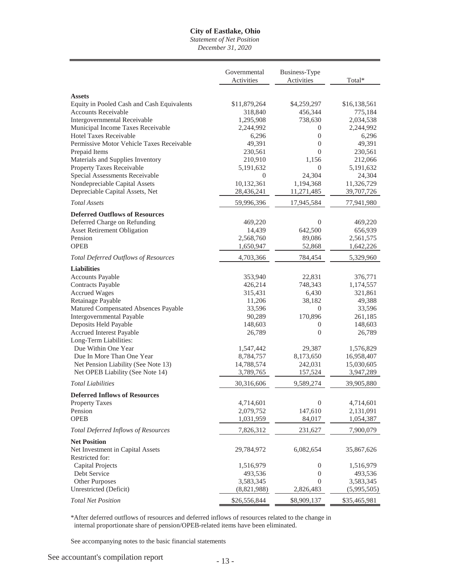*Statement of Net Position December 31, 2020*

|                                               | Governmental<br>Activities | Business-Type<br>Activities | Total*       |
|-----------------------------------------------|----------------------------|-----------------------------|--------------|
| <b>Assets</b>                                 |                            |                             |              |
| Equity in Pooled Cash and Cash Equivalents    | \$11,879,264               | \$4,259,297                 | \$16,138,561 |
| <b>Accounts Receivable</b>                    | 318,840                    | 456,344                     | 775,184      |
| Intergovernmental Receivable                  | 1,295,908                  | 738,630                     | 2,034,538    |
| Municipal Income Taxes Receivable             | 2,244,992                  | 0                           | 2,244,992    |
| <b>Hotel Taxes Receivable</b>                 | 6,296                      | $\boldsymbol{0}$            | 6,296        |
| Permissive Motor Vehicle Taxes Receivable     | 49,391                     | $\overline{0}$              | 49,391       |
| Prepaid Items                                 | 230,561                    | $\overline{0}$              | 230,561      |
| Materials and Supplies Inventory              | 210,910                    | 1,156                       | 212,066      |
| Property Taxes Receivable                     | 5,191,632                  | $\Omega$                    | 5,191,632    |
| Special Assessments Receivable                | $\Omega$                   | 24,304                      | 24,304       |
| Nondepreciable Capital Assets                 | 10,132,361                 | 1,194,368                   | 11,326,729   |
| Depreciable Capital Assets, Net               | 28,436,241                 | 11,271,485                  | 39,707,726   |
| <b>Total Assets</b>                           | 59,996,396                 | 17,945,584                  | 77,941,980   |
|                                               |                            |                             |              |
| <b>Deferred Outflows of Resources</b>         |                            |                             |              |
| Deferred Charge on Refunding                  | 469,220                    | $\theta$                    | 469,220      |
| <b>Asset Retirement Obligation</b><br>Pension | 14,439                     | 642,500                     | 656,939      |
|                                               | 2,568,760                  | 89,086                      | 2,561,575    |
| <b>OPEB</b>                                   | 1,650,947                  | 52,868                      | 1,642,226    |
| <b>Total Deferred Outflows of Resources</b>   | 4,703,366                  | 784,454                     | 5,329,960    |
| <b>Liabilities</b>                            |                            |                             |              |
| <b>Accounts Payable</b>                       | 353,940                    | 22,831                      | 376,771      |
| <b>Contracts Payable</b>                      | 426,214                    | 748,343                     | 1,174,557    |
| <b>Accrued Wages</b>                          | 315,431                    | 6,430                       | 321,861      |
| Retainage Payable                             | 11,206                     | 38,182                      | 49,388       |
| Matured Compensated Absences Payable          | 33,596                     | $\theta$                    | 33,596       |
| Intergovernmental Payable                     | 90,289                     | 170,896                     | 261,185      |
| Deposits Held Payable                         | 148,603                    | $\boldsymbol{0}$            | 148,603      |
| Accrued Interest Payable                      | 26,789                     | $\overline{0}$              | 26,789       |
| Long-Term Liabilities:                        |                            |                             |              |
| Due Within One Year                           | 1,547,442                  | 29,387                      | 1,576,829    |
| Due In More Than One Year                     | 8,784,757                  | 8,173,650                   | 16,958,407   |
| Net Pension Liability (See Note 13)           | 14,788,574                 | 242,031                     | 15,030,605   |
| Net OPEB Liability (See Note 14)              | 3,789,765                  | 157,524                     | 3,947,289    |
| <b>Total Liabilities</b>                      | 30,316,606                 | 9,589,274                   | 39,905,880   |
| <b>Deferred Inflows of Resources</b>          |                            |                             |              |
| <b>Property Taxes</b>                         | 4,714,601                  | $\mathbf{0}$                | 4,714,601    |
| Pension                                       | 2,079,752                  | 147,610                     | 2,131,091    |
| <b>OPEB</b>                                   | 1,031,959                  | 84,017                      | 1,054,387    |
| Total Deferred Inflows of Resources           | 7,826,312                  | 231,627                     | 7,900,079    |
| <b>Net Position</b>                           |                            |                             |              |
| Net Investment in Capital Assets              | 29,784,972                 | 6,082,654                   | 35,867,626   |
| Restricted for:                               |                            |                             |              |
| <b>Capital Projects</b>                       | 1,516,979                  | $\boldsymbol{0}$            | 1,516,979    |
| Debt Service                                  | 493,536                    | $\boldsymbol{0}$            | 493,536      |
| Other Purposes                                | 3,583,345                  | $\boldsymbol{0}$            | 3,583,345    |
| Unrestricted (Deficit)                        | (8,821,988)                | 2,826,483                   | (5,995,505)  |
| <b>Total Net Position</b>                     | \$26,556,844               | \$8,909,137                 | \$35,465,981 |

\*After deferred outflows of resources and deferred inflows of resources related to the change in internal proportionate share of pension/OPEB-related items have been eliminated.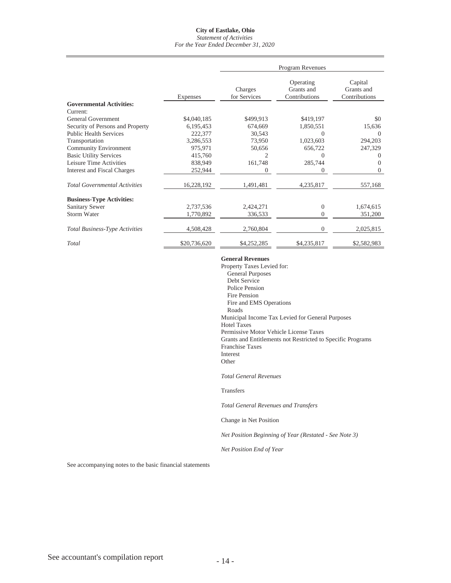#### *Statement of Activities For the Year Ended December 31, 2020*

|                                       |              | <b>Program Revenues</b> |                                          |                                        |  |  |
|---------------------------------------|--------------|-------------------------|------------------------------------------|----------------------------------------|--|--|
|                                       | Expenses     | Charges<br>for Services | Operating<br>Grants and<br>Contributions | Capital<br>Grants and<br>Contributions |  |  |
| <b>Governmental Activities:</b>       |              |                         |                                          |                                        |  |  |
| Current:                              |              |                         |                                          |                                        |  |  |
| General Government                    | \$4,040,185  | \$499,913               | \$419,197                                | \$0                                    |  |  |
| Security of Persons and Property      | 6,195,453    | 674,669                 | 1,850,551                                | 15,636                                 |  |  |
| <b>Public Health Services</b>         | 222,377      | 30,543                  | $\Omega$                                 | $\Omega$                               |  |  |
| Transportation                        | 3,286,553    | 73,950                  | 1,023,603                                | 294,203                                |  |  |
| <b>Community Environment</b>          | 975,971      | 50,656                  | 656,722                                  | 247,329                                |  |  |
| <b>Basic Utility Services</b>         | 415,760      | 2                       | 0                                        | $\left( \right)$                       |  |  |
| Leisure Time Activities               | 838,949      | 161,748                 | 285,744                                  | 0                                      |  |  |
| Interest and Fiscal Charges           | 252,944      | 0                       | $\theta$                                 | $\Omega$                               |  |  |
| <b>Total Governmental Activities</b>  | 16,228,192   | 1,491,481               | 4,235,817                                | 557,168                                |  |  |
| <b>Business-Type Activities:</b>      |              |                         |                                          |                                        |  |  |
| <b>Sanitary Sewer</b>                 | 2,737,536    | 2,424,271               | $\overline{0}$                           | 1,674,615                              |  |  |
| Storm Water                           | 1,770,892    | 336,533                 | $\overline{0}$                           | 351,200                                |  |  |
| <b>Total Business-Type Activities</b> | 4,508,428    | 2,760,804               | $\overline{0}$                           | 2,025,815                              |  |  |
| Total                                 | \$20,736,620 | \$4,252,285             | \$4,235,817                              | \$2,582,983                            |  |  |

## **General Revenues**

Property Taxes Levied for: General Purposes Debt Service Police Pension Fire Pension Fire and EMS Operations Roads Municipal Income Tax Levied for General Purposes Hotel Taxes Permissive Motor Vehicle License Taxes Grants and Entitlements not Restricted to Specific Programs Franchise Taxes Interest Other *Total General Revenues* **Transfers** *Total General Revenues and Transfers* Change in Net Position

*Net Position Beginning of Year (Restated - See Note 3)*

*Net Position End of Year*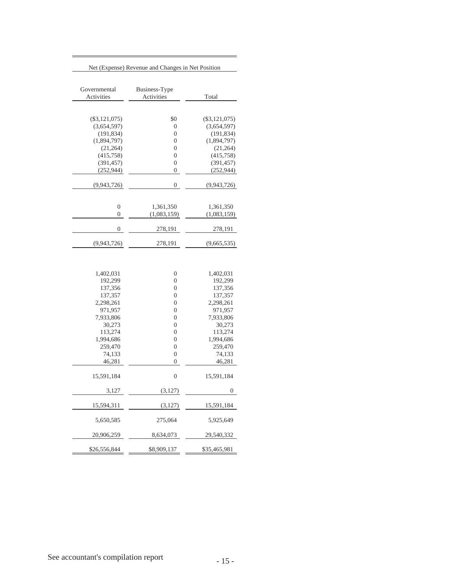| Net (Expense) Revenue and Changes in Net Position |                  |                 |  |  |  |
|---------------------------------------------------|------------------|-----------------|--|--|--|
|                                                   |                  |                 |  |  |  |
| Governmental                                      | Business-Type    |                 |  |  |  |
| Activities                                        | Activities       | Total           |  |  |  |
|                                                   |                  |                 |  |  |  |
| $(\$3,121,075)$                                   | \$0              | $(\$3,121,075)$ |  |  |  |
| (3,654,597)                                       | $\boldsymbol{0}$ | (3,654,597)     |  |  |  |
| (191, 834)                                        | $\theta$         | (191, 834)      |  |  |  |
| (1,894,797)                                       | $\boldsymbol{0}$ | (1,894,797)     |  |  |  |
| (21, 264)                                         | $\boldsymbol{0}$ | (21, 264)       |  |  |  |
| (415, 758)                                        | $\overline{0}$   | (415,758)       |  |  |  |
| (391, 457)                                        | $\boldsymbol{0}$ | (391, 457)      |  |  |  |
| (252, 944)                                        | $\theta$         | (252, 944)      |  |  |  |
| (9,943,726)                                       | 0                | (9,943,726)     |  |  |  |
|                                                   |                  |                 |  |  |  |
| $\boldsymbol{0}$                                  | 1,361,350        | 1,361,350       |  |  |  |
| 0                                                 | (1,083,159)      | (1,083,159)     |  |  |  |
| 0                                                 | 278,191          | 278,191         |  |  |  |
| (9,943,726)                                       | 278,191          | (9,665,535)     |  |  |  |
|                                                   |                  |                 |  |  |  |
| 1,402,031                                         | $\boldsymbol{0}$ | 1,402,031       |  |  |  |
| 192,299                                           | $\boldsymbol{0}$ | 192,299         |  |  |  |
| 137,356                                           | 0                | 137,356         |  |  |  |
| 137,357                                           | $\boldsymbol{0}$ | 137,357         |  |  |  |
| 2,298,261                                         | $\theta$         | 2,298,261       |  |  |  |
| 971,957                                           | 0                | 971,957         |  |  |  |
| 7,933,806                                         | $\boldsymbol{0}$ | 7,933,806       |  |  |  |
| 30,273                                            | $\boldsymbol{0}$ | 30,273          |  |  |  |
| 113,274                                           | $\overline{0}$   | 113,274         |  |  |  |
| 1,994,686                                         | $\boldsymbol{0}$ | 1,994,686       |  |  |  |
| 259,470                                           | $\boldsymbol{0}$ | 259,470         |  |  |  |
| 74,133                                            | $\boldsymbol{0}$ | 74,133          |  |  |  |
| 46,281                                            | $\theta$         | 46,281          |  |  |  |
| 15,591,184                                        | $\boldsymbol{0}$ | 15,591,184      |  |  |  |
| 3,127                                             | (3,127)          | 0               |  |  |  |
| 15,594,311                                        | (3,127)          | 15,591,184      |  |  |  |
| 5,650,585                                         | 275,064          | 5,925,649       |  |  |  |
| 20,906,259                                        | 8,634,073        | 29,540,332      |  |  |  |
| \$26,556,844                                      | \$8,909,137      | \$35,465,981    |  |  |  |

 $\overline{a}$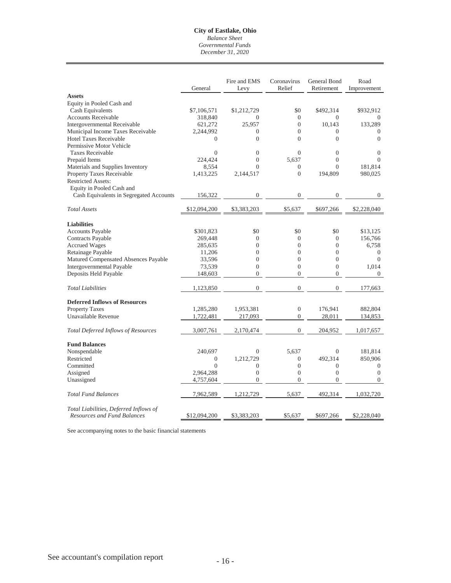*Balance Sheet Governmental Funds*

*December 31, 2020*

|                                                     | General        | Fire and EMS<br>Levy | Coronavirus<br>Relief | General Bond<br>Retirement | Road<br>Improvement |
|-----------------------------------------------------|----------------|----------------------|-----------------------|----------------------------|---------------------|
| <b>Assets</b>                                       |                |                      |                       |                            |                     |
| Equity in Pooled Cash and                           |                |                      |                       |                            |                     |
| Cash Equivalents                                    | \$7,106,571    | \$1,212,729          | \$0                   | \$492.314                  | \$932,912           |
| Accounts Receivable                                 | 318,840        | $\Omega$             | $\Omega$              | $\Omega$                   | 0                   |
| Intergovernmental Receivable                        | 621,272        | 25,957               | $\overline{0}$        | 10,143                     | 133,289             |
| Municipal Income Taxes Receivable                   | 2,244,992      | $\mathbf{0}$         | $\overline{0}$        | $\mathbf{0}$               | $\boldsymbol{0}$    |
| <b>Hotel Taxes Receivable</b>                       | $\overline{0}$ | $\overline{0}$       | $\overline{0}$        | $\theta$                   | $\overline{0}$      |
| Permissive Motor Vehicle                            |                |                      |                       |                            |                     |
| <b>Taxes Receivable</b>                             | $\overline{0}$ | $\mathbf{0}$         | $\overline{0}$        | $\overline{0}$             | $\overline{0}$      |
| Prepaid Items                                       | 224,424        | $\overline{0}$       | 5.637                 | $\Omega$                   | $\Omega$            |
| Materials and Supplies Inventory                    | 8,554          | $\Omega$             | $\overline{0}$        | $\Omega$                   | 181,814             |
| Property Taxes Receivable                           | 1,413,225      | 2,144,517            | $\Omega$              | 194,809                    | 980,025             |
| <b>Restricted Assets:</b>                           |                |                      |                       |                            |                     |
| Equity in Pooled Cash and                           |                | $\Omega$             |                       |                            |                     |
| Cash Equivalents in Segregated Accounts             | 156,322        |                      | $\overline{0}$        | $\boldsymbol{0}$           | $\mathbf{0}$        |
| <b>Total Assets</b>                                 | \$12,094,200   | \$3,383,203          | \$5,637               | \$697,266                  | \$2,228,040         |
| <b>Liabilities</b>                                  |                |                      |                       |                            |                     |
|                                                     | \$301,823      | \$0                  | \$0                   | \$0                        | \$13,125            |
| <b>Accounts Payable</b><br><b>Contracts Payable</b> | 269,448        | $\overline{0}$       | $\mathbf{0}$          | $\Omega$                   | 156,766             |
| <b>Accrued Wages</b>                                | 285,635        | $\Omega$             | $\mathbf{0}$          | $\mathbf{0}$               | 6,758               |
| Retainage Payable                                   | 11,206         | $\Omega$             | $\Omega$              | $\Omega$                   | $\Omega$            |
| Matured Compensated Absences Payable                | 33,596         | $\overline{0}$       | $\overline{0}$        | $\overline{0}$             | $\Omega$            |
| Intergovernmental Payable                           | 73,539         | $\theta$             | $\theta$              | $\Omega$                   | 1,014               |
| Deposits Held Payable                               | 148,603        | $\theta$             | $\theta$              | $\overline{0}$             | $\Omega$            |
|                                                     |                |                      |                       |                            |                     |
| <b>Total Liabilities</b>                            | 1,123,850      | $\overline{0}$       | $\overline{0}$        | $\overline{0}$             | 177,663             |
| <b>Deferred Inflows of Resources</b>                |                |                      |                       |                            |                     |
| <b>Property Taxes</b>                               | 1,285,280      | 1,953,381            | $\overline{0}$        | 176,941                    | 882,804             |
| Unavailable Revenue                                 | 1,722,481      | 217,093              | $\Omega$              | 28,011                     | 134,853             |
| <b>Total Deferred Inflows of Resources</b>          | 3,007,761      | 2,170,474            | $\overline{0}$        | 204,952                    | 1,017,657           |
|                                                     |                |                      |                       |                            |                     |
| <b>Fund Balances</b>                                |                |                      |                       |                            |                     |
| Nonspendable                                        | 240,697        | $\overline{0}$       | 5.637                 | $\mathbf{0}$               | 181,814             |
| Restricted                                          | $\overline{0}$ | 1,212,729            | $\Omega$              | 492,314                    | 850,906             |
| Committed                                           | $\theta$       | $\overline{0}$       | $\overline{0}$        | $\Omega$                   | 0                   |
| Assigned                                            | 2,964,288      | $\theta$             | $\Omega$              | $\theta$                   | $\Omega$            |
| Unassigned                                          | 4,757,604      | $\Omega$             | $\Omega$              | $\Omega$                   | $\Omega$            |
| <b>Total Fund Balances</b>                          | 7,962,589      | 1,212,729            | 5,637                 | 492,314                    | 1,032,720           |
|                                                     |                |                      |                       |                            |                     |
| Total Liabilities, Deferred Inflows of              |                |                      |                       |                            |                     |
| <b>Resources and Fund Balances</b>                  | \$12,094,200   | \$3,383,203          | \$5,637               | \$697,266                  | \$2,228,040         |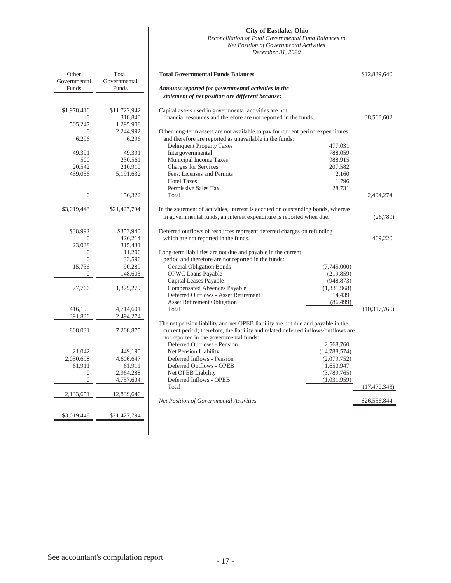*Reconciliation of Total Governmental Fund Balances to Net Position of Governmental Activities December 31, 2020*

| Other<br>Governmental<br>Funds | Total<br>Governmental<br>Funds |
|--------------------------------|--------------------------------|
|                                |                                |
| \$1,978,416                    | \$11,722,942                   |
| $\theta$                       | 318,840                        |
| 505,247                        | 1,295,908                      |
| $\Omega$                       | 2,244,992                      |
| 6,296                          | 6,296                          |
| 49,391                         | 49,391                         |
| 500                            | 230,561                        |
| 20,542                         | 210,910                        |
| 459,056                        | 5,191,632                      |
|                                |                                |
| $\theta$                       | 156,322                        |
| \$3,019,448                    | \$21,427,794                   |
|                                |                                |
| \$38,992                       | \$353,940                      |
| $\theta$                       | 426,214                        |
| 23,038                         | 315,431                        |
| $\theta$                       | 11,206                         |
| $\overline{0}$                 | 33,596                         |
| 15,736                         | 90,289                         |
| $\overline{0}$                 | 148,603                        |
| 77,766                         | 1,379,279                      |
|                                |                                |
| 416,195                        | 4,714,601                      |
| 391,836                        | 2,494,274                      |
| 808,031                        | 7,208,875                      |
|                                |                                |
|                                |                                |
| 21,042                         | 449,190                        |
| 2,050,698<br>61,911            | 4,606,647                      |
| $\overline{0}$                 | 61,911<br>2,964,288            |
| 0                              | 4,757,604                      |
|                                |                                |
| 2,133,651                      | 12,839,640                     |
|                                |                                |
| \$3,019,448                    | \$21,427,794                   |

| Other               | Total               | <b>Total Governmental Funds Balances</b>                                           | \$12,839,640   |
|---------------------|---------------------|------------------------------------------------------------------------------------|----------------|
| overnmental         | Governmental        |                                                                                    |                |
| Funds               | Funds               | Amounts reported for governmental activities in the                                |                |
|                     |                     | statement of net position are different because:                                   |                |
| \$1,978,416         | \$11,722,942        | Capital assets used in governmental activities are not                             |                |
| $\Omega$            | 318,840             | financial resources and therefore are not reported in the funds.                   | 38,568,602     |
| 505,247             | 1,295,908           |                                                                                    |                |
| $\Omega$            | 2,244,992           | Other long-term assets are not available to pay for current period expenditures    |                |
| 6,296               | 6,296               | and therefore are reported as unavailable in the funds:                            |                |
|                     |                     | <b>Delinquent Property Taxes</b><br>477,031                                        |                |
| 49,391              | 49,391              | Intergovernmental<br>788,059                                                       |                |
| 500                 | 230,561             | Municipal Income Taxes<br>988,915                                                  |                |
| 20,542              | 210,910             | Charges for Services<br>207,582                                                    |                |
| 459,056             | 5,191,632           | Fees, Licenses and Permits<br>2,160                                                |                |
|                     |                     | <b>Hotel Taxes</b><br>1,796                                                        |                |
|                     |                     | Permissive Sales Tax<br>28,731                                                     |                |
| $\overline{0}$      | 156,322             | Total                                                                              | 2,494,274      |
| \$3,019,448         | \$21,427,794        | In the statement of activities, interest is accrued on outstanding bonds, whereas  |                |
|                     |                     |                                                                                    |                |
|                     |                     | in governmental funds, an interest expenditure is reported when due.               | (26,789)       |
| \$38.992            | \$353,940           | Deferred outflows of resources represent deferred charges on refunding             |                |
| $\mathbf{0}$        | 426,214             | which are not reported in the funds.                                               | 469,220        |
| 23,038              | 315,431             |                                                                                    |                |
| $\mathbf{0}$        | 11,206              | Long-term liabilities are not due and payable in the current                       |                |
| $\overline{0}$      | 33,596              | period and therefore are not reported in the funds:                                |                |
| 15,736              | 90,289              | <b>General Obligation Bonds</b><br>(7,745,000)                                     |                |
| $\overline{0}$      | 148,603             | <b>OPWC</b> Loans Payable<br>(219, 859)                                            |                |
|                     |                     | Capital Leases Payable<br>(948, 873)                                               |                |
| 77,766              | 1,379,279           | <b>Compensated Absences Payable</b><br>(1,331,968)                                 |                |
|                     |                     | Deferred Outflows - Asset Retirement<br>14,439                                     |                |
|                     |                     | <b>Asset Retirement Obligation</b><br>(86, 499)                                    |                |
| 416,195             | 4,714,601           | Total                                                                              | (10,317,760)   |
| 391,836             | 2,494,274           |                                                                                    |                |
|                     |                     | The net pension liability and net OPEB liability are not due and payable in the    |                |
| 808,031             | 7,208,875           | current period; therefore, the liability and related deferred inflows/outflows are |                |
|                     |                     | not reported in the governmental funds:<br>Deferred Outflows - Pension             |                |
| 21,042              | 449,190             | 2,568,760<br>Net Pension Liability                                                 |                |
|                     |                     | (14,788,574)<br>Deferred Inflows - Pension                                         |                |
| 2,050,698<br>61,911 | 4,606,647<br>61,911 | (2,079,752)<br>Deferred Outflows - OPEB<br>1,650,947                               |                |
| $\boldsymbol{0}$    | 2,964,288           | Net OPEB Liability<br>(3,789,765)                                                  |                |
| $\overline{0}$      | 4,757,604           | Deferred Inflows - OPEB<br>(1,031,959)                                             |                |
|                     |                     | Total                                                                              | (17, 470, 343) |
| 2,133,651           | 12,839,640          |                                                                                    |                |
|                     |                     | <b>Net Position of Governmental Activities</b>                                     | \$26,556,844   |
|                     |                     |                                                                                    |                |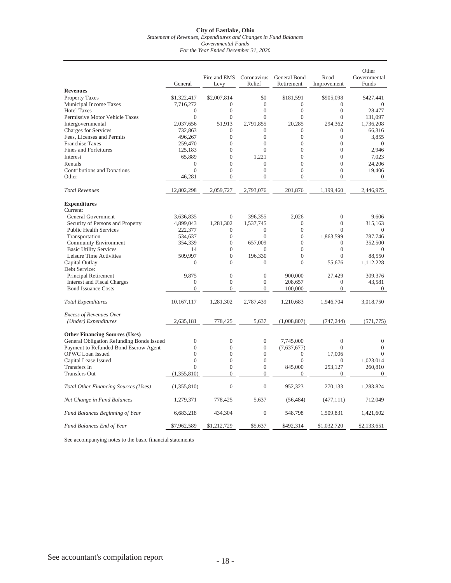#### **City of Eastlake, Ohio** *Statement of Revenues, Expenditures and Changes in Fund Balances Governmental Funds For the Year Ended December 31, 2020*

|                                           |                  | Fire and EMS     | Coronavirus      | General Bond   | Road             | Other<br>Governmental |
|-------------------------------------------|------------------|------------------|------------------|----------------|------------------|-----------------------|
|                                           | General          | Levy             | Relief           | Retirement     | Improvement      | Funds                 |
| <b>Revenues</b>                           |                  |                  |                  |                |                  |                       |
| <b>Property Taxes</b>                     | \$1,322,417      | \$2,007,814      | \$0              | \$181,591      | \$905,098        | \$427,441             |
| Municipal Income Taxes                    | 7,716,272        | $\theta$         | $\overline{0}$   | $\mathbf{0}$   | $\mathbf{0}$     | $\Omega$              |
| <b>Hotel Taxes</b>                        | $\mathbf{0}$     | $\overline{0}$   | $\overline{0}$   | $\overline{0}$ | $\overline{0}$   | 28,477                |
| Permissive Motor Vehicle Taxes            | $\theta$         | $\theta$         | $\theta$         | $\theta$       | $\Omega$         | 131,097               |
| Intergovernmental                         | 2,037,656        | 51,913           | 2,791,855        | 20.285         | 294,362          | 1,736,208             |
| Charges for Services                      | 732,863          | $\mathbf{0}$     | $\overline{0}$   | $\overline{0}$ | $\mathbf{0}$     | 66,316                |
| Fees, Licenses and Permits                | 496,267          | $\overline{0}$   | $\overline{0}$   | $\overline{0}$ | $\overline{0}$   | 3,855                 |
| <b>Franchise Taxes</b>                    | 259,470          | $\mathbf{0}$     | $\overline{0}$   | $\overline{0}$ | $\overline{0}$   | $\Omega$              |
| Fines and Forfeitures                     | 125,183          | $\mathbf{0}$     | $\overline{0}$   | $\overline{0}$ | $\overline{0}$   | 2,946                 |
| Interest                                  | 65,889           | $\theta$         | 1.221            | $\theta$       | $\theta$         | 7,023                 |
| Rentals                                   | $\mathbf{0}$     | $\overline{0}$   | $\overline{0}$   | $\overline{0}$ | $\overline{0}$   | 24,206                |
| Contributions and Donations               | $\overline{0}$   | $\overline{0}$   | $\overline{0}$   | $\overline{0}$ | $\overline{0}$   | 19,406                |
| Other                                     | 46,281           | $\overline{0}$   | $\overline{0}$   | $\overline{0}$ | $\overline{0}$   | $\overline{0}$        |
| <b>Total Revenues</b>                     | 12,802,298       | 2,059,727        | 2,793,076        | 201,876        | 1,199,460        | 2,446,975             |
| <b>Expenditures</b>                       |                  |                  |                  |                |                  |                       |
| Current:                                  |                  |                  |                  |                |                  |                       |
| General Government                        | 3,636,835        | $\mathbf{0}$     | 396,355          | 2,026          | $\overline{0}$   | 9,606                 |
| Security of Persons and Property          | 4,899,043        | 1,281,302        | 1,537,745        | $\overline{0}$ | $\theta$         | 315.163               |
| <b>Public Health Services</b>             | 222,377          | $\overline{0}$   | $\overline{0}$   | $\overline{0}$ | $\Omega$         | $\overline{0}$        |
| Transportation                            | 534,637          | $\boldsymbol{0}$ | $\theta$         | $\theta$       | 1,863,599        | 787,746               |
| Community Environment                     | 354,339          | $\overline{0}$   | 657,009          | $\overline{0}$ | $\Omega$         | 352,500               |
| <b>Basic Utility Services</b>             | 14               | $\overline{0}$   | $\mathbf{0}$     | $\overline{0}$ | $\overline{0}$   | $\overline{0}$        |
| Leisure Time Activities                   | 509,997          | $\mathbf{0}$     | 196,330          | $\overline{0}$ | $\overline{0}$   | 88,550                |
| Capital Outlay                            | $\mathbf{0}$     | $\theta$         | $\theta$         | $\theta$       | 55,676           | 1,112,228             |
| Debt Service:                             |                  |                  |                  |                |                  |                       |
| Principal Retirement                      | 9.875            | $\overline{0}$   | $\theta$         | 900,000        | 27.429           | 309,376               |
| <b>Interest and Fiscal Charges</b>        | $\boldsymbol{0}$ | $\overline{0}$   | $\overline{0}$   | 208,657        | $\boldsymbol{0}$ | 43,581                |
| <b>Bond Issuance Costs</b>                | $\overline{0}$   | $\Omega$         | $\overline{0}$   | 100,000        | $\overline{0}$   | $\overline{0}$        |
| <b>Total Expenditures</b>                 | 10,167,117       | 1,281,302        | 2,787,439        | 1,210,683      | 1,946,704        | 3,018,750             |
| Excess of Revenues Over                   |                  |                  |                  |                |                  |                       |
| (Under) Expenditures                      | 2,635,181        | 778,425          | 5,637            | (1,008,807)    | (747, 244)       | (571, 775)            |
| <b>Other Financing Sources (Uses)</b>     |                  |                  |                  |                |                  |                       |
| General Obligation Refunding Bonds Issued | $\overline{0}$   | $\overline{0}$   | $\mathbf{0}$     | 7,745,000      | $\overline{0}$   | $\overline{0}$        |
| Payment to Refunded Bond Escrow Agent     | $\overline{0}$   | $\theta$         | $\overline{0}$   | (7,637,677)    | $\Omega$         | $\Omega$              |
| <b>OPWC</b> Loan Issued                   | $\theta$         | $\theta$         | $\overline{0}$   | $\Omega$       | 17,006           |                       |
| Capital Lease Issued                      | $\theta$         | $\theta$         | $\theta$         | $\theta$       | $\Omega$         | 1,023,014             |
| Transfers In                              | $\overline{0}$   | $\overline{0}$   | $\boldsymbol{0}$ | 845,000        | 253,127          | 260,810               |
| <b>Transfers Out</b>                      | (1,355,810)      | $\theta$         | $\overline{0}$   | $\overline{0}$ | $\overline{0}$   | $\overline{0}$        |
| Total Other Financing Sources (Uses)      | (1,355,810)      | $\overline{0}$   | $\overline{0}$   | 952,323        | 270,133          | 1,283,824             |
| Net Change in Fund Balances               | 1,279,371        | 778,425          | 5,637            | (56, 484)      | (477, 111)       | 712,049               |
| Fund Balances Beginning of Year           | 6,683,218        | 434,304          | $\overline{0}$   | 548,798        | 1,509,831        | 1,421,602             |
| Fund Balances End of Year                 | \$7,962,589      | \$1,212,729      | \$5,637          | \$492.314      | \$1,032,720      | \$2,133,651           |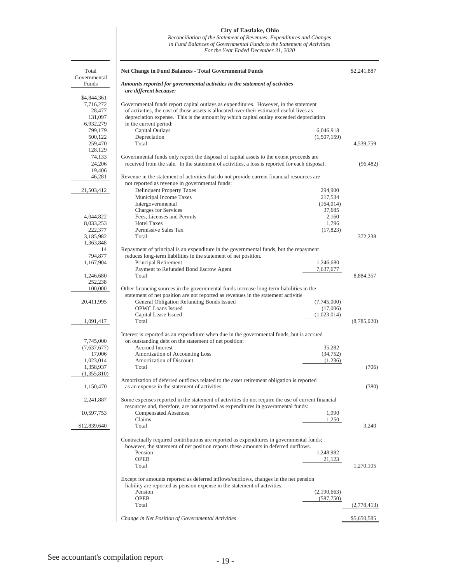*Reconciliation of the Statement of Revenues, Expenditures and Changes in Fund Balances of Governmental Funds to the Statement of Activities For the Year Ended December 31, 2020*

| Total                    | <b>Net Change in Fund Balances - Total Governmental Funds</b>                                                                                                                       | \$2,241,887 |
|--------------------------|-------------------------------------------------------------------------------------------------------------------------------------------------------------------------------------|-------------|
| Governmental<br>Funds    | Amounts reported for governmental activities in the statement of activities                                                                                                         |             |
|                          | are different because:                                                                                                                                                              |             |
| \$4,844,361              |                                                                                                                                                                                     |             |
| 7,716,272                | Governmental funds report capital outlays as expenditures. However, in the statement                                                                                                |             |
| 28,477<br>131,097        | of activities, the cost of those assets is allocated over their estimated useful lives as<br>depreciation expense. This is the amount by which capital outlay exceeded depreciation |             |
| 6,932,279                | in the current period:                                                                                                                                                              |             |
| 799,179                  | Capital Outlays<br>6,046,918                                                                                                                                                        |             |
| 500,122                  | Depreciation<br>(1,507,159)                                                                                                                                                         |             |
| 259,470                  | Total                                                                                                                                                                               | 4,539,759   |
| 128,129                  |                                                                                                                                                                                     |             |
| 74,133                   | Governmental funds only report the disposal of capital assets to the extent proceeds are                                                                                            |             |
| 24,206                   | received from the sale. In the statement of activities, a loss is reported for each disposal.                                                                                       | (96, 482)   |
| 19,406<br>46,281         | Revenue in the statement of activities that do not provide current financial resources are                                                                                          |             |
|                          | not reported as revenue in governmental funds:                                                                                                                                      |             |
| 21,503,412               | <b>Delinquent Property Taxes</b><br>294,900                                                                                                                                         |             |
|                          | Municipal Income Taxes<br>217,534                                                                                                                                                   |             |
|                          | Intergovernmental<br>(164, 014)                                                                                                                                                     |             |
|                          | <b>Charges for Services</b><br>37,685                                                                                                                                               |             |
| 4,044,822                | Fees, Licenses and Permits<br>2,160                                                                                                                                                 |             |
| 8,033,253                | <b>Hotel Taxes</b><br>1,796<br>Permissive Sales Tax                                                                                                                                 |             |
| 222,377<br>3,185,982     | (17, 823)<br>Total                                                                                                                                                                  | 372,238     |
| 1,363,848                |                                                                                                                                                                                     |             |
| 14                       | Repayment of principal is an expenditure in the governmental funds, but the repayment                                                                                               |             |
| 794,877                  | reduces long-term liabilities in the statement of net position.                                                                                                                     |             |
| 1,167,904                | Principal Retirement<br>1,246,680                                                                                                                                                   |             |
|                          | Payment to Refunded Bond Escrow Agent<br>7,637,677                                                                                                                                  |             |
| 1,246,680<br>252,238     | Total                                                                                                                                                                               | 8,884,357   |
| 100,000                  | Other financing sources in the governmental funds increase long-term liabilities in the                                                                                             |             |
|                          | statement of net position are not reported as revenues in the statement activitie                                                                                                   |             |
| 20,411,995               | General Obligation Refunding Bonds Issued<br>(7,745,000)                                                                                                                            |             |
|                          | <b>OPWC</b> Loans Issued<br>(17,006)                                                                                                                                                |             |
|                          | Capital Lease Issued<br>(1,023,014)                                                                                                                                                 |             |
| 1,091,417                | Total                                                                                                                                                                               | (8,785,020) |
|                          | Interest is reported as an expenditure when due in the governmental funds, but is accrued                                                                                           |             |
| 7,745,000                | on outstanding debt on the statement of net position:                                                                                                                               |             |
| (7,637,677)              | <b>Accrued Interest</b><br>35,282                                                                                                                                                   |             |
| 17,006                   | Amortization of Accounting Loss<br>(34, 752)                                                                                                                                        |             |
| 1,023,014                | Amortization of Discount<br>(1,236)<br>Total                                                                                                                                        |             |
| 1,358,937<br>(1,355,810) |                                                                                                                                                                                     | (706)       |
|                          | Amortization of deferred outflows related to the asset retirement obligation is reported                                                                                            |             |
| 1,150,470                | as an expense in the statement of activities.                                                                                                                                       | (380)       |
|                          |                                                                                                                                                                                     |             |
| 2,241,887                | Some expenses reported in the statement of activities do not require the use of current financial                                                                                   |             |
|                          | resources and, therefore, are not reported as expenditures in governmental funds:                                                                                                   |             |
| 10,597,753               | 1,990<br><b>Compensated Absences</b><br>Claims<br>1,250                                                                                                                             |             |
| \$12,839,640             | Total                                                                                                                                                                               | 3,240       |
|                          |                                                                                                                                                                                     |             |
|                          | Contractually required contributions are reported as expenditures in governmental funds;                                                                                            |             |
|                          | however, the statement of net position reports these amounts in deferred outflows.                                                                                                  |             |
|                          | 1,248,982<br>Pension                                                                                                                                                                |             |
|                          | <b>OPEB</b><br>21,123                                                                                                                                                               |             |
|                          | Total                                                                                                                                                                               | 1,270,105   |
|                          | Except for amounts reported as deferred inflows/outflows, changes in the net pension                                                                                                |             |
|                          | liability are reported as pension expense in the statement of activities.                                                                                                           |             |
|                          | Pension<br>(2,190,663)                                                                                                                                                              |             |
|                          | <b>OPEB</b><br>(587,750)                                                                                                                                                            |             |
|                          | Total                                                                                                                                                                               | (2,778,413) |
|                          | Change in Net Position of Governmental Activities                                                                                                                                   | \$5,650,585 |
|                          |                                                                                                                                                                                     |             |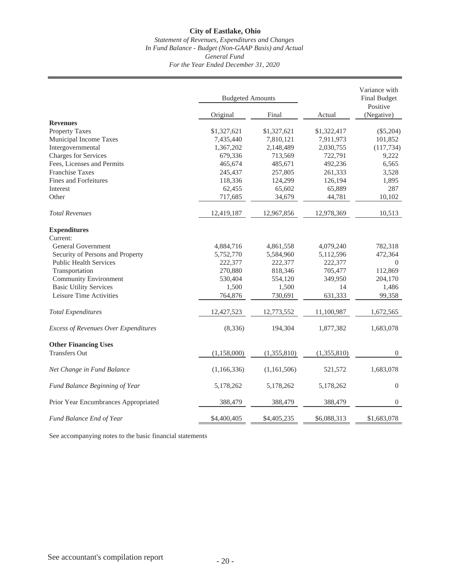#### *For the Year Ended December 31, 2020 Statement of Revenues, Expenditures and Changes In Fund Balance - Budget (Non-GAAP Basis) and Actual General Fund*

|                                                     | <b>Budgeted Amounts</b> |             |             | Variance with<br><b>Final Budget</b> |
|-----------------------------------------------------|-------------------------|-------------|-------------|--------------------------------------|
|                                                     | Original                | Final       | Actual      | Positive<br>(Negative)               |
| <b>Revenues</b>                                     |                         |             |             |                                      |
| <b>Property Taxes</b>                               | \$1,327,621             | \$1,327,621 | \$1,322,417 | $(\$5,204)$                          |
| Municipal Income Taxes                              | 7,435,440               | 7,810,121   | 7,911,973   | 101,852                              |
| Intergovernmental                                   | 1,367,202               | 2,148,489   | 2,030,755   | (117, 734)                           |
| <b>Charges for Services</b>                         | 679,336                 | 713,569     | 722,791     | 9,222                                |
| Fees, Licenses and Permits                          | 465,674                 | 485,671     | 492,236     | 6,565                                |
| <b>Franchise Taxes</b>                              | 245,437                 | 257,805     | 261,333     | 3,528                                |
| <b>Fines and Forfeitures</b>                        | 118,336                 | 124,299     | 126,194     | 1,895                                |
| Interest                                            | 62,455                  | 65,602      | 65,889      | 287                                  |
| Other                                               | 717,685                 | 34,679      | 44,781      | 10,102                               |
| <b>Total Revenues</b>                               | 12,419,187              | 12,967,856  | 12,978,369  | 10,513                               |
| <b>Expenditures</b>                                 |                         |             |             |                                      |
| Current:                                            |                         |             |             |                                      |
| <b>General Government</b>                           | 4,884,716               | 4,861,558   | 4,079,240   | 782,318                              |
| Security of Persons and Property                    | 5,752,770               | 5,584,960   | 5,112,596   | 472,364                              |
| <b>Public Health Services</b>                       | 222,377                 | 222,377     | 222,377     | $\overline{0}$                       |
| Transportation                                      | 270,880                 | 818,346     | 705,477     | 112,869                              |
| <b>Community Environment</b>                        | 530,404                 | 554,120     | 349,950     | 204,170                              |
| <b>Basic Utility Services</b>                       | 1,500                   | 1,500       | 14          | 1,486                                |
| Leisure Time Activities                             | 764,876                 | 730,691     | 631,333     | 99,358                               |
| <b>Total Expenditures</b>                           | 12,427,523              | 12,773,552  | 11,100,987  | 1,672,565                            |
| <b>Excess of Revenues Over Expenditures</b>         | (8, 336)                | 194,304     | 1,877,382   | 1,683,078                            |
| <b>Other Financing Uses</b><br><b>Transfers Out</b> | (1,158,000)             | (1,355,810) | (1,355,810) | $\overline{0}$                       |
| Net Change in Fund Balance                          | (1,166,336)             | (1,161,506) | 521,572     | 1,683,078                            |
| Fund Balance Beginning of Year                      | 5,178,262               | 5,178,262   | 5,178,262   | $\overline{0}$                       |
| Prior Year Encumbrances Appropriated                | 388,479                 | 388,479     | 388,479     | $\theta$                             |
| Fund Balance End of Year                            | \$4,400,405             | \$4,405,235 | \$6,088,313 | \$1,683,078                          |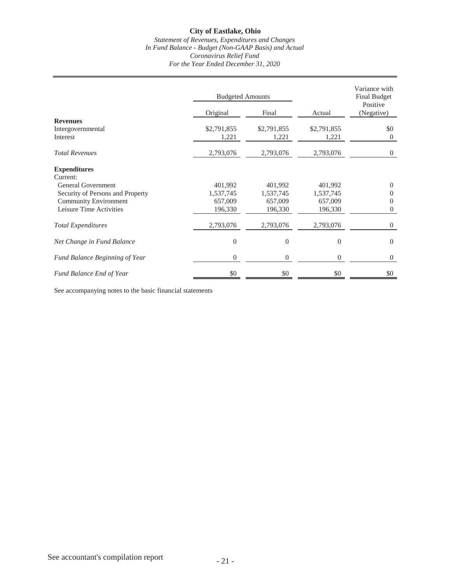#### **City of Eastlake, Ohio** *Statement of Revenues, Expenditures and Changes In Fund Balance - Budget (Non-GAAP Basis) and Actual Coronavirus Relief Fund For the Year Ended December 31, 2020*

|                                       | <b>Budgeted Amounts</b> |             |                | Variance with<br>Final Budget |
|---------------------------------------|-------------------------|-------------|----------------|-------------------------------|
|                                       | Original                | Final       | Actual         | Positive<br>(Negative)        |
| <b>Revenues</b>                       |                         |             |                |                               |
| Intergovernmental                     | \$2,791,855             | \$2,791,855 | \$2,791,855    | \$0                           |
| Interest                              | 1,221                   | 1,221       | 1,221          | $\overline{0}$                |
| <b>Total Revenues</b>                 | 2,793,076               | 2,793,076   | 2,793,076      | $\overline{0}$                |
| <b>Expenditures</b>                   |                         |             |                |                               |
| Current:                              |                         |             |                |                               |
| General Government                    | 401,992                 | 401,992     | 401,992        | $\Omega$                      |
| Security of Persons and Property      | 1,537,745               | 1,537,745   | 1,537,745      | $\theta$                      |
| <b>Community Environment</b>          | 657,009                 | 657,009     | 657,009        | $\Omega$                      |
| Leisure Time Activities               | 196,330                 | 196,330     | 196,330        | $\overline{0}$                |
| <b>Total Expenditures</b>             | 2,793,076               | 2,793,076   | 2,793,076      | $\overline{0}$                |
| Net Change in Fund Balance            | $\Omega$                | $\theta$    | $\overline{0}$ | $\theta$                      |
| <b>Fund Balance Beginning of Year</b> | $\overline{0}$          | $\theta$    | $\theta$       | $\overline{0}$                |
| Fund Balance End of Year              | \$0                     | \$0         | \$0            | \$0                           |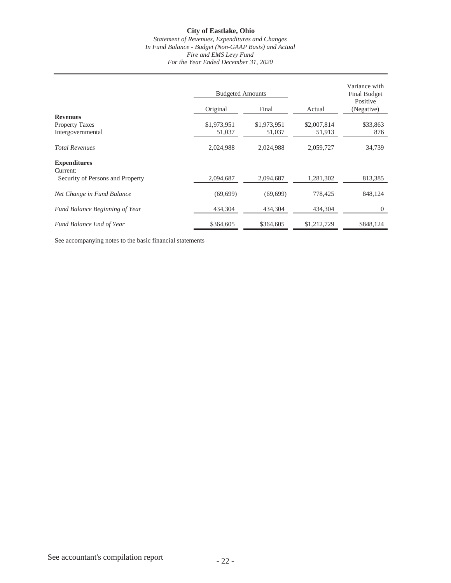#### *Statement of Revenues, Expenditures and Changes In Fund Balance - Budget (Non-GAAP Basis) and Actual Fire and EMS Levy Fund For the Year Ended December 31, 2020*

|                                  | <b>Budgeted Amounts</b> |             |             | Variance with<br><b>Final Budget</b> |
|----------------------------------|-------------------------|-------------|-------------|--------------------------------------|
|                                  | Original                | Final       | Actual      | Positive<br>(Negative)               |
| <b>Revenues</b>                  |                         |             |             |                                      |
| <b>Property Taxes</b>            | \$1,973,951             | \$1,973,951 | \$2,007,814 | \$33,863                             |
| Intergovernmental                | 51,037                  | 51,037      | 51,913      | 876                                  |
| <b>Total Revenues</b>            | 2,024,988               | 2,024,988   | 2,059,727   | 34,739                               |
| <b>Expenditures</b>              |                         |             |             |                                      |
| Current:                         |                         |             |             |                                      |
| Security of Persons and Property | 2,094,687               | 2,094,687   | 1,281,302   | 813,385                              |
| Net Change in Fund Balance       | (69, 699)               | (69, 699)   | 778,425     | 848,124                              |
| Fund Balance Beginning of Year   | 434,304                 | 434,304     | 434,304     | $\Omega$                             |
| Fund Balance End of Year         | \$364,605               | \$364,605   | \$1,212,729 | \$848,124                            |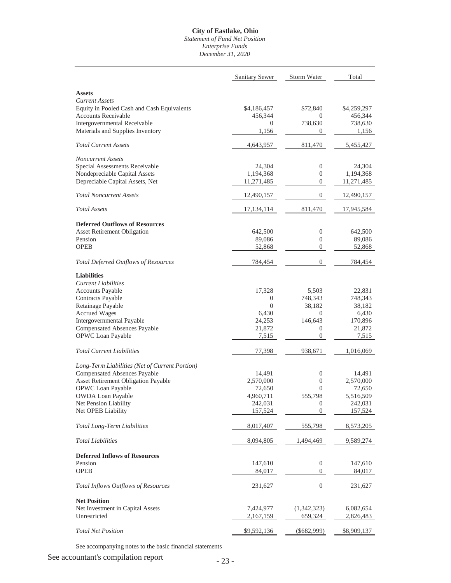*Statement of Fund Net Position Enterprise Funds*

*December 31, 2020*

|                                                                          | <b>Sanitary Sewer</b> | Storm Water       | Total       |
|--------------------------------------------------------------------------|-----------------------|-------------------|-------------|
|                                                                          |                       |                   |             |
| <b>Assets</b>                                                            |                       |                   |             |
| <b>Current Assets</b>                                                    | \$4,186,457           | \$72,840          | \$4,259,297 |
| Equity in Pooled Cash and Cash Equivalents<br><b>Accounts Receivable</b> | 456,344               | 0                 | 456,344     |
| Intergovernmental Receivable                                             | 0                     | 738,630           | 738,630     |
| Materials and Supplies Inventory                                         | 1,156                 | $\sigma$          | 1,156       |
| <b>Total Current Assets</b>                                              | 4,643,957             | 811,470           | 5,455,427   |
|                                                                          |                       |                   |             |
| <b>Noncurrent Assets</b>                                                 | 24,304                |                   | 24,304      |
| Special Assessments Receivable<br>Nondepreciable Capital Assets          | 1,194,368             | $\mathbf{0}$<br>0 | 1,194,368   |
| Depreciable Capital Assets, Net                                          | 11,271,485            | 0                 | 11,271,485  |
|                                                                          |                       |                   |             |
| <b>Total Noncurrent Assets</b>                                           | 12,490,157            | 0                 | 12,490,157  |
| <b>Total Assets</b>                                                      | 17, 134, 114          | 811,470           | 17,945,584  |
| <b>Deferred Outflows of Resources</b>                                    |                       |                   |             |
| <b>Asset Retirement Obligation</b>                                       | 642,500               | $\boldsymbol{0}$  | 642,500     |
| Pension                                                                  | 89,086                | $\overline{0}$    | 89,086      |
| <b>OPEB</b>                                                              | 52,868                | 0                 | 52,868      |
| <b>Total Deferred Outflows of Resources</b>                              | 784,454               | 0                 | 784,454     |
| <b>Liabilities</b>                                                       |                       |                   |             |
| Current Liabilities                                                      |                       |                   |             |
| <b>Accounts Payable</b>                                                  | 17,328                | 5,503             | 22,831      |
| Contracts Payable                                                        | 0                     | 748,343           | 748,343     |
| Retainage Payable                                                        | $\overline{0}$        | 38,182            | 38,182      |
| <b>Accrued Wages</b>                                                     | 6,430                 | $\overline{0}$    | 6,430       |
| Intergovernmental Payable                                                | 24,253                | 146,643           | 170,896     |
| <b>Compensated Absences Payable</b>                                      | 21,872                | 0                 | 21,872      |
| <b>OPWC</b> Loan Payable                                                 | 7,515                 | $\theta$          | 7,515       |
| <b>Total Current Liabilities</b>                                         | 77,398                | 938,671           | 1,016,069   |
| Long-Term Liabilities (Net of Current Portion)                           |                       |                   |             |
| <b>Compensated Absences Payable</b>                                      | 14,491                | $\boldsymbol{0}$  | 14,491      |
| Asset Retirement Obligation Payable                                      | 2,570,000             | $\boldsymbol{0}$  | 2,570,000   |
| <b>OPWC</b> Loan Payable                                                 | 72,650                | $\overline{0}$    | 72,650      |
| <b>OWDA Loan Payable</b>                                                 | 4,960,711             | 555,798           | 5,516,509   |
| Net Pension Liability                                                    | 242,031               | $\theta$          | 242,031     |
| Net OPEB Liability                                                       | 157,524               | 0                 | 157,524     |
| Total Long-Term Liabilities                                              | 8,017,407             | 555,798           | 8,573,205   |
| <b>Total Liabilities</b>                                                 | 8,094,805             | 1,494,469         | 9,589,274   |
| <b>Deferred Inflows of Resources</b>                                     |                       |                   |             |
| Pension                                                                  | 147,610               | 0                 | 147,610     |
| <b>OPEB</b>                                                              | 84,017                | $\overline{0}$    | 84,017      |
|                                                                          |                       |                   |             |
| Total Inflows Outflows of Resources                                      | 231,627               | $\overline{0}$    | 231,627     |
| <b>Net Position</b>                                                      |                       |                   |             |
| Net Investment in Capital Assets                                         | 7,424,977             | (1,342,323)       | 6,082,654   |
| Unrestricted                                                             | 2,167,159             | 659,324           | 2,826,483   |
|                                                                          |                       |                   |             |
| <b>Total Net Position</b>                                                | \$9,592,136           | $(\$682,999)$     | \$8,909,137 |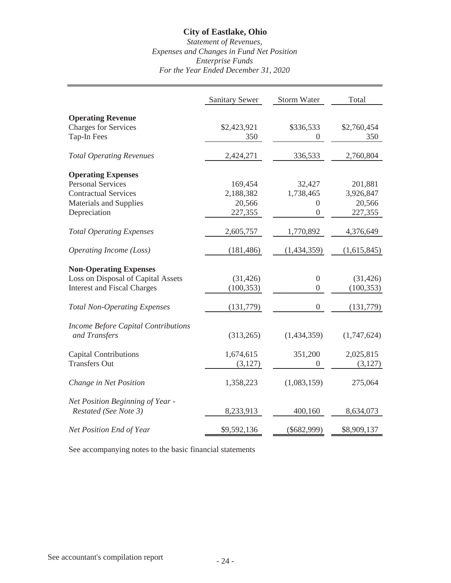# *Statement of Revenues, Expenses and Changes in Fund Net Position Enterprise Funds For the Year Ended December 31, 2020*

|                                                                                                                                | <b>Sanitary Sewer</b>                     | <b>Storm Water</b>                                        | Total                                     |
|--------------------------------------------------------------------------------------------------------------------------------|-------------------------------------------|-----------------------------------------------------------|-------------------------------------------|
| <b>Operating Revenue</b><br><b>Charges for Services</b><br>Tap-In Fees                                                         | \$2,423,921<br>350                        | \$336,533<br>0                                            | \$2,760,454<br>350                        |
| <b>Total Operating Revenues</b>                                                                                                | 2,424,271                                 | 336,533                                                   | 2,760,804                                 |
| <b>Operating Expenses</b><br><b>Personal Services</b><br><b>Contractual Services</b><br>Materials and Supplies<br>Depreciation | 169,454<br>2,188,382<br>20,566<br>227,355 | 32,427<br>1,738,465<br>$\boldsymbol{0}$<br>$\overline{0}$ | 201,881<br>3,926,847<br>20,566<br>227,355 |
| <b>Total Operating Expenses</b>                                                                                                | 2,605,757                                 | 1,770,892                                                 | 4,376,649                                 |
| Operating Income (Loss)                                                                                                        | (181, 486)                                | (1,434,359)                                               | (1,615,845)                               |
| <b>Non-Operating Expenses</b><br>Loss on Disposal of Capital Assets<br><b>Interest and Fiscal Charges</b>                      | (31, 426)<br>(100, 353)                   | $\mathbf{0}$<br>$\overline{0}$                            | (31, 426)<br>(100, 353)                   |
| <b>Total Non-Operating Expenses</b>                                                                                            | (131,779)                                 | $\overline{0}$                                            | (131,779)                                 |
| Income Before Capital Contributions<br>and Transfers                                                                           | (313,265)                                 | (1,434,359)                                               | (1,747,624)                               |
| <b>Capital Contributions</b><br><b>Transfers Out</b>                                                                           | 1,674,615<br>(3,127)                      | 351,200<br>$\Omega$                                       | 2,025,815<br>(3,127)                      |
| Change in Net Position                                                                                                         | 1,358,223                                 | (1,083,159)                                               | 275,064                                   |
| Net Position Beginning of Year -<br>Restated (See Note 3)                                                                      | 8,233,913                                 | 400,160                                                   | 8,634,073                                 |
| Net Position End of Year                                                                                                       | \$9,592,136                               | $(\$682,999)$                                             | \$8,909,137                               |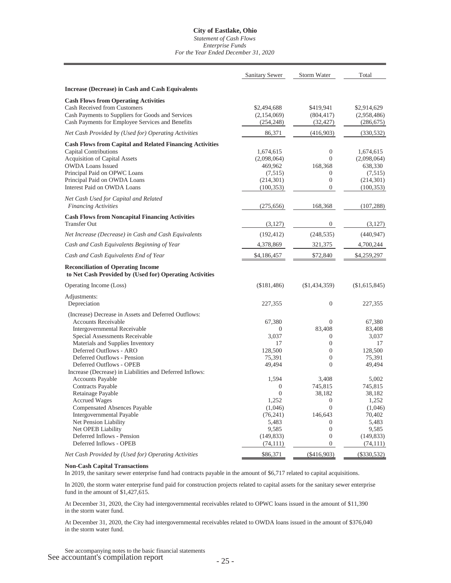## *Statement of Cash Flows*

*Enterprise Funds For the Year Ended December 31, 2020*

|                                                                                                                                                                                                                                                                                                                                                                                                                                  | <b>Sanitary Sewer</b>                                                                                | <b>Storm Water</b>                                                                                                                                           | Total                                                                                                 |
|----------------------------------------------------------------------------------------------------------------------------------------------------------------------------------------------------------------------------------------------------------------------------------------------------------------------------------------------------------------------------------------------------------------------------------|------------------------------------------------------------------------------------------------------|--------------------------------------------------------------------------------------------------------------------------------------------------------------|-------------------------------------------------------------------------------------------------------|
| <b>Increase (Decrease) in Cash and Cash Equivalents</b>                                                                                                                                                                                                                                                                                                                                                                          |                                                                                                      |                                                                                                                                                              |                                                                                                       |
| <b>Cash Flows from Operating Activities</b><br>Cash Received from Customers<br>Cash Payments to Suppliers for Goods and Services<br>Cash Payments for Employee Services and Benefits                                                                                                                                                                                                                                             | \$2,494,688<br>(2,154,069)<br>(254, 248)                                                             | \$419,941<br>(804, 417)<br>(32, 427)                                                                                                                         | \$2,914,629<br>(2,958,486)<br>(286, 675)                                                              |
| Net Cash Provided by (Used for) Operating Activities                                                                                                                                                                                                                                                                                                                                                                             | 86,371                                                                                               | (416,903)                                                                                                                                                    | (330, 532)                                                                                            |
| <b>Cash Flows from Capital and Related Financing Activities</b><br><b>Capital Contributions</b><br>Acquisition of Capital Assets<br><b>OWDA Loans Issued</b><br>Principal Paid on OPWC Loans<br>Principal Paid on OWDA Loans<br>Interest Paid on OWDA Loans                                                                                                                                                                      | 1,674,615<br>(2,098,064)<br>469,962<br>(7,515)<br>(214, 301)<br>(100, 353)                           | $\mathbf{0}$<br>$\overline{0}$<br>168,368<br>$\mathbf{0}$<br>$\boldsymbol{0}$<br>$\mathbf{0}$                                                                | 1,674,615<br>(2,098,064)<br>638,330<br>(7,515)<br>(214, 301)<br>(100, 353)                            |
| Net Cash Used for Capital and Related<br><b>Financing Activities</b>                                                                                                                                                                                                                                                                                                                                                             | (275, 656)                                                                                           | 168,368                                                                                                                                                      | (107, 288)                                                                                            |
| <b>Cash Flows from Noncapital Financing Activities</b><br><b>Transfer Out</b><br>Net Increase (Decrease) in Cash and Cash Equivalents                                                                                                                                                                                                                                                                                            | (3,127)<br>(192, 412)                                                                                | $\overline{0}$<br>(248, 535)                                                                                                                                 | (3,127)<br>(440, 947)                                                                                 |
| Cash and Cash Equivalents Beginning of Year                                                                                                                                                                                                                                                                                                                                                                                      | 4,378,869                                                                                            | 321,375                                                                                                                                                      | 4,700,244                                                                                             |
| Cash and Cash Equivalents End of Year                                                                                                                                                                                                                                                                                                                                                                                            | \$4,186,457                                                                                          | \$72,840                                                                                                                                                     | \$4,259,297                                                                                           |
| <b>Reconciliation of Operating Income</b><br>to Net Cash Provided by (Used for) Operating Activities                                                                                                                                                                                                                                                                                                                             |                                                                                                      |                                                                                                                                                              |                                                                                                       |
| Operating Income (Loss)                                                                                                                                                                                                                                                                                                                                                                                                          | (\$181,486)                                                                                          | $(\$1,434,359)$                                                                                                                                              | (\$1,615,845)                                                                                         |
| Adjustments:<br>Depreciation                                                                                                                                                                                                                                                                                                                                                                                                     | 227,355                                                                                              | $\boldsymbol{0}$                                                                                                                                             | 227,355                                                                                               |
| (Increase) Decrease in Assets and Deferred Outflows:<br><b>Accounts Receivable</b><br>Intergovernmental Receivable<br>Special Assessments Receivable<br>Materials and Supplies Inventory<br>Deferred Outflows - ARO<br>Deferred Outflows - Pension<br>Deferred Outflows - OPEB<br>Increase (Decrease) in Liabilities and Deferred Inflows:<br>Accounts Payable<br>Contracts Payable<br>Retainage Payable<br><b>Accrued Wages</b> | 67,380<br>0<br>3,037<br>17<br>128,500<br>75,391<br>49,494<br>1,594<br>0<br>$\boldsymbol{0}$<br>1,252 | $\overline{0}$<br>83,408<br>$\theta$<br>$\overline{0}$<br>$\overline{0}$<br>$\boldsymbol{0}$<br>$\mathbf{0}$<br>3,408<br>745,815<br>38,182<br>$\overline{0}$ | 67,380<br>83,408<br>3,037<br>17<br>128,500<br>75,391<br>49,494<br>5,002<br>745,815<br>38,182<br>1,252 |
| <b>Compensated Absences Payable</b><br>Intergovernmental Payable<br>Net Pension Liability<br>Net OPEB Liability<br>Deferred Inflows - Pension<br>Deferred Inflows - OPEB<br>Net Cash Provided by (Used for) Operating Activities                                                                                                                                                                                                 | (1,046)<br>(76, 241)<br>5,483<br>9,585<br>(149, 833)<br>(74, 111)<br>\$86,371                        | $\mathbf{0}$<br>146,643<br>$\overline{0}$<br>$\mathbf{0}$<br>$\mathbf{0}$<br>$\boldsymbol{0}$<br>(\$416,903)                                                 | (1,046)<br>70,402<br>5,483<br>9,585<br>(149, 833)<br>(74, 111)<br>$(\$330,532)$                       |
|                                                                                                                                                                                                                                                                                                                                                                                                                                  |                                                                                                      |                                                                                                                                                              |                                                                                                       |

#### **Non-Cash Capital Transactions**

In 2019, the sanitary sewer enterprise fund had contracts payable in the amount of \$6,717 related to capital acquisitions.

In 2020, the storm water enterprise fund paid for construction projects related to capital assets for the sanitary sewer enterprise fund in the amount of \$1,427,615.

At December 31, 2020, the City had intergovernmental receivables related to OPWC loans issued in the amount of \$11,390 in the storm water fund.

At December 31, 2020, the City had intergovernmental receivables related to OWDA loans issued in the amount of \$376,040 in the storm water fund.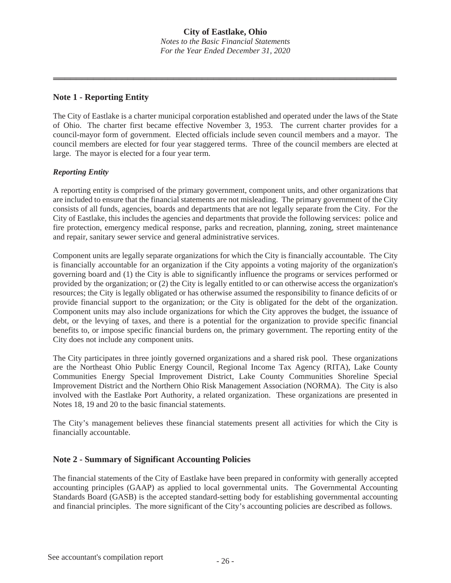# **Note 1 - Reporting Entity**

The City of Eastlake is a charter municipal corporation established and operated under the laws of the State of Ohio. The charter first became effective November 3, 1953. The current charter provides for a council-mayor form of government. Elected officials include seven council members and a mayor. The council members are elected for four year staggered terms. Three of the council members are elected at large. The mayor is elected for a four year term.

# *Reporting Entity*

A reporting entity is comprised of the primary government, component units, and other organizations that are included to ensure that the financial statements are not misleading. The primary government of the City consists of all funds, agencies, boards and departments that are not legally separate from the City. For the City of Eastlake, this includes the agencies and departments that provide the following services: police and fire protection, emergency medical response, parks and recreation, planning, zoning, street maintenance and repair, sanitary sewer service and general administrative services.

Component units are legally separate organizations for which the City is financially accountable. The City is financially accountable for an organization if the City appoints a voting majority of the organization's governing board and (1) the City is able to significantly influence the programs or services performed or provided by the organization; or (2) the City is legally entitled to or can otherwise access the organization's resources; the City is legally obligated or has otherwise assumed the responsibility to finance deficits of or provide financial support to the organization; or the City is obligated for the debt of the organization. Component units may also include organizations for which the City approves the budget, the issuance of debt, or the levying of taxes, and there is a potential for the organization to provide specific financial benefits to, or impose specific financial burdens on, the primary government. The reporting entity of the City does not include any component units.

The City participates in three jointly governed organizations and a shared risk pool. These organizations are the Northeast Ohio Public Energy Council, Regional Income Tax Agency (RITA), Lake County Communities Energy Special Improvement District, Lake County Communities Shoreline Special Improvement District and the Northern Ohio Risk Management Association (NORMA). The City is also involved with the Eastlake Port Authority, a related organization. These organizations are presented in Notes 18, 19 and 20 to the basic financial statements.

The City's management believes these financial statements present all activities for which the City is financially accountable.

# **Note 2 - Summary of Significant Accounting Policies**

The financial statements of the City of Eastlake have been prepared in conformity with generally accepted accounting principles (GAAP) as applied to local governmental units. The Governmental Accounting Standards Board (GASB) is the accepted standard-setting body for establishing governmental accounting and financial principles. The more significant of the City's accounting policies are described as follows.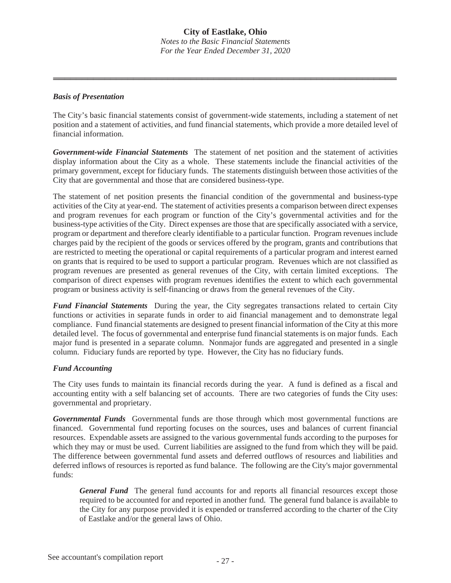## *Basis of Presentation*

The City's basic financial statements consist of government-wide statements, including a statement of net position and a statement of activities, and fund financial statements, which provide a more detailed level of financial information.

*Government-wide Financial Statements* The statement of net position and the statement of activities display information about the City as a whole. These statements include the financial activities of the primary government, except for fiduciary funds. The statements distinguish between those activities of the City that are governmental and those that are considered business-type.

The statement of net position presents the financial condition of the governmental and business-type activities of the City at year-end. The statement of activities presents a comparison between direct expenses and program revenues for each program or function of the City's governmental activities and for the business-type activities of the City. Direct expenses are those that are specifically associated with a service, program or department and therefore clearly identifiable to a particular function. Program revenues include charges paid by the recipient of the goods or services offered by the program, grants and contributions that are restricted to meeting the operational or capital requirements of a particular program and interest earned on grants that is required to be used to support a particular program. Revenues which are not classified as program revenues are presented as general revenues of the City, with certain limited exceptions. The comparison of direct expenses with program revenues identifies the extent to which each governmental program or business activity is self-financing or draws from the general revenues of the City.

*Fund Financial Statements* During the year, the City segregates transactions related to certain City functions or activities in separate funds in order to aid financial management and to demonstrate legal compliance. Fund financial statements are designed to present financial information of the City at this more detailed level. The focus of governmental and enterprise fund financial statements is on major funds. Each major fund is presented in a separate column. Nonmajor funds are aggregated and presented in a single column. Fiduciary funds are reported by type. However, the City has no fiduciary funds.

# *Fund Accounting*

The City uses funds to maintain its financial records during the year. A fund is defined as a fiscal and accounting entity with a self balancing set of accounts. There are two categories of funds the City uses: governmental and proprietary.

*Governmental Funds* Governmental funds are those through which most governmental functions are financed. Governmental fund reporting focuses on the sources, uses and balances of current financial resources. Expendable assets are assigned to the various governmental funds according to the purposes for which they may or must be used. Current liabilities are assigned to the fund from which they will be paid. The difference between governmental fund assets and deferred outflows of resources and liabilities and deferred inflows of resources is reported as fund balance. The following are the City's major governmental funds:

*General Fund* The general fund accounts for and reports all financial resources except those required to be accounted for and reported in another fund. The general fund balance is available to the City for any purpose provided it is expended or transferred according to the charter of the City of Eastlake and/or the general laws of Ohio.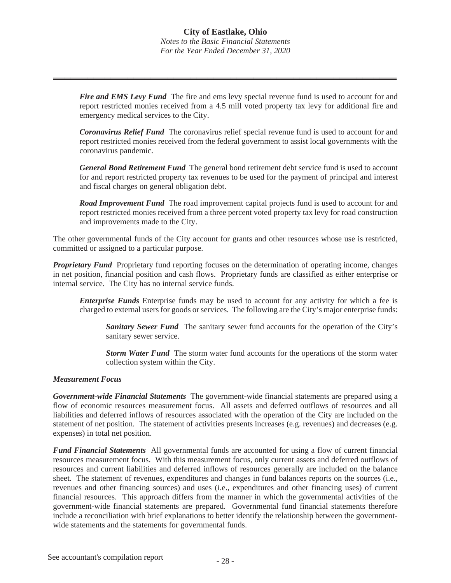*Fire and EMS Levy Fund* The fire and ems levy special revenue fund is used to account for and report restricted monies received from a 4.5 mill voted property tax levy for additional fire and emergency medical services to the City.

*Coronavirus Relief Fund* The coronavirus relief special revenue fund is used to account for and report restricted monies received from the federal government to assist local governments with the coronavirus pandemic.

*General Bond Retirement Fund* The general bond retirement debt service fund is used to account for and report restricted property tax revenues to be used for the payment of principal and interest and fiscal charges on general obligation debt.

*Road Improvement Fund* The road improvement capital projects fund is used to account for and report restricted monies received from a three percent voted property tax levy for road construction and improvements made to the City.

The other governmental funds of the City account for grants and other resources whose use is restricted, committed or assigned to a particular purpose.

*Proprietary Fund* Proprietary fund reporting focuses on the determination of operating income, changes in net position, financial position and cash flows. Proprietary funds are classified as either enterprise or internal service. The City has no internal service funds.

*Enterprise Funds* Enterprise funds may be used to account for any activity for which a fee is charged to external users for goods or services. The following are the City's major enterprise funds:

**Sanitary Sewer Fund** The sanitary sewer fund accounts for the operation of the City's sanitary sewer service.

*Storm Water Fund* The storm water fund accounts for the operations of the storm water collection system within the City.

# *Measurement Focus*

*Government-wide Financial Statements* The government-wide financial statements are prepared using a flow of economic resources measurement focus. All assets and deferred outflows of resources and all liabilities and deferred inflows of resources associated with the operation of the City are included on the statement of net position. The statement of activities presents increases (e.g. revenues) and decreases (e.g. expenses) in total net position.

*Fund Financial Statements* All governmental funds are accounted for using a flow of current financial resources measurement focus. With this measurement focus, only current assets and deferred outflows of resources and current liabilities and deferred inflows of resources generally are included on the balance sheet. The statement of revenues, expenditures and changes in fund balances reports on the sources (i.e., revenues and other financing sources) and uses (i.e., expenditures and other financing uses) of current financial resources. This approach differs from the manner in which the governmental activities of the government-wide financial statements are prepared. Governmental fund financial statements therefore include a reconciliation with brief explanations to better identify the relationship between the governmentwide statements and the statements for governmental funds.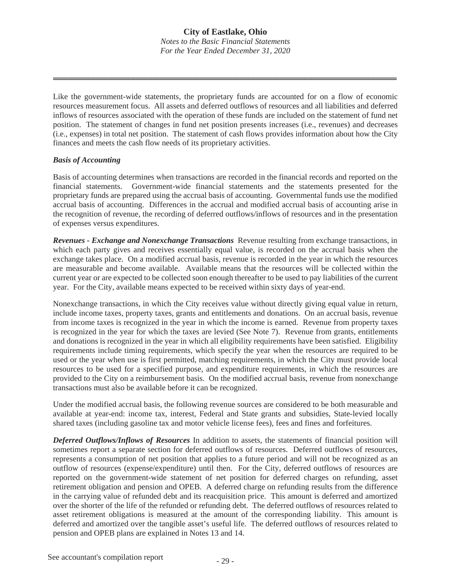Like the government-wide statements, the proprietary funds are accounted for on a flow of economic resources measurement focus. All assets and deferred outflows of resources and all liabilities and deferred inflows of resources associated with the operation of these funds are included on the statement of fund net position. The statement of changes in fund net position presents increases (i.e., revenues) and decreases (i.e., expenses) in total net position. The statement of cash flows provides information about how the City finances and meets the cash flow needs of its proprietary activities.

# *Basis of Accounting*

Basis of accounting determines when transactions are recorded in the financial records and reported on the financial statements. Government-wide financial statements and the statements presented for the proprietary funds are prepared using the accrual basis of accounting. Governmental funds use the modified accrual basis of accounting. Differences in the accrual and modified accrual basis of accounting arise in the recognition of revenue, the recording of deferred outflows/inflows of resources and in the presentation of expenses versus expenditures.

*Revenues - Exchange and Nonexchange Transactions* Revenue resulting from exchange transactions, in which each party gives and receives essentially equal value, is recorded on the accrual basis when the exchange takes place. On a modified accrual basis, revenue is recorded in the year in which the resources are measurable and become available. Available means that the resources will be collected within the current year or are expected to be collected soon enough thereafter to be used to pay liabilities of the current year. For the City, available means expected to be received within sixty days of year-end.

Nonexchange transactions, in which the City receives value without directly giving equal value in return, include income taxes, property taxes, grants and entitlements and donations. On an accrual basis, revenue from income taxes is recognized in the year in which the income is earned. Revenue from property taxes is recognized in the year for which the taxes are levied (See Note 7). Revenue from grants, entitlements and donations is recognized in the year in which all eligibility requirements have been satisfied. Eligibility requirements include timing requirements, which specify the year when the resources are required to be used or the year when use is first permitted, matching requirements, in which the City must provide local resources to be used for a specified purpose, and expenditure requirements, in which the resources are provided to the City on a reimbursement basis. On the modified accrual basis, revenue from nonexchange transactions must also be available before it can be recognized.

Under the modified accrual basis, the following revenue sources are considered to be both measurable and available at year-end: income tax, interest, Federal and State grants and subsidies, State-levied locally shared taxes (including gasoline tax and motor vehicle license fees), fees and fines and forfeitures.

*Deferred Outflows/Inflows of Resources* In addition to assets, the statements of financial position will sometimes report a separate section for deferred outflows of resources. Deferred outflows of resources, represents a consumption of net position that applies to a future period and will not be recognized as an outflow of resources (expense/expenditure) until then. For the City, deferred outflows of resources are reported on the government-wide statement of net position for deferred charges on refunding, asset retirement obligation and pension and OPEB. A deferred charge on refunding results from the difference in the carrying value of refunded debt and its reacquisition price. This amount is deferred and amortized over the shorter of the life of the refunded or refunding debt. The deferred outflows of resources related to asset retirement obligations is measured at the amount of the corresponding liability. This amount is deferred and amortized over the tangible asset's useful life. The deferred outflows of resources related to pension and OPEB plans are explained in Notes 13 and 14.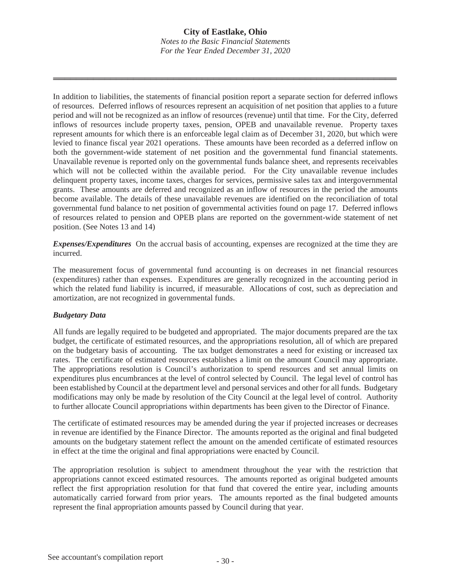*Notes to the Basic Financial Statements For the Year Ended December 31, 2020* 

*őőőőőőőőőőőőőőőőőőőőőőőőőőőőőőőőőőőőőőőőőőőőőőőőőőőőőőőőőőőő*

In addition to liabilities, the statements of financial position report a separate section for deferred inflows of resources. Deferred inflows of resources represent an acquisition of net position that applies to a future period and will not be recognized as an inflow of resources (revenue) until that time. For the City, deferred inflows of resources include property taxes, pension, OPEB and unavailable revenue. Property taxes represent amounts for which there is an enforceable legal claim as of December 31, 2020, but which were levied to finance fiscal year 2021 operations. These amounts have been recorded as a deferred inflow on both the government-wide statement of net position and the governmental fund financial statements. Unavailable revenue is reported only on the governmental funds balance sheet, and represents receivables which will not be collected within the available period. For the City unavailable revenue includes delinquent property taxes, income taxes, charges for services, permissive sales tax and intergovernmental grants. These amounts are deferred and recognized as an inflow of resources in the period the amounts become available. The details of these unavailable revenues are identified on the reconciliation of total governmental fund balance to net position of governmental activities found on page 17. Deferred inflows of resources related to pension and OPEB plans are reported on the government-wide statement of net position. (See Notes 13 and 14)

*Expenses/Expenditures* On the accrual basis of accounting, expenses are recognized at the time they are incurred.

The measurement focus of governmental fund accounting is on decreases in net financial resources (expenditures) rather than expenses. Expenditures are generally recognized in the accounting period in which the related fund liability is incurred, if measurable. Allocations of cost, such as depreciation and amortization, are not recognized in governmental funds.

# *Budgetary Data*

All funds are legally required to be budgeted and appropriated. The major documents prepared are the tax budget, the certificate of estimated resources, and the appropriations resolution, all of which are prepared on the budgetary basis of accounting. The tax budget demonstrates a need for existing or increased tax rates. The certificate of estimated resources establishes a limit on the amount Council may appropriate. The appropriations resolution is Council's authorization to spend resources and set annual limits on expenditures plus encumbrances at the level of control selected by Council. The legal level of control has been established by Council at the department level and personal services and other for all funds. Budgetary modifications may only be made by resolution of the City Council at the legal level of control. Authority to further allocate Council appropriations within departments has been given to the Director of Finance.

The certificate of estimated resources may be amended during the year if projected increases or decreases in revenue are identified by the Finance Director. The amounts reported as the original and final budgeted amounts on the budgetary statement reflect the amount on the amended certificate of estimated resources in effect at the time the original and final appropriations were enacted by Council.

The appropriation resolution is subject to amendment throughout the year with the restriction that appropriations cannot exceed estimated resources. The amounts reported as original budgeted amounts reflect the first appropriation resolution for that fund that covered the entire year, including amounts automatically carried forward from prior years. The amounts reported as the final budgeted amounts represent the final appropriation amounts passed by Council during that year.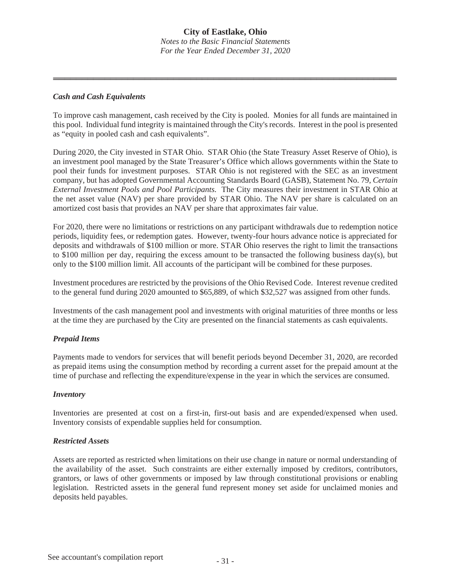## *Cash and Cash Equivalents*

To improve cash management, cash received by the City is pooled. Monies for all funds are maintained in this pool. Individual fund integrity is maintained through the City's records. Interest in the pool is presented as "equity in pooled cash and cash equivalents".

During 2020, the City invested in STAR Ohio. STAR Ohio (the State Treasury Asset Reserve of Ohio), is an investment pool managed by the State Treasurer's Office which allows governments within the State to pool their funds for investment purposes. STAR Ohio is not registered with the SEC as an investment company, but has adopted Governmental Accounting Standards Board (GASB), Statement No. 79, *Certain External Investment Pools and Pool Participants*. The City measures their investment in STAR Ohio at the net asset value (NAV) per share provided by STAR Ohio. The NAV per share is calculated on an amortized cost basis that provides an NAV per share that approximates fair value.

For 2020, there were no limitations or restrictions on any participant withdrawals due to redemption notice periods, liquidity fees, or redemption gates. However, twenty-four hours advance notice is appreciated for deposits and withdrawals of \$100 million or more. STAR Ohio reserves the right to limit the transactions to \$100 million per day, requiring the excess amount to be transacted the following business day(s), but only to the \$100 million limit. All accounts of the participant will be combined for these purposes.

Investment procedures are restricted by the provisions of the Ohio Revised Code. Interest revenue credited to the general fund during 2020 amounted to \$65,889, of which \$32,527 was assigned from other funds.

Investments of the cash management pool and investments with original maturities of three months or less at the time they are purchased by the City are presented on the financial statements as cash equivalents.

# *Prepaid Items*

Payments made to vendors for services that will benefit periods beyond December 31, 2020, are recorded as prepaid items using the consumption method by recording a current asset for the prepaid amount at the time of purchase and reflecting the expenditure/expense in the year in which the services are consumed.

#### *Inventory*

Inventories are presented at cost on a first-in, first-out basis and are expended/expensed when used. Inventory consists of expendable supplies held for consumption.

#### *Restricted Assets*

Assets are reported as restricted when limitations on their use change in nature or normal understanding of the availability of the asset. Such constraints are either externally imposed by creditors, contributors, grantors, or laws of other governments or imposed by law through constitutional provisions or enabling legislation. Restricted assets in the general fund represent money set aside for unclaimed monies and deposits held payables.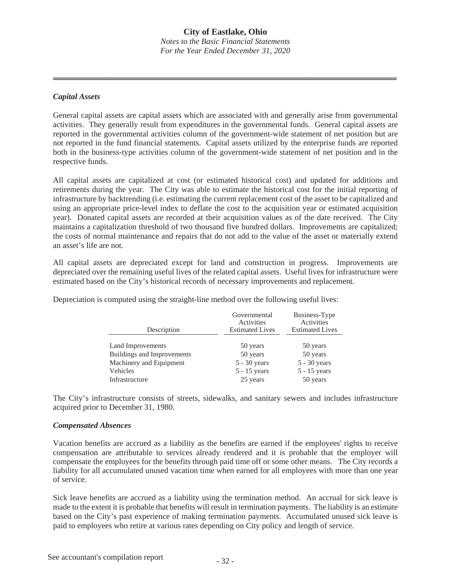# *Capital Assets*

General capital assets are capital assets which are associated with and generally arise from governmental activities. They generally result from expenditures in the governmental funds. General capital assets are reported in the governmental activities column of the government-wide statement of net position but are not reported in the fund financial statements. Capital assets utilized by the enterprise funds are reported both in the business-type activities column of the government-wide statement of net position and in the respective funds.

All capital assets are capitalized at cost (or estimated historical cost) and updated for additions and retirements during the year. The City was able to estimate the historical cost for the initial reporting of infrastructure by backtrending (i.e. estimating the current replacement cost of the asset to be capitalized and using an appropriate price-level index to deflate the cost to the acquisition year or estimated acquisition year). Donated capital assets are recorded at their acquisition values as of the date received. The City maintains a capitalization threshold of two thousand five hundred dollars. Improvements are capitalized; the costs of normal maintenance and repairs that do not add to the value of the asset or materially extend an asset's life are not.

All capital assets are depreciated except for land and construction in progress. Improvements are depreciated over the remaining useful lives of the related capital assets. Useful lives for infrastructure were estimated based on the City's historical records of necessary improvements and replacement.

| Description                | Governmental<br>Activities<br><b>Estimated Lives</b> | Business-Type<br>Activities<br><b>Estimated Lives</b> |
|----------------------------|------------------------------------------------------|-------------------------------------------------------|
| Land Improvements          | 50 years                                             | 50 years                                              |
| Buildings and Improvements | 50 years                                             | 50 years                                              |
| Machinery and Equipment    | $5 - 30$ years                                       | $5 - 30$ years                                        |
| Vehicles                   | $5 - 15$ years                                       | 5 - 15 years                                          |
| Infrastructure             | 25 years                                             | 50 years                                              |

Depreciation is computed using the straight-line method over the following useful lives:

The City's infrastructure consists of streets, sidewalks, and sanitary sewers and includes infrastructure acquired prior to December 31, 1980.

# *Compensated Absences*

Vacation benefits are accrued as a liability as the benefits are earned if the employees' rights to receive compensation are attributable to services already rendered and it is probable that the employer will compensate the employees for the benefits through paid time off or some other means. The City records a liability for all accumulated unused vacation time when earned for all employees with more than one year of service.

Sick leave benefits are accrued as a liability using the termination method. An accrual for sick leave is made to the extent it is probable that benefits will result in termination payments. The liability is an estimate based on the City's past experience of making termination payments. Accumulated unused sick leave is paid to employees who retire at various rates depending on City policy and length of service.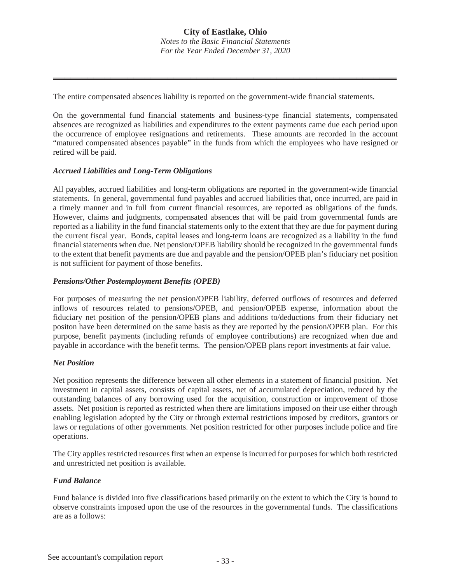The entire compensated absences liability is reported on the government-wide financial statements.

On the governmental fund financial statements and business-type financial statements, compensated absences are recognized as liabilities and expenditures to the extent payments came due each period upon the occurrence of employee resignations and retirements. These amounts are recorded in the account "matured compensated absences payable" in the funds from which the employees who have resigned or retired will be paid.

# *Accrued Liabilities and Long-Term Obligations*

All payables, accrued liabilities and long-term obligations are reported in the government-wide financial statements. In general, governmental fund payables and accrued liabilities that, once incurred, are paid in a timely manner and in full from current financial resources, are reported as obligations of the funds. However, claims and judgments, compensated absences that will be paid from governmental funds are reported as a liability in the fund financial statements only to the extent that they are due for payment during the current fiscal year. Bonds, capital leases and long-term loans are recognized as a liability in the fund financial statements when due. Net pension/OPEB liability should be recognized in the governmental funds to the extent that benefit payments are due and payable and the pension/OPEB plan's fiduciary net position is not sufficient for payment of those benefits.

# *Pensions/Other Postemployment Benefits (OPEB)*

For purposes of measuring the net pension/OPEB liability, deferred outflows of resources and deferred inflows of resources related to pensions/OPEB, and pension/OPEB expense, information about the fiduciary net position of the pension/OPEB plans and additions to/deductions from their fiduciary net positon have been determined on the same basis as they are reported by the pension/OPEB plan. For this purpose, benefit payments (including refunds of employee contributions) are recognized when due and payable in accordance with the benefit terms. The pension/OPEB plans report investments at fair value.

# *Net Position*

Net position represents the difference between all other elements in a statement of financial position. Net investment in capital assets, consists of capital assets, net of accumulated depreciation, reduced by the outstanding balances of any borrowing used for the acquisition, construction or improvement of those assets. Net position is reported as restricted when there are limitations imposed on their use either through enabling legislation adopted by the City or through external restrictions imposed by creditors, grantors or laws or regulations of other governments. Net position restricted for other purposes include police and fire operations.

The City applies restricted resources first when an expense is incurred for purposes for which both restricted and unrestricted net position is available.

# *Fund Balance*

Fund balance is divided into five classifications based primarily on the extent to which the City is bound to observe constraints imposed upon the use of the resources in the governmental funds. The classifications are as a follows: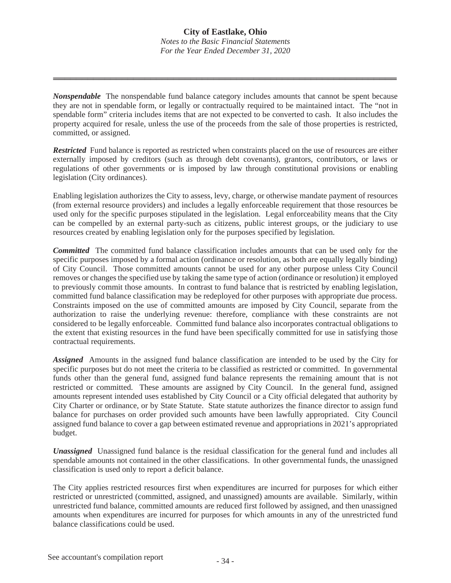*Nonspendable* The nonspendable fund balance category includes amounts that cannot be spent because they are not in spendable form, or legally or contractually required to be maintained intact. The "not in spendable form" criteria includes items that are not expected to be converted to cash. It also includes the property acquired for resale, unless the use of the proceeds from the sale of those properties is restricted, committed, or assigned.

*őőőőőőőőőőőőőőőőőőőőőőőőőőőőőőőőőőőőőőőőőőőőőőőőőőőőőőőőőőőő*

*Restricted* Fund balance is reported as restricted when constraints placed on the use of resources are either externally imposed by creditors (such as through debt covenants), grantors, contributors, or laws or regulations of other governments or is imposed by law through constitutional provisions or enabling legislation (City ordinances).

Enabling legislation authorizes the City to assess, levy, charge, or otherwise mandate payment of resources (from external resource providers) and includes a legally enforceable requirement that those resources be used only for the specific purposes stipulated in the legislation. Legal enforceability means that the City can be compelled by an external party-such as citizens, public interest groups, or the judiciary to use resources created by enabling legislation only for the purposes specified by legislation.

*Committed* The committed fund balance classification includes amounts that can be used only for the specific purposes imposed by a formal action (ordinance or resolution, as both are equally legally binding) of City Council. Those committed amounts cannot be used for any other purpose unless City Council removes or changes the specified use by taking the same type of action (ordinance or resolution) it employed to previously commit those amounts. In contrast to fund balance that is restricted by enabling legislation, committed fund balance classification may be redeployed for other purposes with appropriate due process. Constraints imposed on the use of committed amounts are imposed by City Council, separate from the authorization to raise the underlying revenue: therefore, compliance with these constraints are not considered to be legally enforceable. Committed fund balance also incorporates contractual obligations to the extent that existing resources in the fund have been specifically committed for use in satisfying those contractual requirements.

*Assigned* Amounts in the assigned fund balance classification are intended to be used by the City for specific purposes but do not meet the criteria to be classified as restricted or committed. In governmental funds other than the general fund, assigned fund balance represents the remaining amount that is not restricted or committed. These amounts are assigned by City Council. In the general fund, assigned amounts represent intended uses established by City Council or a City official delegated that authority by City Charter or ordinance, or by State Statute. State statute authorizes the finance director to assign fund balance for purchases on order provided such amounts have been lawfully appropriated. City Council assigned fund balance to cover a gap between estimated revenue and appropriations in 2021's appropriated budget.

*Unassigned* Unassigned fund balance is the residual classification for the general fund and includes all spendable amounts not contained in the other classifications. In other governmental funds, the unassigned classification is used only to report a deficit balance.

The City applies restricted resources first when expenditures are incurred for purposes for which either restricted or unrestricted (committed, assigned, and unassigned) amounts are available. Similarly, within unrestricted fund balance, committed amounts are reduced first followed by assigned, and then unassigned amounts when expenditures are incurred for purposes for which amounts in any of the unrestricted fund balance classifications could be used.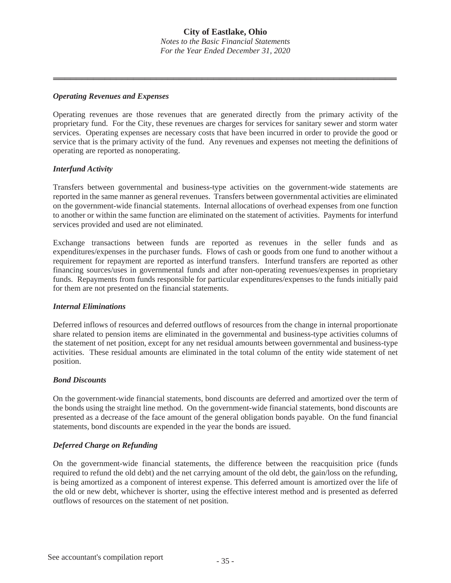## *Operating Revenues and Expenses*

Operating revenues are those revenues that are generated directly from the primary activity of the proprietary fund. For the City, these revenues are charges for services for sanitary sewer and storm water services. Operating expenses are necessary costs that have been incurred in order to provide the good or service that is the primary activity of the fund. Any revenues and expenses not meeting the definitions of operating are reported as nonoperating.

# *Interfund Activity*

Transfers between governmental and business-type activities on the government-wide statements are reported in the same manner as general revenues. Transfers between governmental activities are eliminated on the government-wide financial statements. Internal allocations of overhead expenses from one function to another or within the same function are eliminated on the statement of activities. Payments for interfund services provided and used are not eliminated.

Exchange transactions between funds are reported as revenues in the seller funds and as expenditures/expenses in the purchaser funds. Flows of cash or goods from one fund to another without a requirement for repayment are reported as interfund transfers. Interfund transfers are reported as other financing sources/uses in governmental funds and after non-operating revenues/expenses in proprietary funds. Repayments from funds responsible for particular expenditures/expenses to the funds initially paid for them are not presented on the financial statements.

#### *Internal Eliminations*

Deferred inflows of resources and deferred outflows of resources from the change in internal proportionate share related to pension items are eliminated in the governmental and business-type activities columns of the statement of net position, except for any net residual amounts between governmental and business-type activities. These residual amounts are eliminated in the total column of the entity wide statement of net position.

#### *Bond Discounts*

On the government-wide financial statements, bond discounts are deferred and amortized over the term of the bonds using the straight line method. On the government-wide financial statements, bond discounts are presented as a decrease of the face amount of the general obligation bonds payable. On the fund financial statements, bond discounts are expended in the year the bonds are issued.

# *Deferred Charge on Refunding*

On the government-wide financial statements, the difference between the reacquisition price (funds required to refund the old debt) and the net carrying amount of the old debt, the gain/loss on the refunding, is being amortized as a component of interest expense. This deferred amount is amortized over the life of the old or new debt, whichever is shorter, using the effective interest method and is presented as deferred outflows of resources on the statement of net position.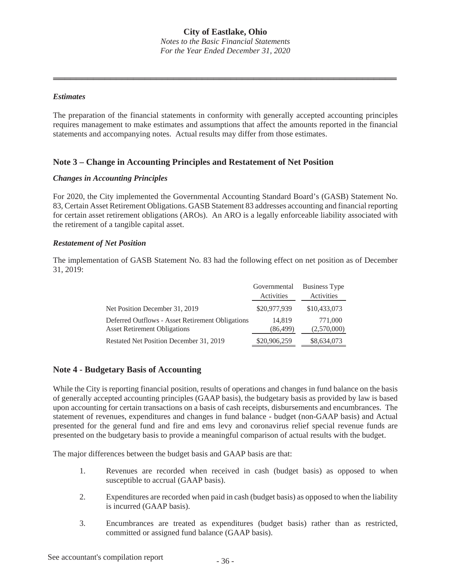#### *Estimates*

The preparation of the financial statements in conformity with generally accepted accounting principles requires management to make estimates and assumptions that affect the amounts reported in the financial statements and accompanying notes. Actual results may differ from those estimates.

## **Note 3 – Change in Accounting Principles and Restatement of Net Position**

### *Changes in Accounting Principles*

For 2020, the City implemented the Governmental Accounting Standard Board's (GASB) Statement No. 83, Certain Asset Retirement Obligations. GASB Statement 83 addresses accounting and financial reporting for certain asset retirement obligations (AROs). An ARO is a legally enforceable liability associated with the retirement of a tangible capital asset.

### *Restatement of Net Position*

The implementation of GASB Statement No. 83 had the following effect on net position as of December 31, 2019:

|                                                                                         | Governmental<br>Activities | <b>Business Type</b><br>Activities |
|-----------------------------------------------------------------------------------------|----------------------------|------------------------------------|
| Net Position December 31, 2019                                                          | \$20,977,939               | \$10,433,073                       |
| Deferred Outflows - Asset Retirement Obligations<br><b>Asset Retirement Obligations</b> | 14,819<br>(86, 499)        | 771,000<br>(2,570,000)             |
| Restated Net Position December 31, 2019                                                 | \$20,906,259               | \$8,634,073                        |

## **Note 4 - Budgetary Basis of Accounting**

While the City is reporting financial position, results of operations and changes in fund balance on the basis of generally accepted accounting principles (GAAP basis), the budgetary basis as provided by law is based upon accounting for certain transactions on a basis of cash receipts, disbursements and encumbrances. The statement of revenues, expenditures and changes in fund balance - budget (non-GAAP basis) and Actual presented for the general fund and fire and ems levy and coronavirus relief special revenue funds are presented on the budgetary basis to provide a meaningful comparison of actual results with the budget.

The major differences between the budget basis and GAAP basis are that:

- 1. Revenues are recorded when received in cash (budget basis) as opposed to when susceptible to accrual (GAAP basis).
- 2. Expenditures are recorded when paid in cash (budget basis) as opposed to when the liability is incurred (GAAP basis).
- 3. Encumbrances are treated as expenditures (budget basis) rather than as restricted, committed or assigned fund balance (GAAP basis).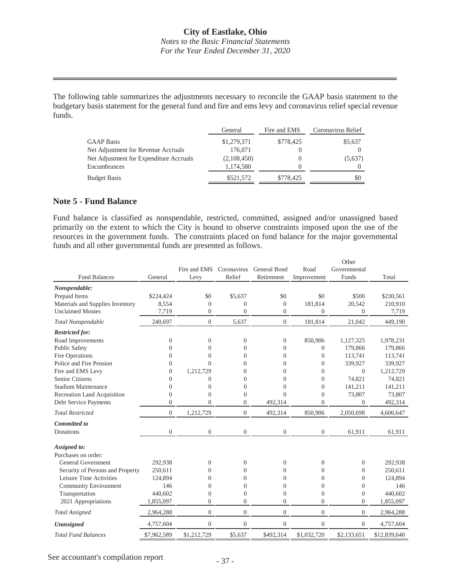*Notes to the Basic Financial Statements For the Year Ended December 31, 2020* 

The following table summarizes the adjustments necessary to reconcile the GAAP basis statement to the budgetary basis statement for the general fund and fire and ems levy and coronavirus relief special revenue funds.

*őőőőőőőőőőőőőőőőőőőőőőőőőőőőőőőőőőőőőőőőőőőőőőőőőőőőőőőőőőőő*

|                                         | General     | Fire and EMS | Coronavirus Relief |
|-----------------------------------------|-------------|--------------|--------------------|
| <b>GAAP Basis</b>                       | \$1,279,371 | \$778,425    | \$5,637            |
| Net Adjustment for Revenue Accruals     | 176,071     |              |                    |
| Net Adjustment for Expenditure Accruals | (2,108,450) |              | (5,637)            |
| Encumbrances                            | 1,174,580   |              |                    |
| <b>Budget Basis</b>                     | \$521,572   | \$778,425    | \$0                |

#### **Note 5 - Fund Balance**

Fund balance is classified as nonspendable, restricted, committed, assigned and/or unassigned based primarily on the extent to which the City is bound to observe constraints imposed upon the use of the resources in the government funds. The constraints placed on fund balance for the major governmental funds and all other governmental funds are presented as follows.

|                                  |                |                  |                  |                |                | Other          |              |
|----------------------------------|----------------|------------------|------------------|----------------|----------------|----------------|--------------|
|                                  |                | Fire and EMS     | Coronavirus      | General Bond   | Road           | Governmental   |              |
| <b>Fund Balances</b>             | General        | Levy             | Relief           | Retirement     | Improvement    | Funds          | Total        |
| Nonspendable:                    |                |                  |                  |                |                |                |              |
| Prepaid Items                    | \$224,424      | \$0              | \$5,637          | \$0            | \$0            | \$500          | \$230,561    |
| Materials and Supplies Inventory | 8,554          | $\theta$         | $\overline{0}$   | $\overline{0}$ | 181,814        | 20,542         | 210,910      |
| <b>Unclaimed Monies</b>          | 7,719          | $\overline{0}$   | $\overline{0}$   | $\Omega$       | $\Omega$       | $\theta$       | 7,719        |
| Total Nonspendable               | 240,697        | $\overline{0}$   | 5,637            | $\Omega$       | 181.814        | 21,042         | 449,190      |
| <b>Restricted for:</b>           |                |                  |                  |                |                |                |              |
| Road Improvements                | $\overline{0}$ | $\theta$         | $\mathbf{0}$     | $\overline{0}$ | 850,906        | 1,127,325      | 1,978,231    |
| Public Safety                    | $\theta$       | $\theta$         | $\mathbf{0}$     | $\Omega$       | 0              | 179,866        | 179,866      |
| Fire Operations                  | $\theta$       | $\theta$         | $\theta$         | $\overline{0}$ | $\theta$       | 113,741        | 113,741      |
| Police and Fire Pension          | $\theta$       | $\Omega$         | $\theta$         | 0              | $\overline{0}$ | 339,927        | 339,927      |
| Fire and EMS Levy                | $\overline{0}$ | 1,212,729        | $\mathbf{0}$     | 0              | $\theta$       | $\theta$       | 1,212,729    |
| <b>Senior Citizens</b>           | $\theta$       | $\overline{0}$   | $\mathbf{0}$     | 0              | $\theta$       | 74,821         | 74,821       |
| <b>Stadium Maintenance</b>       | $\theta$       | $\overline{0}$   | $\mathbf{0}$     | $\Omega$       | $\overline{0}$ | 141,211        | 141,211      |
| Recreation Land Acquisition      | $\theta$       | $\overline{0}$   | $\mathbf{0}$     | $\Omega$       | $\overline{0}$ | 73,807         | 73,807       |
| Debt Service Payments            | $\theta$       | $\overline{0}$   | $\boldsymbol{0}$ | 492,314        | $\overline{0}$ | $\theta$       | 492,314      |
| <b>Total Restricted</b>          | $\Omega$       | 1,212,729        | $\theta$         | 492,314        | 850,906        | 2,050,698      | 4,606,647    |
| <b>Committed to</b>              |                |                  |                  |                |                |                |              |
| Donations                        | $\overline{0}$ | $\boldsymbol{0}$ | $\boldsymbol{0}$ | $\mathbf{0}$   | $\mathbf{0}$   | 61,911         | 61,911       |
| Assigned to:                     |                |                  |                  |                |                |                |              |
| Purchases on order:              |                |                  |                  |                |                |                |              |
| <b>General Government</b>        | 292,938        | $\overline{0}$   | $\theta$         | $\overline{0}$ | $\theta$       | $\theta$       | 292,938      |
| Security of Persons and Property | 250,611        | $\Omega$         | $\Omega$         | 0              | $\Omega$       | $\Omega$       | 250,611      |
| Leisure Time Activities          | 124,894        | $\Omega$         | $\Omega$         | 0              | $\Omega$       | $\Omega$       | 124,894      |
| <b>Community Environment</b>     | 146            | $\theta$         | $\theta$         | 0              | $\theta$       | $\Omega$       | 146          |
| Transportation                   | 440,602        | $\theta$         | $\overline{0}$   | $\Omega$       | $\Omega$       | $\theta$       | 440,602      |
| 2021 Appropriations              | 1,855,097      | $\overline{0}$   | $\overline{0}$   | $\theta$       | $\Omega$       | $\overline{0}$ | 1,855,097    |
| <b>Total Assigned</b>            | 2,964,288      | $\Omega$         | $\overline{0}$   | $\Omega$       | $\Omega$       | $\Omega$       | 2,964,288    |
| <b>Unassigned</b>                | 4,757,604      | $\overline{0}$   | $\theta$         | $\overline{0}$ | $\overline{0}$ | $\theta$       | 4,757,604    |
| <b>Total Fund Balances</b>       | \$7,962,589    | \$1,212,729      | \$5,637          | \$492,314      | \$1,032,720    | \$2,133,651    | \$12,839,640 |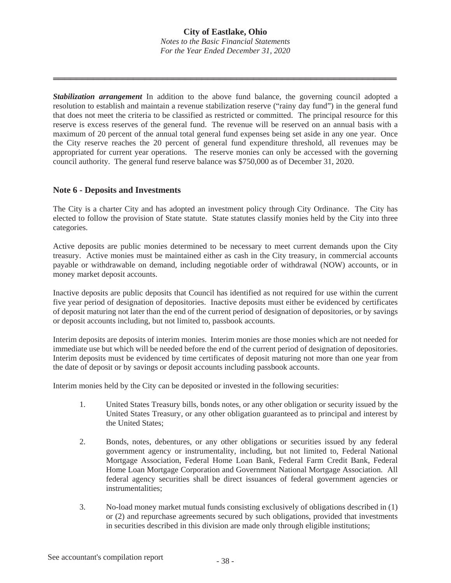*Stabilization arrangement* In addition to the above fund balance, the governing council adopted a resolution to establish and maintain a revenue stabilization reserve ("rainy day fund") in the general fund that does not meet the criteria to be classified as restricted or committed. The principal resource for this reserve is excess reserves of the general fund. The revenue will be reserved on an annual basis with a maximum of 20 percent of the annual total general fund expenses being set aside in any one year. Once the City reserve reaches the 20 percent of general fund expenditure threshold, all revenues may be appropriated for current year operations. The reserve monies can only be accessed with the governing council authority. The general fund reserve balance was \$750,000 as of December 31, 2020.

## **Note 6 - Deposits and Investments**

The City is a charter City and has adopted an investment policy through City Ordinance. The City has elected to follow the provision of State statute. State statutes classify monies held by the City into three categories.

Active deposits are public monies determined to be necessary to meet current demands upon the City treasury. Active monies must be maintained either as cash in the City treasury, in commercial accounts payable or withdrawable on demand, including negotiable order of withdrawal (NOW) accounts, or in money market deposit accounts.

Inactive deposits are public deposits that Council has identified as not required for use within the current five year period of designation of depositories. Inactive deposits must either be evidenced by certificates of deposit maturing not later than the end of the current period of designation of depositories, or by savings or deposit accounts including, but not limited to, passbook accounts.

Interim deposits are deposits of interim monies. Interim monies are those monies which are not needed for immediate use but which will be needed before the end of the current period of designation of depositories. Interim deposits must be evidenced by time certificates of deposit maturing not more than one year from the date of deposit or by savings or deposit accounts including passbook accounts.

Interim monies held by the City can be deposited or invested in the following securities:

- 1. United States Treasury bills, bonds notes, or any other obligation or security issued by the United States Treasury, or any other obligation guaranteed as to principal and interest by the United States;
- 2. Bonds, notes, debentures, or any other obligations or securities issued by any federal government agency or instrumentality, including, but not limited to, Federal National Mortgage Association, Federal Home Loan Bank, Federal Farm Credit Bank, Federal Home Loan Mortgage Corporation and Government National Mortgage Association. All federal agency securities shall be direct issuances of federal government agencies or instrumentalities;
- 3. No-load money market mutual funds consisting exclusively of obligations described in (1) or (2) and repurchase agreements secured by such obligations, provided that investments in securities described in this division are made only through eligible institutions;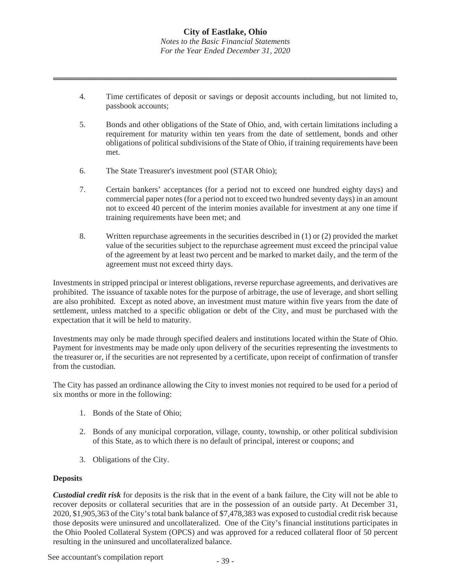- 4. Time certificates of deposit or savings or deposit accounts including, but not limited to, passbook accounts;
- 5. Bonds and other obligations of the State of Ohio, and, with certain limitations including a requirement for maturity within ten years from the date of settlement, bonds and other obligations of political subdivisions of the State of Ohio, if training requirements have been met.
- 6. The State Treasurer's investment pool (STAR Ohio);
- 7. Certain bankers' acceptances (for a period not to exceed one hundred eighty days) and commercial paper notes (for a period not to exceed two hundred seventy days) in an amount not to exceed 40 percent of the interim monies available for investment at any one time if training requirements have been met; and
- 8. Written repurchase agreements in the securities described in (1) or (2) provided the market value of the securities subject to the repurchase agreement must exceed the principal value of the agreement by at least two percent and be marked to market daily, and the term of the agreement must not exceed thirty days.

Investments in stripped principal or interest obligations, reverse repurchase agreements, and derivatives are prohibited. The issuance of taxable notes for the purpose of arbitrage, the use of leverage, and short selling are also prohibited. Except as noted above, an investment must mature within five years from the date of settlement, unless matched to a specific obligation or debt of the City, and must be purchased with the expectation that it will be held to maturity.

Investments may only be made through specified dealers and institutions located within the State of Ohio. Payment for investments may be made only upon delivery of the securities representing the investments to the treasurer or, if the securities are not represented by a certificate, upon receipt of confirmation of transfer from the custodian.

The City has passed an ordinance allowing the City to invest monies not required to be used for a period of six months or more in the following:

- 1. Bonds of the State of Ohio;
- 2. Bonds of any municipal corporation, village, county, township, or other political subdivision of this State, as to which there is no default of principal, interest or coupons; and
- 3. Obligations of the City.

### **Deposits**

*Custodial credit risk* for deposits is the risk that in the event of a bank failure, the City will not be able to recover deposits or collateral securities that are in the possession of an outside party. At December 31, 2020, \$1,905,363 of the City's total bank balance of \$7,478,383 was exposed to custodial credit risk because those deposits were uninsured and uncollateralized. One of the City's financial institutions participates in the Ohio Pooled Collateral System (OPCS) and was approved for a reduced collateral floor of 50 percent resulting in the uninsured and uncollateralized balance.

See accountant's compilation report [100] - 39 -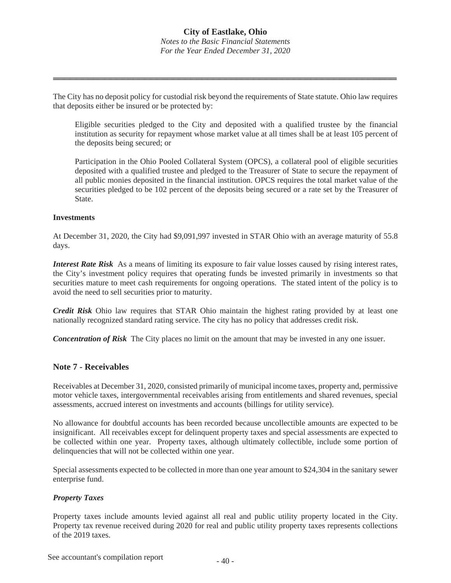# **City of Eastlake, Ohio** *Notes to the Basic Financial Statements*

*For the Year Ended December 31, 2020* 

The City has no deposit policy for custodial risk beyond the requirements of State statute. Ohio law requires that deposits either be insured or be protected by:

*őőőőőőőőőőőőőőőőőőőőőőőőőőőőőőőőőőőőőőőőőőőőőőőőőőőőőőőőőőőő*

Eligible securities pledged to the City and deposited with a qualified trustee by the financial institution as security for repayment whose market value at all times shall be at least 105 percent of the deposits being secured; or

Participation in the Ohio Pooled Collateral System (OPCS), a collateral pool of eligible securities deposited with a qualified trustee and pledged to the Treasurer of State to secure the repayment of all public monies deposited in the financial institution. OPCS requires the total market value of the securities pledged to be 102 percent of the deposits being secured or a rate set by the Treasurer of State.

#### **Investments**

At December 31, 2020, the City had \$9,091,997 invested in STAR Ohio with an average maturity of 55.8 days.

*Interest Rate Risk* As a means of limiting its exposure to fair value losses caused by rising interest rates, the City's investment policy requires that operating funds be invested primarily in investments so that securities mature to meet cash requirements for ongoing operations. The stated intent of the policy is to avoid the need to sell securities prior to maturity.

*Credit Risk* Ohio law requires that STAR Ohio maintain the highest rating provided by at least one nationally recognized standard rating service. The city has no policy that addresses credit risk.

*Concentration of Risk* The City places no limit on the amount that may be invested in any one issuer.

## **Note 7 - Receivables**

Receivables at December 31, 2020, consisted primarily of municipal income taxes, property and, permissive motor vehicle taxes, intergovernmental receivables arising from entitlements and shared revenues, special assessments, accrued interest on investments and accounts (billings for utility service).

No allowance for doubtful accounts has been recorded because uncollectible amounts are expected to be insignificant. All receivables except for delinquent property taxes and special assessments are expected to be collected within one year. Property taxes, although ultimately collectible, include some portion of delinquencies that will not be collected within one year.

Special assessments expected to be collected in more than one year amount to \$24,304 in the sanitary sewer enterprise fund.

### *Property Taxes*

Property taxes include amounts levied against all real and public utility property located in the City. Property tax revenue received during 2020 for real and public utility property taxes represents collections of the 2019 taxes.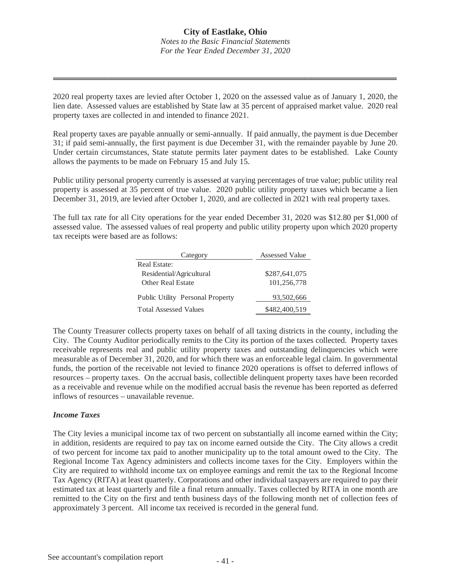*Notes to the Basic Financial Statements For the Year Ended December 31, 2020* 

2020 real property taxes are levied after October 1, 2020 on the assessed value as of January 1, 2020, the lien date. Assessed values are established by State law at 35 percent of appraised market value. 2020 real property taxes are collected in and intended to finance 2021.

*őőőőőőőőőőőőőőőőőőőőőőőőőőőőőőőőőőőőőőőőőőőőőőőőőőőőőőőőőőőő*

Real property taxes are payable annually or semi-annually. If paid annually, the payment is due December 31; if paid semi-annually, the first payment is due December 31, with the remainder payable by June 20. Under certain circumstances, State statute permits later payment dates to be established. Lake County allows the payments to be made on February 15 and July 15.

Public utility personal property currently is assessed at varying percentages of true value; public utility real property is assessed at 35 percent of true value. 2020 public utility property taxes which became a lien December 31, 2019, are levied after October 1, 2020, and are collected in 2021 with real property taxes.

The full tax rate for all City operations for the year ended December 31, 2020 was \$12.80 per \$1,000 of assessed value. The assessed values of real property and public utility property upon which 2020 property tax receipts were based are as follows:

| Category                         | <b>Assessed Value</b> |
|----------------------------------|-----------------------|
| Real Estate:                     |                       |
| Residential/Agricultural         | \$287,641,075         |
| <b>Other Real Estate</b>         | 101,256,778           |
| Public Utility Personal Property | 93,502,666            |
| Total Assessed Values            | \$482,400,519         |
|                                  |                       |

The County Treasurer collects property taxes on behalf of all taxing districts in the county, including the City. The County Auditor periodically remits to the City its portion of the taxes collected. Property taxes receivable represents real and public utility property taxes and outstanding delinquencies which were measurable as of December 31, 2020, and for which there was an enforceable legal claim. In governmental funds, the portion of the receivable not levied to finance 2020 operations is offset to deferred inflows of resources – property taxes. On the accrual basis, collectible delinquent property taxes have been recorded as a receivable and revenue while on the modified accrual basis the revenue has been reported as deferred inflows of resources – unavailable revenue.

### *Income Taxes*

The City levies a municipal income tax of two percent on substantially all income earned within the City; in addition, residents are required to pay tax on income earned outside the City. The City allows a credit of two percent for income tax paid to another municipality up to the total amount owed to the City. The Regional Income Tax Agency administers and collects income taxes for the City. Employers within the City are required to withhold income tax on employee earnings and remit the tax to the Regional Income Tax Agency (RITA) at least quarterly. Corporations and other individual taxpayers are required to pay their estimated tax at least quarterly and file a final return annually. Taxes collected by RITA in one month are remitted to the City on the first and tenth business days of the following month net of collection fees of approximately 3 percent. All income tax received is recorded in the general fund.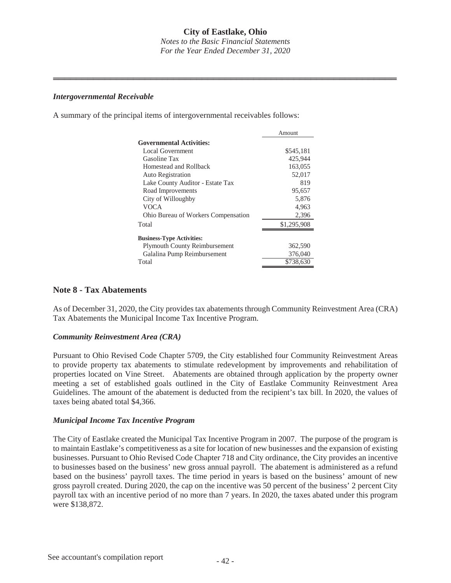*Notes to the Basic Financial Statements For the Year Ended December 31, 2020* 

*őőőőőőőőőőőőőőőőőőőőőőőőőőőőőőőőőőőőőőőőőőőőőőőőőőőőőőőőőőőő*

#### *Intergovernmental Receivable*

A summary of the principal items of intergovernmental receivables follows:

|                                            | Amount      |
|--------------------------------------------|-------------|
| <b>Governmental Activities:</b>            |             |
| <b>Local Government</b>                    | \$545,181   |
| Gasoline Tax                               | 425.944     |
| Homestead and Rollback                     | 163,055     |
| <b>Auto Registration</b>                   | 52,017      |
| Lake County Auditor - Estate Tax           | 819         |
| Road Improvements                          | 95,657      |
| City of Willoughby                         | 5,876       |
| VOCA                                       | 4,963       |
| <b>Ohio Bureau of Workers Compensation</b> | 2,396       |
| Total                                      | \$1,295,908 |
| <b>Business-Type Activities:</b>           |             |
| <b>Plymouth County Reimbursement</b>       | 362,590     |
| Galalina Pump Reimbursement                | 376,040     |
| Total                                      | \$738,630   |

### **Note 8 - Tax Abatements**

As of December 31, 2020, the City provides tax abatements through Community Reinvestment Area (CRA) Tax Abatements the Municipal Income Tax Incentive Program.

### *Community Reinvestment Area (CRA)*

Pursuant to Ohio Revised Code Chapter 5709, the City established four Community Reinvestment Areas to provide property tax abatements to stimulate redevelopment by improvements and rehabilitation of properties located on Vine Street. Abatements are obtained through application by the property owner meeting a set of established goals outlined in the City of Eastlake Community Reinvestment Area Guidelines. The amount of the abatement is deducted from the recipient's tax bill. In 2020, the values of taxes being abated total \$4,366.

### *Municipal Income Tax Incentive Program*

The City of Eastlake created the Municipal Tax Incentive Program in 2007. The purpose of the program is to maintain Eastlake's competitiveness as a site for location of new businesses and the expansion of existing businesses. Pursuant to Ohio Revised Code Chapter 718 and City ordinance, the City provides an incentive to businesses based on the business' new gross annual payroll. The abatement is administered as a refund based on the business' payroll taxes. The time period in years is based on the business' amount of new gross payroll created. During 2020, the cap on the incentive was 50 percent of the business' 2 percent City payroll tax with an incentive period of no more than 7 years. In 2020, the taxes abated under this program were \$138,872.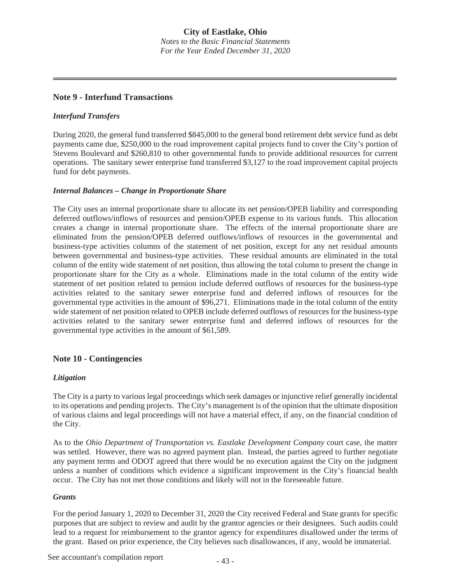### **Note 9 - Interfund Transactions**

### *Interfund Transfers*

During 2020, the general fund transferred \$845,000 to the general bond retirement debt service fund as debt payments came due, \$250,000 to the road improvement capital projects fund to cover the City's portion of Stevens Boulevard and \$260,810 to other governmental funds to provide additional resources for current operations. The sanitary sewer enterprise fund transferred \$3,127 to the road improvement capital projects fund for debt payments.

#### *Internal Balances – Change in Proportionate Share*

The City uses an internal proportionate share to allocate its net pension/OPEB liability and corresponding deferred outflows/inflows of resources and pension/OPEB expense to its various funds. This allocation creates a change in internal proportionate share. The effects of the internal proportionate share are eliminated from the pension/OPEB deferred outflows/inflows of resources in the governmental and business-type activities columns of the statement of net position, except for any net residual amounts between governmental and business-type activities. These residual amounts are eliminated in the total column of the entity wide statement of net position, thus allowing the total column to present the change in proportionate share for the City as a whole. Eliminations made in the total column of the entity wide statement of net position related to pension include deferred outflows of resources for the business-type activities related to the sanitary sewer enterprise fund and deferred inflows of resources for the governmental type activities in the amount of \$96,271. Eliminations made in the total column of the entity wide statement of net position related to OPEB include deferred outflows of resources for the business-type activities related to the sanitary sewer enterprise fund and deferred inflows of resources for the governmental type activities in the amount of \$61,589.

### **Note 10 - Contingencies**

#### *Litigation*

The City is a party to various legal proceedings which seek damages or injunctive relief generally incidental to its operations and pending projects. The City's management is of the opinion that the ultimate disposition of various claims and legal proceedings will not have a material effect, if any, on the financial condition of the City.

As to the *Ohio Department of Transportation vs. Eastlake Development Company* court case, the matter was settled. However, there was no agreed payment plan. Instead, the parties agreed to further negotiate any payment terms and ODOT agreed that there would be no execution against the City on the judgment unless a number of conditions which evidence a significant improvement in the City's financial health occur. The City has not met those conditions and likely will not in the foreseeable future.

#### *Grants*

For the period January 1, 2020 to December 31, 2020 the City received Federal and State grants for specific purposes that are subject to review and audit by the grantor agencies or their designees. Such audits could lead to a request for reimbursement to the grantor agency for expenditures disallowed under the terms of the grant. Based on prior experience, the City believes such disallowances, if any, would be immaterial.

See accountant's compilation report  $-43$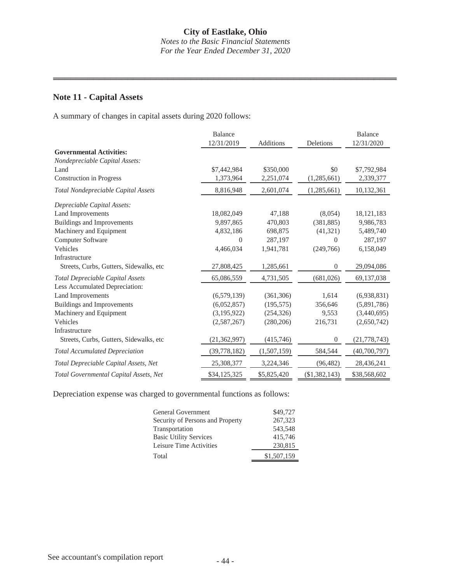*Notes to the Basic Financial Statements For the Year Ended December 31, 2020* 

*őőőőőőőőőőőőőőőőőőőőőőőőőőőőőőőőőőőőőőőőőőőőőőőőőőőőőőőőőőőő*

# **Note 11 - Capital Assets**

A summary of changes in capital assets during 2020 follows:

|                                          | <b>Balance</b> |             |               | <b>Balance</b> |
|------------------------------------------|----------------|-------------|---------------|----------------|
|                                          | 12/31/2019     | Additions   | Deletions     | 12/31/2020     |
| <b>Governmental Activities:</b>          |                |             |               |                |
| Nondepreciable Capital Assets:           |                |             |               |                |
| Land                                     | \$7,442,984    | \$350,000   | \$0           | \$7,792,984    |
| Construction in Progress                 | 1,373,964      | 2,251,074   | (1,285,661)   | 2,339,377      |
| Total Nondepreciable Capital Assets      | 8,816,948      | 2,601,074   | (1, 285, 661) | 10,132,361     |
| Depreciable Capital Assets:              |                |             |               |                |
| <b>Land Improvements</b>                 | 18,082,049     | 47,188      | (8,054)       | 18, 121, 183   |
| <b>Buildings and Improvements</b>        | 9,897,865      | 470,803     | (381, 885)    | 9,986,783      |
| Machinery and Equipment                  | 4,832,186      | 698,875     | (41,321)      | 5,489,740      |
| Computer Software                        | $\theta$       | 287,197     | $\Omega$      | 287,197        |
| Vehicles                                 | 4,466,034      | 1,941,781   | (249,766)     | 6,158,049      |
| Infrastructure                           |                |             |               |                |
| Streets, Curbs, Gutters, Sidewalks, etc. | 27,808,425     | 1,285,661   | $\theta$      | 29,094,086     |
| Total Depreciable Capital Assets         | 65,086,559     | 4,731,505   | (681, 026)    | 69,137,038     |
| Less Accumulated Depreciation:           |                |             |               |                |
| <b>Land Improvements</b>                 | (6, 579, 139)  | (361, 306)  | 1,614         | (6,938,831)    |
| <b>Buildings and Improvements</b>        | (6,052,857)    | (195, 575)  | 356,646       | (5,891,786)    |
| Machinery and Equipment                  | (3,195,922)    | (254, 326)  | 9,553         | (3,440,695)    |
| Vehicles                                 | (2,587,267)    | (280, 206)  | 216,731       | (2,650,742)    |
| Infrastructure                           |                |             |               |                |
| Streets, Curbs, Gutters, Sidewalks, etc. | (21, 362, 997) | (415, 746)  | $\theta$      | (21, 778, 743) |
| <b>Total Accumulated Depreciation</b>    | (39, 778, 182) | (1,507,159) | 584,544       | (40,700,797)   |
| Total Depreciable Capital Assets, Net    | 25,308,377     | 3,224,346   | (96, 482)     | 28,436,241     |
| Total Governmental Capital Assets, Net   | \$34,125,325   | \$5,825,420 | (\$1,382,143) | \$38,568,602   |

Depreciation expense was charged to governmental functions as follows:

| <b>General Government</b>        | \$49,727    |
|----------------------------------|-------------|
| Security of Persons and Property | 267,323     |
| Transportation                   | 543.548     |
| <b>Basic Utility Services</b>    | 415,746     |
| Leisure Time Activities          | 230,815     |
| Total                            | \$1,507,159 |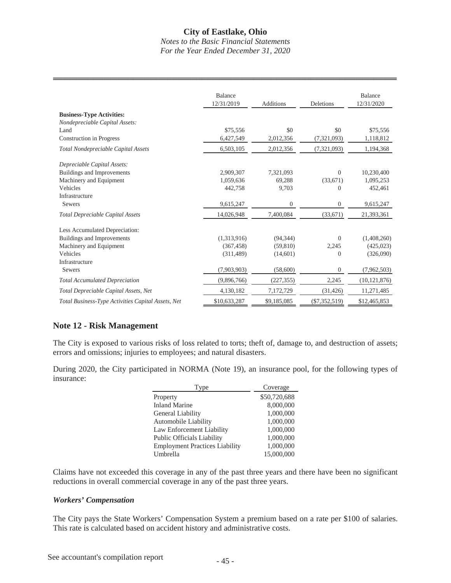*Notes to the Basic Financial Statements For the Year Ended December 31, 2020* 

|                                                    | <b>Balance</b><br>12/31/2019 | Additions   | Deletions        | Balance<br>12/31/2020 |
|----------------------------------------------------|------------------------------|-------------|------------------|-----------------------|
| <b>Business-Type Activities:</b>                   |                              |             |                  |                       |
| Nondepreciable Capital Assets:                     |                              |             |                  |                       |
| Land                                               | \$75,556                     | \$0         | \$0              | \$75,556              |
| <b>Construction</b> in Progress                    | 6,427,549                    | 2,012,356   | (7,321,093)      | 1,118,812             |
| Total Nondepreciable Capital Assets                | 6,503,105                    | 2,012,356   | (7,321,093)      | 1,194,368             |
| Depreciable Capital Assets:                        |                              |             |                  |                       |
| <b>Buildings and Improvements</b>                  | 2,909,307                    | 7,321,093   | $\Omega$         | 10,230,400            |
| Machinery and Equipment                            | 1,059,636                    | 69,288      | (33, 671)        | 1,095,253             |
| Vehicles                                           | 442,758                      | 9,703       | $\overline{0}$   | 452,461               |
| Infrastructure                                     |                              |             |                  |                       |
| <b>Sewers</b>                                      | 9,615,247                    | $\Omega$    | $\Omega$         | 9,615,247             |
| <b>Total Depreciable Capital Assets</b>            | 14,026,948                   | 7,400,084   | (33, 671)        | 21,393,361            |
| Less Accumulated Depreciation:                     |                              |             |                  |                       |
| Buildings and Improvements                         | (1,313,916)                  | (94, 344)   | $\Omega$         | (1,408,260)           |
| Machinery and Equipment                            | (367, 458)                   | (59, 810)   | 2,245            | (425, 023)            |
| Vehicles                                           | (311, 489)                   | (14,601)    | $\overline{0}$   | (326,090)             |
| Infrastructure                                     |                              |             |                  |                       |
| Sewers                                             | (7,903,903)                  | (58,600)    | $\boldsymbol{0}$ | (7,962,503)           |
| <b>Total Accumulated Depreciation</b>              | (9,896,766)                  | (227, 355)  | 2,245            | (10, 121, 876)        |
| Total Depreciable Capital Assets, Net              | 4,130,182                    | 7,172,729   | (31, 426)        | 11,271,485            |
| Total Business-Type Activities Capital Assets, Net | \$10,633,287                 | \$9,185,085 | $(\$7,352,519)$  | \$12,465,853          |

## **Note 12 - Risk Management**

The City is exposed to various risks of loss related to torts; theft of, damage to, and destruction of assets; errors and omissions; injuries to employees; and natural disasters.

During 2020, the City participated in NORMA (Note 19), an insurance pool, for the following types of insurance:

| Type                                  | Coverage     |
|---------------------------------------|--------------|
| Property                              | \$50,720,688 |
| <b>Inland Marine</b>                  | 8,000,000    |
| General Liability                     | 1,000,000    |
| Automobile Liability                  | 1,000,000    |
| Law Enforcement Liability             | 1,000,000    |
| Public Officials Liability            | 1,000,000    |
| <b>Employment Practices Liability</b> | 1,000,000    |
| Umbrella                              | 15,000,000   |

Claims have not exceeded this coverage in any of the past three years and there have been no significant reductions in overall commercial coverage in any of the past three years.

### *Workers' Compensation*

The City pays the State Workers' Compensation System a premium based on a rate per \$100 of salaries. This rate is calculated based on accident history and administrative costs.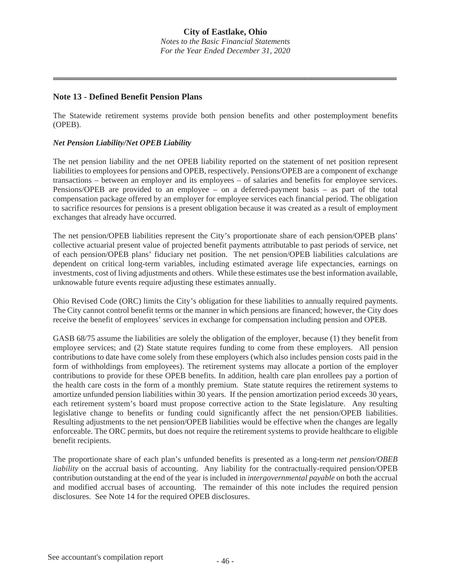### **Note 13 - Defined Benefit Pension Plans**

The Statewide retirement systems provide both pension benefits and other postemployment benefits (OPEB).

#### *Net Pension Liability/Net OPEB Liability*

The net pension liability and the net OPEB liability reported on the statement of net position represent liabilities to employees for pensions and OPEB, respectively. Pensions/OPEB are a component of exchange transactions – between an employer and its employees – of salaries and benefits for employee services. Pensions/OPEB are provided to an employee – on a deferred-payment basis – as part of the total compensation package offered by an employer for employee services each financial period. The obligation to sacrifice resources for pensions is a present obligation because it was created as a result of employment exchanges that already have occurred.

The net pension/OPEB liabilities represent the City's proportionate share of each pension/OPEB plans' collective actuarial present value of projected benefit payments attributable to past periods of service, net of each pension/OPEB plans' fiduciary net position. The net pension/OPEB liabilities calculations are dependent on critical long-term variables, including estimated average life expectancies, earnings on investments, cost of living adjustments and others. While these estimates use the best information available, unknowable future events require adjusting these estimates annually.

Ohio Revised Code (ORC) limits the City's obligation for these liabilities to annually required payments. The City cannot control benefit terms or the manner in which pensions are financed; however, the City does receive the benefit of employees' services in exchange for compensation including pension and OPEB.

GASB 68/75 assume the liabilities are solely the obligation of the employer, because (1) they benefit from employee services; and (2) State statute requires funding to come from these employers. All pension contributions to date have come solely from these employers (which also includes pension costs paid in the form of withholdings from employees). The retirement systems may allocate a portion of the employer contributions to provide for these OPEB benefits. In addition, health care plan enrollees pay a portion of the health care costs in the form of a monthly premium. State statute requires the retirement systems to amortize unfunded pension liabilities within 30 years. If the pension amortization period exceeds 30 years, each retirement system's board must propose corrective action to the State legislature. Any resulting legislative change to benefits or funding could significantly affect the net pension/OPEB liabilities. Resulting adjustments to the net pension/OPEB liabilities would be effective when the changes are legally enforceable. The ORC permits, but does not require the retirement systems to provide healthcare to eligible benefit recipients.

The proportionate share of each plan's unfunded benefits is presented as a long-term *net pension/OBEB liability* on the accrual basis of accounting. Any liability for the contractually-required pension/OPEB contribution outstanding at the end of the year is included in *intergovernmental payable* on both the accrual and modified accrual bases of accounting. The remainder of this note includes the required pension disclosures. See Note 14 for the required OPEB disclosures.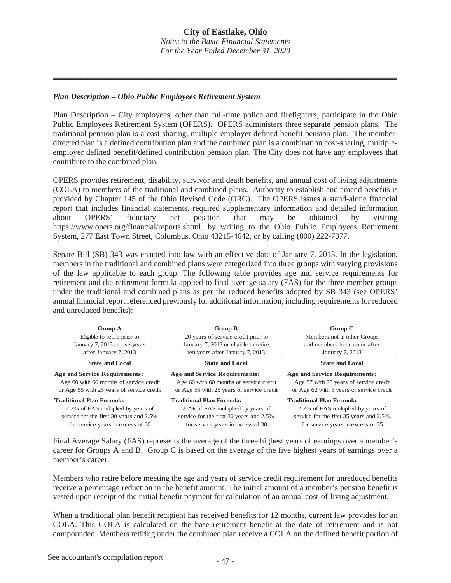#### *Plan Description – Ohio Public Employees Retirement System*

Plan Description – City employees, other than full-time police and firefighters, participate in the Ohio Public Employees Retirement System (OPERS). OPERS administers three separate pension plans. The traditional pension plan is a cost-sharing, multiple-employer defined benefit pension plan. The memberdirected plan is a defined contribution plan and the combined plan is a combination cost-sharing, multipleemployer defined benefit/defined contribution pension plan. The City does not have any employees that contribute to the combined plan.

OPERS provides retirement, disability, survivor and death benefits, and annual cost of living adjustments (COLA) to members of the traditional and combined plans. Authority to establish and amend benefits is provided by Chapter 145 of the Ohio Revised Code (ORC). The OPERS issues a stand-alone financial report that includes financial statements, required supplementary information and detailed information about OPERS' fiduciary net position that may be obtained by visiting https://www.opers.org/financial/reports.shtml, by writing to the Ohio Public Employees Retirement System, 277 East Town Street, Columbus, Ohio 43215-4642, or by calling (800) 222-7377.

Senate Bill (SB) 343 was enacted into law with an effective date of January 7, 2013. In the legislation, members in the traditional and combined plans were categorized into three groups with varying provisions of the law applicable to each group. The following table provides age and service requirements for retirement and the retirement formula applied to final average salary (FAS) for the three member groups under the traditional and combined plans as per the reduced benefits adopted by SB 343 (see OPERS' annual financial report referenced previously for additional information, including requirements for reduced and unreduced benefits):

| <b>Group A</b>                            | <b>Group B</b>                            | Group C                                  |
|-------------------------------------------|-------------------------------------------|------------------------------------------|
| Eligible to retire prior to               | 20 years of service credit prior to       | Members not in other Groups              |
| January 7, 2013 or five years             | January 7, 2013 or eligible to retire     | and members hired on or after            |
| after January 7, 2013                     | ten years after January 7, 2013           | January 7, 2013                          |
| <b>State and Local</b>                    | <b>State and Local</b>                    | <b>State and Local</b>                   |
| Age and Service Requirements:             | Age and Service Requirements:             | Age and Service Requirements:            |
| Age 60 with 60 months of service credit   | Age 60 with 60 months of service credit   | Age 57 with 25 years of service credit   |
| or Age 55 with 25 years of service credit | or Age 55 with 25 years of service credit | or Age 62 with 5 years of service credit |
| <b>Traditional Plan Formula:</b>          | <b>Traditional Plan Formula:</b>          | <b>Traditional Plan Formula:</b>         |
| 2.2% of FAS multiplied by years of        | 2.2% of FAS multiplied by years of        | 2.2% of FAS multiplied by years of       |
| service for the first 30 years and 2.5%   | service for the first 30 years and 2.5%   | service for the first 35 years and 2.5%  |
| for service years in excess of 30         | for service years in excess of 30         | for service years in excess of 35        |

Final Average Salary (FAS) represents the average of the three highest years of earnings over a member's career for Groups A and B. Group C is based on the average of the five highest years of earnings over a member's career.

Members who retire before meeting the age and years of service credit requirement for unreduced benefits receive a percentage reduction in the benefit amount. The initial amount of a member's pension benefit is vested upon receipt of the initial benefit payment for calculation of an annual cost-of-living adjustment.

When a traditional plan benefit recipient has received benefits for 12 months, current law provides for an COLA. This COLA is calculated on the base retirement benefit at the date of retirement and is not compounded. Members retiring under the combined plan receive a COLA on the defined benefit portion of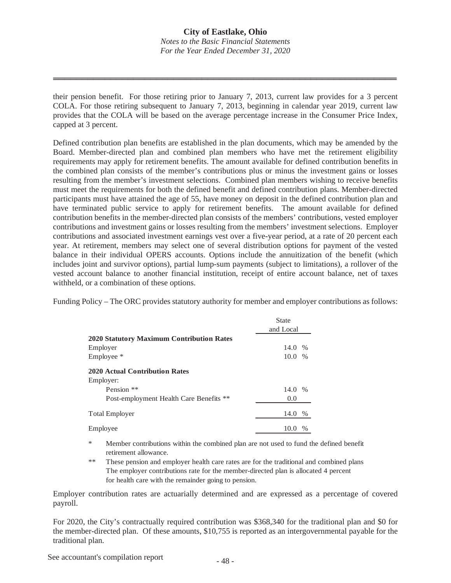their pension benefit. For those retiring prior to January 7, 2013, current law provides for a 3 percent COLA. For those retiring subsequent to January 7, 2013, beginning in calendar year 2019, current law provides that the COLA will be based on the average percentage increase in the Consumer Price Index, capped at 3 percent.

*őőőőőőőőőőőőőőőőőőőőőőőőőőőőőőőőőőőőőőőőőőőőőőőőőőőőőőőőőőőő*

Defined contribution plan benefits are established in the plan documents, which may be amended by the Board. Member-directed plan and combined plan members who have met the retirement eligibility requirements may apply for retirement benefits. The amount available for defined contribution benefits in the combined plan consists of the member's contributions plus or minus the investment gains or losses resulting from the member's investment selections. Combined plan members wishing to receive benefits must meet the requirements for both the defined benefit and defined contribution plans. Member-directed participants must have attained the age of 55, have money on deposit in the defined contribution plan and have terminated public service to apply for retirement benefits. The amount available for defined contribution benefits in the member-directed plan consists of the members' contributions, vested employer contributions and investment gains or losses resulting from the members' investment selections. Employer contributions and associated investment earnings vest over a five-year period, at a rate of 20 percent each year. At retirement, members may select one of several distribution options for payment of the vested balance in their individual OPERS accounts. Options include the annuitization of the benefit (which includes joint and survivor options), partial lump-sum payments (subject to limitations), a rollover of the vested account balance to another financial institution, receipt of entire account balance, net of taxes withheld, or a combination of these options.

Funding Policy – The ORC provides statutory authority for member and employer contributions as follows:

|                                                  | State                 |  |  |  |
|--------------------------------------------------|-----------------------|--|--|--|
|                                                  | and Local             |  |  |  |
| <b>2020 Statutory Maximum Contribution Rates</b> |                       |  |  |  |
| Employer                                         | 14.0%                 |  |  |  |
| Employee *                                       | 10.0%                 |  |  |  |
| 2020 Actual Contribution Rates                   |                       |  |  |  |
| Employer:                                        |                       |  |  |  |
| Pension **                                       | 14.0%                 |  |  |  |
| Post-employment Health Care Benefits **          | 0.0                   |  |  |  |
| <b>Total Employer</b>                            | 14.0                  |  |  |  |
| Employee                                         | 10.0<br>$\frac{0}{0}$ |  |  |  |

\* Member contributions within the combined plan are not used to fund the defined benefit retirement allowance.

\*\* These pension and employer health care rates are for the traditional and combined plans The employer contributions rate for the member-directed plan is allocated 4 percent for health care with the remainder going to pension.

Employer contribution rates are actuarially determined and are expressed as a percentage of covered payroll.

For 2020, the City's contractually required contribution was \$368,340 for the traditional plan and \$0 for the member-directed plan. Of these amounts, \$10,755 is reported as an intergovernmental payable for the traditional plan.

See accountant's compilation report  $-48$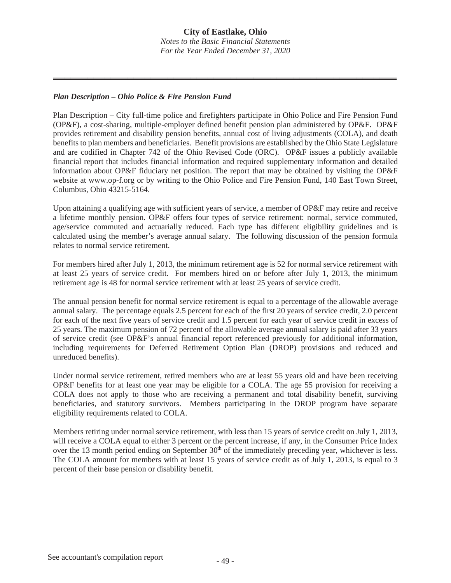### *Plan Description – Ohio Police & Fire Pension Fund*

Plan Description – City full-time police and firefighters participate in Ohio Police and Fire Pension Fund (OP&F), a cost-sharing, multiple-employer defined benefit pension plan administered by OP&F. OP&F provides retirement and disability pension benefits, annual cost of living adjustments (COLA), and death benefits to plan members and beneficiaries. Benefit provisions are established by the Ohio State Legislature and are codified in Chapter 742 of the Ohio Revised Code (ORC). OP&F issues a publicly available financial report that includes financial information and required supplementary information and detailed information about OP&F fiduciary net position. The report that may be obtained by visiting the OP&F website at www.op-f.org or by writing to the Ohio Police and Fire Pension Fund, 140 East Town Street, Columbus, Ohio 43215-5164.

Upon attaining a qualifying age with sufficient years of service, a member of OP&F may retire and receive a lifetime monthly pension. OP&F offers four types of service retirement: normal, service commuted, age/service commuted and actuarially reduced. Each type has different eligibility guidelines and is calculated using the member's average annual salary. The following discussion of the pension formula relates to normal service retirement.

For members hired after July 1, 2013, the minimum retirement age is 52 for normal service retirement with at least 25 years of service credit. For members hired on or before after July 1, 2013, the minimum retirement age is 48 for normal service retirement with at least 25 years of service credit.

The annual pension benefit for normal service retirement is equal to a percentage of the allowable average annual salary. The percentage equals 2.5 percent for each of the first 20 years of service credit, 2.0 percent for each of the next five years of service credit and 1.5 percent for each year of service credit in excess of 25 years. The maximum pension of 72 percent of the allowable average annual salary is paid after 33 years of service credit (see OP&F's annual financial report referenced previously for additional information, including requirements for Deferred Retirement Option Plan (DROP) provisions and reduced and unreduced benefits).

Under normal service retirement, retired members who are at least 55 years old and have been receiving OP&F benefits for at least one year may be eligible for a COLA. The age 55 provision for receiving a COLA does not apply to those who are receiving a permanent and total disability benefit, surviving beneficiaries, and statutory survivors. Members participating in the DROP program have separate eligibility requirements related to COLA.

Members retiring under normal service retirement, with less than 15 years of service credit on July 1, 2013, will receive a COLA equal to either 3 percent or the percent increase, if any, in the Consumer Price Index over the 13 month period ending on September  $30<sup>th</sup>$  of the immediately preceding year, whichever is less. The COLA amount for members with at least 15 years of service credit as of July 1, 2013, is equal to 3 percent of their base pension or disability benefit.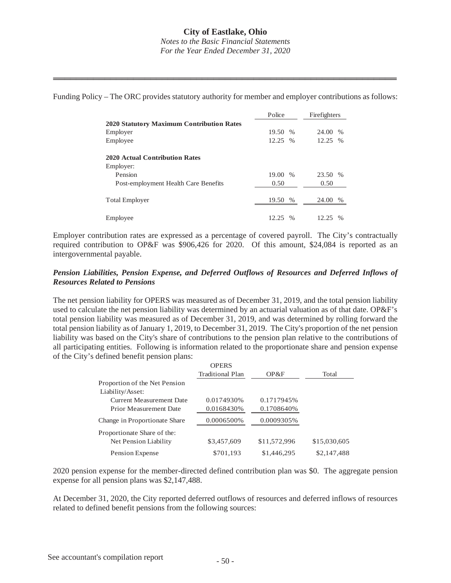*Notes to the Basic Financial Statements For the Year Ended December 31, 2020* 

Funding Policy – The ORC provides statutory authority for member and employer contributions as follows:

*őőőőőőőőőőőőőőőőőőőőőőőőőőőőőőőőőőőőőőőőőőőőőőőőőőőőőőőőőőőő*

|                                           | Police        | Firefighters  |
|-------------------------------------------|---------------|---------------|
| 2020 Statutory Maximum Contribution Rates |               |               |
| Employer                                  | 19.50 %       | 24.00 %       |
| Employee                                  | $12.25\%$     | 12.25 %       |
| 2020 Actual Contribution Rates            |               |               |
| Employer:                                 |               |               |
| Pension                                   | $19.00\%$     | 23.50 %       |
| Post-employment Health Care Benefits      | 0.50          | 0.50          |
| <b>Total Employer</b>                     | 19.50%        | 24.00 %       |
| Employee                                  | 12.25<br>$\%$ | 12.25<br>$\%$ |

Employer contribution rates are expressed as a percentage of covered payroll. The City's contractually required contribution to OP&F was \$906,426 for 2020. Of this amount, \$24,084 is reported as an intergovernmental payable.

### *Pension Liabilities, Pension Expense, and Deferred Outflows of Resources and Deferred Inflows of Resources Related to Pensions*

The net pension liability for OPERS was measured as of December 31, 2019, and the total pension liability used to calculate the net pension liability was determined by an actuarial valuation as of that date. OP&F's total pension liability was measured as of December 31, 2019, and was determined by rolling forward the total pension liability as of January 1, 2019, to December 31, 2019. The City's proportion of the net pension liability was based on the City's share of contributions to the pension plan relative to the contributions of all participating entities. Following is information related to the proportionate share and pension expense of the City's defined benefit pension plans:

|                                 | <b>OPERS</b>            |              |              |
|---------------------------------|-------------------------|--------------|--------------|
|                                 | <b>Traditional Plan</b> | OP&F         | Total        |
| Proportion of the Net Pension   |                         |              |              |
| Liability/Asset:                |                         |              |              |
| <b>Current Measurement Date</b> | 0.0174930\%             | 0.1717945%   |              |
| <b>Prior Measurement Date</b>   | 0.0168430%              | 0.1708640%   |              |
| Change in Proportionate Share   | 0.0006500%              | 0.0009305%   |              |
| Proportionate Share of the:     |                         |              |              |
| Net Pension Liability           | \$3,457,609             | \$11,572,996 | \$15,030,605 |
| Pension Expense                 | \$701.193               | \$1,446,295  | \$2,147,488  |

2020 pension expense for the member-directed defined contribution plan was \$0. The aggregate pension expense for all pension plans was \$2,147,488.

At December 31, 2020, the City reported deferred outflows of resources and deferred inflows of resources related to defined benefit pensions from the following sources: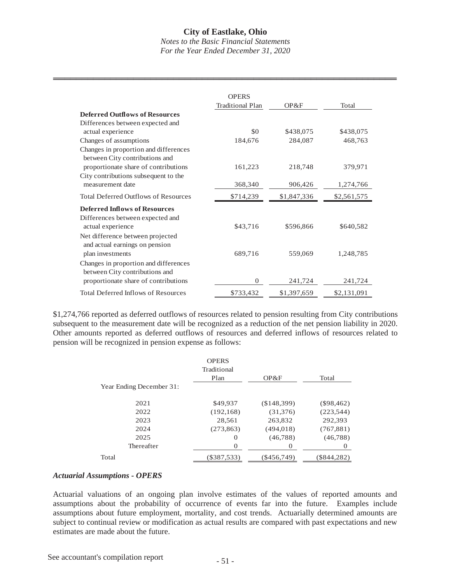*Notes to the Basic Financial Statements For the Year Ended December 31, 2020* 

*őőőőőőőőőőőőőőőőőőőőőőőőőőőőőőőőőőőőőőőőőőőőőőőőőőőőőőőőőőőő*

|                                             | <b>OPERS</b>            |             |             |
|---------------------------------------------|-------------------------|-------------|-------------|
|                                             | <b>Traditional Plan</b> | OP&F        | Total       |
| <b>Deferred Outflows of Resources</b>       |                         |             |             |
| Differences between expected and            |                         |             |             |
| actual experience                           | \$0                     | \$438,075   | \$438,075   |
| Changes of assumptions                      | 184,676                 | 284,087     | 468,763     |
| Changes in proportion and differences       |                         |             |             |
| between City contributions and              |                         |             |             |
| proportionate share of contributions        | 161,223                 | 218,748     | 379,971     |
| City contributions subsequent to the        |                         |             |             |
| measurement date                            | 368,340                 | 906,426     | 1,274,766   |
| <b>Total Deferred Outflows of Resources</b> | \$714,239               | \$1,847,336 | \$2,561,575 |
| <b>Deferred Inflows of Resources</b>        |                         |             |             |
| Differences between expected and            |                         |             |             |
| actual experience                           | \$43,716                | \$596,866   | \$640,582   |
| Net difference between projected            |                         |             |             |
| and actual earnings on pension              |                         |             |             |
| plan investments                            | 689,716                 | 559,069     | 1,248,785   |
| Changes in proportion and differences       |                         |             |             |
| between City contributions and              |                         |             |             |
| proportionate share of contributions        | $\Omega$                | 241,724     | 241,724     |
| <b>Total Deferred Inflows of Resources</b>  | \$733,432               | \$1,397,659 | \$2,131,091 |

\$1,274,766 reported as deferred outflows of resources related to pension resulting from City contributions subsequent to the measurement date will be recognized as a reduction of the net pension liability in 2020. Other amounts reported as deferred outflows of resources and deferred inflows of resources related to pension will be recognized in pension expense as follows:

|                          | <b>OPERS</b>   |             |              |
|--------------------------|----------------|-------------|--------------|
|                          | Traditional    |             |              |
|                          | Plan           | OP&F        | Total        |
| Year Ending December 31: |                |             |              |
|                          |                |             |              |
| 2021                     | \$49,937       | (\$148,399) | $(\$98,462)$ |
| 2022                     | (192, 168)     | (31,376)    | (223, 544)   |
| 2023                     | 28,561         | 263,832     | 292,393      |
| 2024                     | (273, 863)     | (494, 018)  | (767, 881)   |
| 2025                     | $\overline{0}$ | (46,788)    | (46,788)     |
| Thereafter               | 0              |             | $\theta$     |
| Total                    | $(\$387,533)$  | (\$456,749) | (\$844,282)  |

#### *Actuarial Assumptions - OPERS*

Actuarial valuations of an ongoing plan involve estimates of the values of reported amounts and assumptions about the probability of occurrence of events far into the future. Examples include assumptions about future employment, mortality, and cost trends. Actuarially determined amounts are subject to continual review or modification as actual results are compared with past expectations and new estimates are made about the future.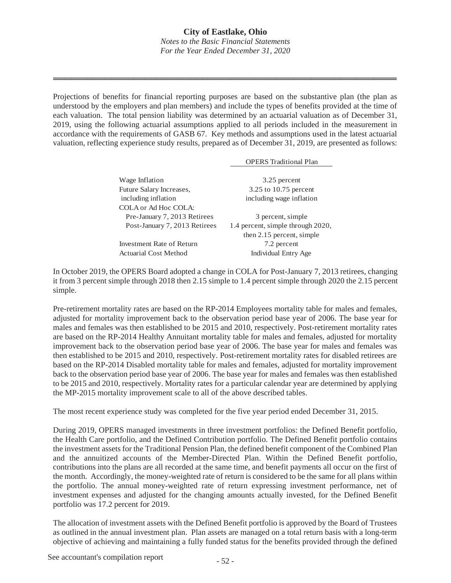*Notes to the Basic Financial Statements For the Year Ended December 31, 2020* 

*őőőőőőőőőőőőőőőőőőőőőőőőőőőőőőőőőőőőőőőőőőőőőőőőőőőőőőőőőőőő*

Projections of benefits for financial reporting purposes are based on the substantive plan (the plan as understood by the employers and plan members) and include the types of benefits provided at the time of each valuation. The total pension liability was determined by an actuarial valuation as of December 31, 2019, using the following actuarial assumptions applied to all periods included in the measurement in accordance with the requirements of GASB 67. Key methods and assumptions used in the latest actuarial valuation, reflecting experience study results, prepared as of December 31, 2019, are presented as follows:

|                               | <b>OPERS</b> Traditional Plan     |
|-------------------------------|-----------------------------------|
|                               |                                   |
| Wage Inflation                | 3.25 percent                      |
| Future Salary Increases,      | 3.25 to 10.75 percent             |
| including inflation           | including wage inflation          |
| COLA or Ad Hoc COLA:          |                                   |
| Pre-January 7, 2013 Retirees  | 3 percent, simple                 |
| Post-January 7, 2013 Retirees | 1.4 percent, simple through 2020, |
|                               | then 2.15 percent, simple         |
| Investment Rate of Return     | 7.2 percent                       |
| Actuarial Cost Method         | Individual Entry Age              |

In October 2019, the OPERS Board adopted a change in COLA for Post-January 7, 2013 retirees, changing it from 3 percent simple through 2018 then 2.15 simple to 1.4 percent simple through 2020 the 2.15 percent simple.

Pre-retirement mortality rates are based on the RP-2014 Employees mortality table for males and females, adjusted for mortality improvement back to the observation period base year of 2006. The base year for males and females was then established to be 2015 and 2010, respectively. Post-retirement mortality rates are based on the RP-2014 Healthy Annuitant mortality table for males and females, adjusted for mortality improvement back to the observation period base year of 2006. The base year for males and females was then established to be 2015 and 2010, respectively. Post-retirement mortality rates for disabled retirees are based on the RP-2014 Disabled mortality table for males and females, adjusted for mortality improvement back to the observation period base year of 2006. The base year for males and females was then established to be 2015 and 2010, respectively. Mortality rates for a particular calendar year are determined by applying the MP-2015 mortality improvement scale to all of the above described tables.

The most recent experience study was completed for the five year period ended December 31, 2015.

During 2019, OPERS managed investments in three investment portfolios: the Defined Benefit portfolio, the Health Care portfolio, and the Defined Contribution portfolio. The Defined Benefit portfolio contains the investment assets for the Traditional Pension Plan, the defined benefit component of the Combined Plan and the annuitized accounts of the Member-Directed Plan. Within the Defined Benefit portfolio, contributions into the plans are all recorded at the same time, and benefit payments all occur on the first of the month. Accordingly, the money-weighted rate of return is considered to be the same for all plans within the portfolio. The annual money-weighted rate of return expressing investment performance, net of investment expenses and adjusted for the changing amounts actually invested, for the Defined Benefit portfolio was 17.2 percent for 2019.

The allocation of investment assets with the Defined Benefit portfolio is approved by the Board of Trustees as outlined in the annual investment plan. Plan assets are managed on a total return basis with a long-term objective of achieving and maintaining a fully funded status for the benefits provided through the defined

See accountant's compilation report  $-52$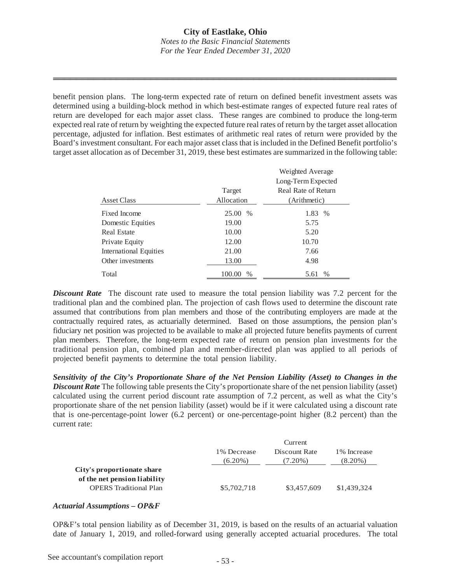*Notes to the Basic Financial Statements For the Year Ended December 31, 2020* 

*őőőőőőőőőőőőőőőőőőőőőőőőőőőőőőőőőőőőőőőőőőőőőőőőőőőőőőőőőőőő*

benefit pension plans. The long-term expected rate of return on defined benefit investment assets was determined using a building-block method in which best-estimate ranges of expected future real rates of return are developed for each major asset class. These ranges are combined to produce the long-term expected real rate of return by weighting the expected future real rates of return by the target asset allocation percentage, adjusted for inflation. Best estimates of arithmetic real rates of return were provided by the Board's investment consultant. For each major asset class that is included in the Defined Benefit portfolio's target asset allocation as of December 31, 2019, these best estimates are summarized in the following table:

|                               |                         | Weighted Average    |
|-------------------------------|-------------------------|---------------------|
|                               |                         | Long-Term Expected  |
|                               | Target                  | Real Rate of Return |
| Asset Class                   | Allocation              | (Arithmetic)        |
| Fixed Income                  | 25.00 %                 | 1.83<br>$\%$        |
| Domestic Equities             | 19.00                   | 5.75                |
| <b>Real Estate</b>            | 10.00                   | 5.20                |
| Private Equity                | 12.00                   | 10.70               |
| <b>International Equities</b> | 21.00                   | 7.66                |
| Other investments             | 13.00                   | 4.98                |
| Total                         | 100.00<br>$\frac{0}{0}$ | $\%$<br>5.61        |

*Discount Rate* The discount rate used to measure the total pension liability was 7.2 percent for the traditional plan and the combined plan. The projection of cash flows used to determine the discount rate assumed that contributions from plan members and those of the contributing employers are made at the contractually required rates, as actuarially determined. Based on those assumptions, the pension plan's fiduciary net position was projected to be available to make all projected future benefits payments of current plan members. Therefore, the long-term expected rate of return on pension plan investments for the traditional pension plan, combined plan and member-directed plan was applied to all periods of projected benefit payments to determine the total pension liability.

*Sensitivity of the City's Proportionate Share of the Net Pension Liability (Asset) to Changes in the Discount Rate* The following table presents the City's proportionate share of the net pension liability (asset) calculated using the current period discount rate assumption of 7.2 percent, as well as what the City's proportionate share of the net pension liability (asset) would be if it were calculated using a discount rate that is one-percentage-point lower (6.2 percent) or one-percentage-point higher (8.2 percent) than the current rate:

|                               | Current                                                                   |             |             |
|-------------------------------|---------------------------------------------------------------------------|-------------|-------------|
|                               | Discount Rate<br>1\% Increase<br>1\% Decrease<br>$(6.20\%)$<br>$(7.20\%)$ |             |             |
|                               |                                                                           |             | $(8.20\%)$  |
| City's proportionate share    |                                                                           |             |             |
| of the net pension liability  |                                                                           |             |             |
| <b>OPERS</b> Traditional Plan | \$5,702,718                                                               | \$3,457,609 | \$1,439,324 |

### *Actuarial Assumptions – OP&F*

OP&F's total pension liability as of December 31, 2019, is based on the results of an actuarial valuation date of January 1, 2019, and rolled-forward using generally accepted actuarial procedures. The total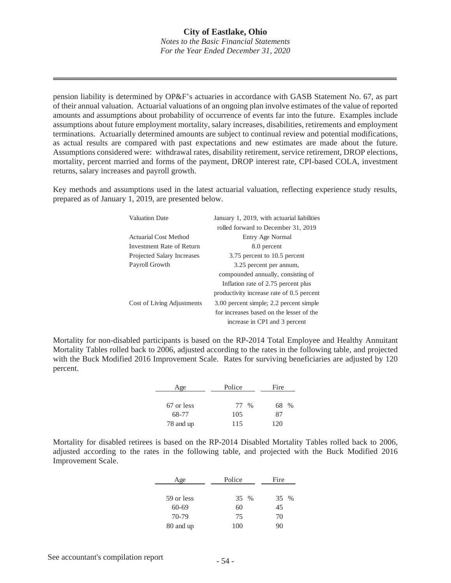*Notes to the Basic Financial Statements For the Year Ended December 31, 2020* 

*őőőőőőőőőőőőőőőőőőőőőőőőőőőőőőőőőőőőőőőőőőőőőőőőőőőőőőőőőőőő*

pension liability is determined by OP&F's actuaries in accordance with GASB Statement No. 67, as part of their annual valuation. Actuarial valuations of an ongoing plan involve estimates of the value of reported amounts and assumptions about probability of occurrence of events far into the future. Examples include assumptions about future employment mortality, salary increases, disabilities, retirements and employment terminations. Actuarially determined amounts are subject to continual review and potential modifications, as actual results are compared with past expectations and new estimates are made about the future. Assumptions considered were: withdrawal rates, disability retirement, service retirement, DROP elections, mortality, percent married and forms of the payment, DROP interest rate, CPI-based COLA, investment returns, salary increases and payroll growth.

Key methods and assumptions used in the latest actuarial valuation, reflecting experience study results, prepared as of January 1, 2019, are presented below.

| <b>Valuation Date</b>             | January 1, 2019, with actuarial liabilities |
|-----------------------------------|---------------------------------------------|
|                                   | rolled forward to December 31, 2019         |
| Actuarial Cost Method             | Entry Age Normal                            |
| Investment Rate of Return         | 8.0 percent                                 |
| <b>Projected Salary Increases</b> | 3.75 percent to 10.5 percent                |
| Payroll Growth                    | 3.25 percent per annum,                     |
|                                   | compounded annually, consisting of          |
|                                   | Inflation rate of 2.75 percent plus         |
|                                   | productivity increase rate of 0.5 percent   |
| Cost of Living Adjustments        | 3.00 percent simple; 2.2 percent simple     |
|                                   | for increases based on the lesser of the    |
|                                   | increase in CPI and 3 percent               |

Mortality for non-disabled participants is based on the RP-2014 Total Employee and Healthy Annuitant Mortality Tables rolled back to 2006, adjusted according to the rates in the following table, and projected with the Buck Modified 2016 Improvement Scale. Rates for surviving beneficiaries are adjusted by 120 percent.

| Age        | Police | Fire |
|------------|--------|------|
|            |        |      |
| 67 or less | 77 %   | 68 % |
| 68-77      | 105    | 87   |
| 78 and up  | 115    | 120  |

Mortality for disabled retirees is based on the RP-2014 Disabled Mortality Tables rolled back to 2006, adjusted according to the rates in the following table, and projected with the Buck Modified 2016 Improvement Scale.

| Age        | Police | Fire |
|------------|--------|------|
|            |        |      |
| 59 or less | 35 %   | 35 % |
| 60-69      | 60     | 45   |
| $70-79$    | 75     | 70   |
| 80 and up  | 100    | 90   |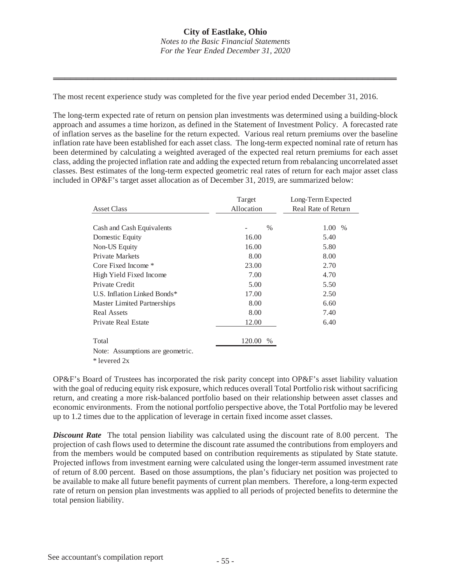The most recent experience study was completed for the five year period ended December 31, 2016.

The long-term expected rate of return on pension plan investments was determined using a building-block approach and assumes a time horizon, as defined in the Statement of Investment Policy. A forecasted rate of inflation serves as the baseline for the return expected. Various real return premiums over the baseline inflation rate have been established for each asset class. The long-term expected nominal rate of return has been determined by calculating a weighted averaged of the expected real return premiums for each asset class, adding the projected inflation rate and adding the expected return from rebalancing uncorrelated asset classes. Best estimates of the long-term expected geometric real rates of return for each major asset class included in OP&F's target asset allocation as of December 31, 2019, are summarized below:

|                                  | Target         | Long-Term Expected  |
|----------------------------------|----------------|---------------------|
| <b>Asset Class</b>               | Allocation     | Real Rate of Return |
|                                  |                |                     |
| Cash and Cash Equivalents        | $\%$           | 1.00<br>$\%$        |
| Domestic Equity                  | 16.00          | 5.40                |
| Non-US Equity                    | 16.00          | 5.80                |
| <b>Private Markets</b>           | 8.00           | 8.00                |
| Core Fixed Income *              | 23.00          | 2.70                |
| High Yield Fixed Income          | 7.00           | 4.70                |
| Private Credit                   | 5.00           | 5.50                |
| U.S. Inflation Linked Bonds*     | 17.00          | 2.50                |
| Master Limited Partnerships      | 8.00           | 6.60                |
| <b>Real Assets</b>               | 8.00           | 7.40                |
| Private Real Estate              | 12.00          | 6.40                |
| Total                            | 120.00<br>$\%$ |                     |
| Note: Assumptions are geometric. |                |                     |

\* levered 2x

OP&F's Board of Trustees has incorporated the risk parity concept into OP&F's asset liability valuation with the goal of reducing equity risk exposure, which reduces overall Total Portfolio risk without sacrificing return, and creating a more risk-balanced portfolio based on their relationship between asset classes and economic environments. From the notional portfolio perspective above, the Total Portfolio may be levered up to 1.2 times due to the application of leverage in certain fixed income asset classes.

*Discount Rate* The total pension liability was calculated using the discount rate of 8.00 percent. The projection of cash flows used to determine the discount rate assumed the contributions from employers and from the members would be computed based on contribution requirements as stipulated by State statute. Projected inflows from investment earning were calculated using the longer-term assumed investment rate of return of 8.00 percent. Based on those assumptions, the plan's fiduciary net position was projected to be available to make all future benefit payments of current plan members. Therefore, a long-term expected rate of return on pension plan investments was applied to all periods of projected benefits to determine the total pension liability.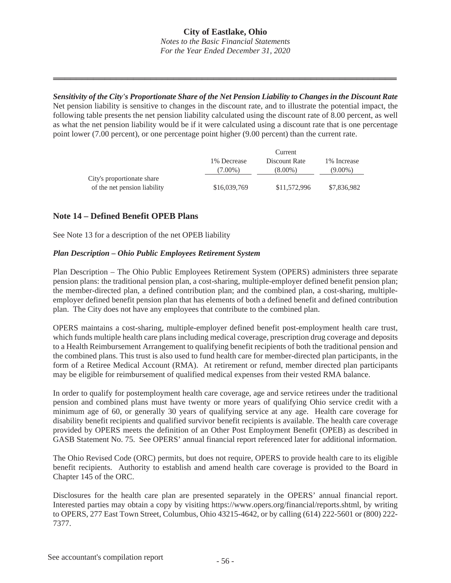*Notes to the Basic Financial Statements For the Year Ended December 31, 2020* 

*őőőőőőőőőőőőőőőőőőőőőőőőőőőőőőőőőőőőőőőőőőőőőőőőőőőőőőőőőőőő*

*Sensitivity of the City's Proportionate Share of the Net Pension Liability to Changes in the Discount Rate* Net pension liability is sensitive to changes in the discount rate, and to illustrate the potential impact, the following table presents the net pension liability calculated using the discount rate of 8.00 percent, as well as what the net pension liability would be if it were calculated using a discount rate that is one percentage point lower (7.00 percent), or one percentage point higher (9.00 percent) than the current rate.

|                              | Current                   |                             |                           |  |
|------------------------------|---------------------------|-----------------------------|---------------------------|--|
|                              | 1% Decrease<br>$(7.00\%)$ | Discount Rate<br>$(8.00\%)$ | 1% Increase<br>$(9.00\%)$ |  |
| City's proportionate share   |                           |                             |                           |  |
| of the net pension liability | \$16,039,769              | \$11,572,996                | \$7,836,982               |  |

# **Note 14 – Defined Benefit OPEB Plans**

See Note 13 for a description of the net OPEB liability

### *Plan Description – Ohio Public Employees Retirement System*

Plan Description – The Ohio Public Employees Retirement System (OPERS) administers three separate pension plans: the traditional pension plan, a cost-sharing, multiple-employer defined benefit pension plan; the member-directed plan, a defined contribution plan; and the combined plan, a cost-sharing, multipleemployer defined benefit pension plan that has elements of both a defined benefit and defined contribution plan. The City does not have any employees that contribute to the combined plan.

OPERS maintains a cost-sharing, multiple-employer defined benefit post-employment health care trust, which funds multiple health care plans including medical coverage, prescription drug coverage and deposits to a Health Reimbursement Arrangement to qualifying benefit recipients of both the traditional pension and the combined plans. This trust is also used to fund health care for member-directed plan participants, in the form of a Retiree Medical Account (RMA). At retirement or refund, member directed plan participants may be eligible for reimbursement of qualified medical expenses from their vested RMA balance.

In order to qualify for postemployment health care coverage, age and service retirees under the traditional pension and combined plans must have twenty or more years of qualifying Ohio service credit with a minimum age of 60, or generally 30 years of qualifying service at any age. Health care coverage for disability benefit recipients and qualified survivor benefit recipients is available. The health care coverage provided by OPERS meets the definition of an Other Post Employment Benefit (OPEB) as described in GASB Statement No. 75. See OPERS' annual financial report referenced later for additional information.

The Ohio Revised Code (ORC) permits, but does not require, OPERS to provide health care to its eligible benefit recipients. Authority to establish and amend health care coverage is provided to the Board in Chapter 145 of the ORC.

Disclosures for the health care plan are presented separately in the OPERS' annual financial report. Interested parties may obtain a copy by visiting https://www.opers.org/financial/reports.shtml, by writing to OPERS, 277 East Town Street, Columbus, Ohio 43215-4642, or by calling (614) 222-5601 or (800) 222- 7377.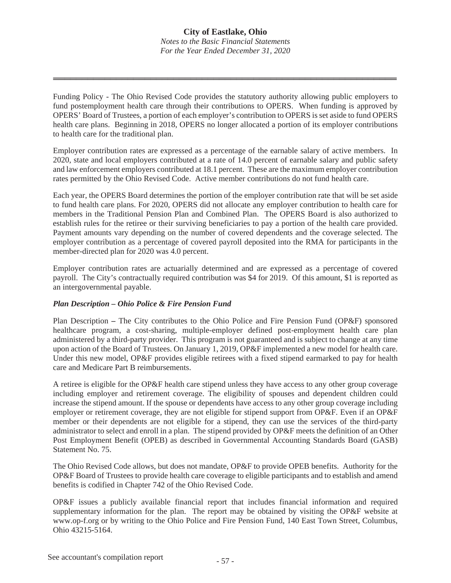Funding Policy - The Ohio Revised Code provides the statutory authority allowing public employers to fund postemployment health care through their contributions to OPERS. When funding is approved by OPERS' Board of Trustees, a portion of each employer's contribution to OPERS is set aside to fund OPERS health care plans. Beginning in 2018, OPERS no longer allocated a portion of its employer contributions to health care for the traditional plan.

*őőőőőőőőőőőőőőőőőőőőőőőőőőőőőőőőőőőőőőőőőőőőőőőőőőőőőőőőőőőő*

Employer contribution rates are expressed as a percentage of the earnable salary of active members. In 2020, state and local employers contributed at a rate of 14.0 percent of earnable salary and public safety and law enforcement employers contributed at 18.1 percent. These are the maximum employer contribution rates permitted by the Ohio Revised Code. Active member contributions do not fund health care.

Each year, the OPERS Board determines the portion of the employer contribution rate that will be set aside to fund health care plans. For 2020, OPERS did not allocate any employer contribution to health care for members in the Traditional Pension Plan and Combined Plan. The OPERS Board is also authorized to establish rules for the retiree or their surviving beneficiaries to pay a portion of the health care provided. Payment amounts vary depending on the number of covered dependents and the coverage selected. The employer contribution as a percentage of covered payroll deposited into the RMA for participants in the member-directed plan for 2020 was 4.0 percent.

Employer contribution rates are actuarially determined and are expressed as a percentage of covered payroll. The City's contractually required contribution was \$4 for 2019. Of this amount, \$1 is reported as an intergovernmental payable.

## *Plan Description – Ohio Police & Fire Pension Fund*

Plan Description **–** The City contributes to the Ohio Police and Fire Pension Fund (OP&F) sponsored healthcare program, a cost-sharing, multiple-employer defined post-employment health care plan administered by a third-party provider. This program is not guaranteed and is subject to change at any time upon action of the Board of Trustees. On January 1, 2019, OP&F implemented a new model for health care. Under this new model, OP&F provides eligible retirees with a fixed stipend earmarked to pay for health care and Medicare Part B reimbursements.

A retiree is eligible for the OP&F health care stipend unless they have access to any other group coverage including employer and retirement coverage. The eligibility of spouses and dependent children could increase the stipend amount. If the spouse or dependents have access to any other group coverage including employer or retirement coverage, they are not eligible for stipend support from OP&F. Even if an OP&F member or their dependents are not eligible for a stipend, they can use the services of the third-party administrator to select and enroll in a plan. The stipend provided by OP&F meets the definition of an Other Post Employment Benefit (OPEB) as described in Governmental Accounting Standards Board (GASB) Statement No. 75.

The Ohio Revised Code allows, but does not mandate, OP&F to provide OPEB benefits. Authority for the OP&F Board of Trustees to provide health care coverage to eligible participants and to establish and amend benefits is codified in Chapter 742 of the Ohio Revised Code.

OP&F issues a publicly available financial report that includes financial information and required supplementary information for the plan. The report may be obtained by visiting the OP&F website at www.op-f.org or by writing to the Ohio Police and Fire Pension Fund, 140 East Town Street, Columbus, Ohio 43215-5164.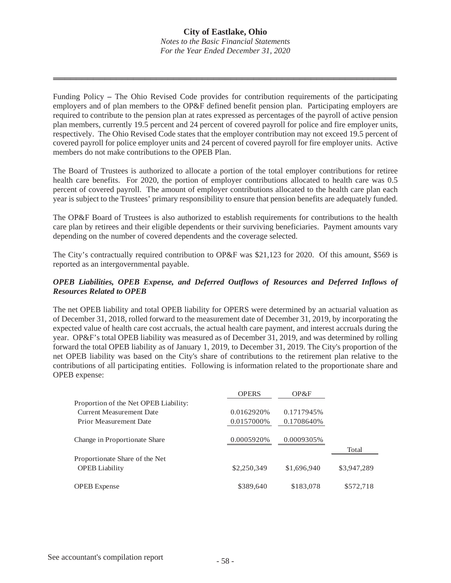Funding Policy **–** The Ohio Revised Code provides for contribution requirements of the participating employers and of plan members to the OP&F defined benefit pension plan. Participating employers are required to contribute to the pension plan at rates expressed as percentages of the payroll of active pension plan members, currently 19.5 percent and 24 percent of covered payroll for police and fire employer units, respectively. The Ohio Revised Code states that the employer contribution may not exceed 19.5 percent of covered payroll for police employer units and 24 percent of covered payroll for fire employer units. Active members do not make contributions to the OPEB Plan.

The Board of Trustees is authorized to allocate a portion of the total employer contributions for retiree health care benefits. For 2020, the portion of employer contributions allocated to health care was 0.5 percent of covered payroll. The amount of employer contributions allocated to the health care plan each year is subject to the Trustees' primary responsibility to ensure that pension benefits are adequately funded.

The OP&F Board of Trustees is also authorized to establish requirements for contributions to the health care plan by retirees and their eligible dependents or their surviving beneficiaries. Payment amounts vary depending on the number of covered dependents and the coverage selected.

The City's contractually required contribution to OP&F was \$21,123 for 2020. Of this amount, \$569 is reported as an intergovernmental payable.

### *OPEB Liabilities, OPEB Expense, and Deferred Outflows of Resources and Deferred Inflows of Resources Related to OPEB*

The net OPEB liability and total OPEB liability for OPERS were determined by an actuarial valuation as of December 31, 2018, rolled forward to the measurement date of December 31, 2019, by incorporating the expected value of health care cost accruals, the actual health care payment, and interest accruals during the year. OP&F's total OPEB liability was measured as of December 31, 2019, and was determined by rolling forward the total OPEB liability as of January 1, 2019, to December 31, 2019. The City's proportion of the net OPEB liability was based on the City's share of contributions to the retirement plan relative to the contributions of all participating entities. Following is information related to the proportionate share and OPEB expense:

|                                       | <b>OPERS</b> | OP&F        |             |
|---------------------------------------|--------------|-------------|-------------|
| Proportion of the Net OPEB Liability: |              |             |             |
| <b>Current Measurement Date</b>       | 0.0162920%   | 0.1717945%  |             |
| <b>Prior Measurement Date</b>         | 0.0157000%   | 0.1708640%  |             |
|                                       |              |             |             |
| Change in Proportionate Share         | 0.0005920%   | 0.0009305%  |             |
|                                       |              |             | Total       |
| Proportionate Share of the Net        |              |             |             |
| <b>OPEB</b> Liability                 | \$2,250,349  | \$1,696,940 | \$3,947,289 |
|                                       |              |             |             |
| <b>OPEB</b> Expense                   | \$389,640    | \$183,078   | \$572,718   |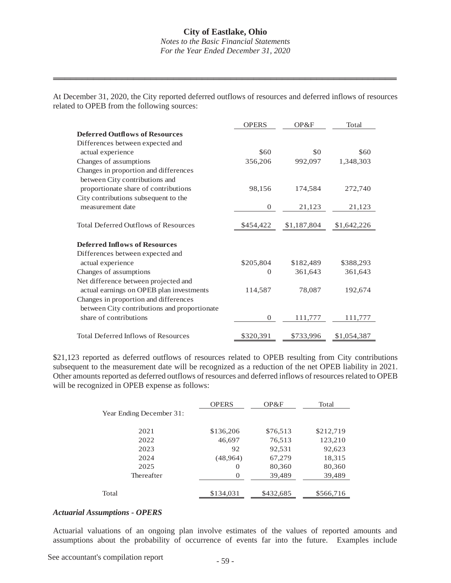*Notes to the Basic Financial Statements For the Year Ended December 31, 2020* 

At December 31, 2020, the City reported deferred outflows of resources and deferred inflows of resources related to OPEB from the following sources:

*őőőőőőőőőőőőőőőőőőőőőőőőőőőőőőőőőőőőőőőőőőőőőőőőőőőőőőőőőőőő*

|                                              | <b>OPERS</b> | OP&F        | Total       |
|----------------------------------------------|--------------|-------------|-------------|
| <b>Deferred Outflows of Resources</b>        |              |             |             |
| Differences between expected and             |              |             |             |
| actual experience                            | \$60         | \$0         | \$60        |
| Changes of assumptions                       | 356,206      | 992,097     | 1,348,303   |
| Changes in proportion and differences        |              |             |             |
| between City contributions and               |              |             |             |
| proportionate share of contributions         | 98,156       | 174,584     | 272,740     |
| City contributions subsequent to the         |              |             |             |
| measurement date                             | $\theta$     | 21,123      | 21,123      |
|                                              |              |             |             |
| <b>Total Deferred Outflows of Resources</b>  | \$454,422    | \$1,187,804 | \$1,642,226 |
|                                              |              |             |             |
| <b>Deferred Inflows of Resources</b>         |              |             |             |
| Differences between expected and             |              |             |             |
| actual experience                            | \$205,804    | \$182,489   | \$388,293   |
| Changes of assumptions                       | $\theta$     | 361,643     | 361,643     |
| Net difference between projected and         |              |             |             |
| actual earnings on OPEB plan investments     | 114,587      | 78,087      | 192,674     |
| Changes in proportion and differences        |              |             |             |
| between City contributions and proportionate |              |             |             |
| share of contributions                       | $\theta$     | 111,777     | 111,777     |
|                                              |              |             |             |
| <b>Total Deferred Inflows of Resources</b>   | \$320,391    | \$733,996   | \$1,054,387 |

\$21,123 reported as deferred outflows of resources related to OPEB resulting from City contributions subsequent to the measurement date will be recognized as a reduction of the net OPEB liability in 2021. Other amounts reported as deferred outflows of resources and deferred inflows of resources related to OPEB will be recognized in OPEB expense as follows:

|                          | <b>OPERS</b> | OP&F      | Total     |
|--------------------------|--------------|-----------|-----------|
| Year Ending December 31: |              |           |           |
| 2021                     | \$136,206    | \$76,513  | \$212,719 |
| 2022                     | 46,697       | 76,513    | 123,210   |
| 2023                     | 92           | 92,531    | 92,623    |
| 2024                     | (48,964)     | 67,279    | 18,315    |
| 2025                     | 0            | 80,360    | 80,360    |
| Thereafter               | $\Omega$     | 39,489    | 39,489    |
| Total                    | \$134,031    | \$432,685 | \$566,716 |

#### *Actuarial Assumptions - OPERS*

Actuarial valuations of an ongoing plan involve estimates of the values of reported amounts and assumptions about the probability of occurrence of events far into the future. Examples include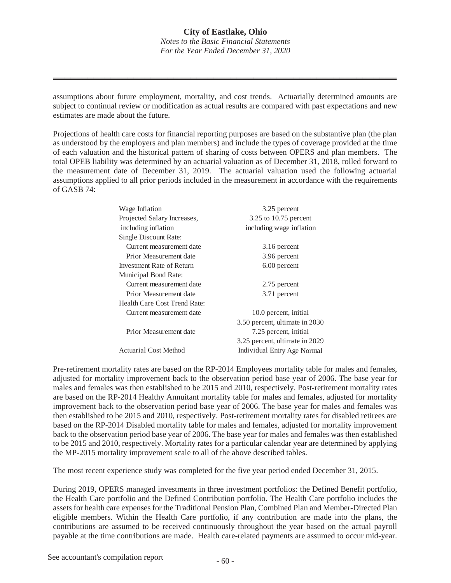*Notes to the Basic Financial Statements For the Year Ended December 31, 2020* 

assumptions about future employment, mortality, and cost trends. Actuarially determined amounts are subject to continual review or modification as actual results are compared with past expectations and new estimates are made about the future.

*őőőőőőőőőőőőőőőőőőőőőőőőőőőőőőőőőőőőőőőőőőőőőőőőőőőőőőőőőőőő*

Projections of health care costs for financial reporting purposes are based on the substantive plan (the plan as understood by the employers and plan members) and include the types of coverage provided at the time of each valuation and the historical pattern of sharing of costs between OPERS and plan members. The total OPEB liability was determined by an actuarial valuation as of December 31, 2018, rolled forward to the measurement date of December 31, 2019. The actuarial valuation used the following actuarial assumptions applied to all prior periods included in the measurement in accordance with the requirements of GASB 74:

| Wage Inflation               | 3.25 percent                   |
|------------------------------|--------------------------------|
| Projected Salary Increases,  | 3.25 to 10.75 percent          |
| including inflation          | including wage inflation       |
| Single Discount Rate:        |                                |
| Current measurement date     | 3.16 percent                   |
| Prior Measurement date       | 3.96 percent                   |
| Investment Rate of Return    | 6.00 percent                   |
| Municipal Bond Rate:         |                                |
| Current measurement date     | 2.75 percent                   |
| Prior Measurement date       | 3.71 percent                   |
| Health Care Cost Trend Rate: |                                |
| Current measurement date     | 10.0 percent, initial          |
|                              | 3.50 percent, ultimate in 2030 |
| Prior Measurement date       | 7.25 percent, initial          |
|                              | 3.25 percent, ultimate in 2029 |
| Actuarial Cost Method        | Individual Entry Age Normal    |

Pre-retirement mortality rates are based on the RP-2014 Employees mortality table for males and females, adjusted for mortality improvement back to the observation period base year of 2006. The base year for males and females was then established to be 2015 and 2010, respectively. Post-retirement mortality rates are based on the RP-2014 Healthy Annuitant mortality table for males and females, adjusted for mortality improvement back to the observation period base year of 2006. The base year for males and females was then established to be 2015 and 2010, respectively. Post-retirement mortality rates for disabled retirees are based on the RP-2014 Disabled mortality table for males and females, adjusted for mortality improvement back to the observation period base year of 2006. The base year for males and females was then established to be 2015 and 2010, respectively. Mortality rates for a particular calendar year are determined by applying the MP-2015 mortality improvement scale to all of the above described tables.

The most recent experience study was completed for the five year period ended December 31, 2015.

During 2019, OPERS managed investments in three investment portfolios: the Defined Benefit portfolio, the Health Care portfolio and the Defined Contribution portfolio. The Health Care portfolio includes the assets for health care expenses for the Traditional Pension Plan, Combined Plan and Member-Directed Plan eligible members. Within the Health Care portfolio, if any contribution are made into the plans, the contributions are assumed to be received continuously throughout the year based on the actual payroll payable at the time contributions are made. Health care-related payments are assumed to occur mid-year.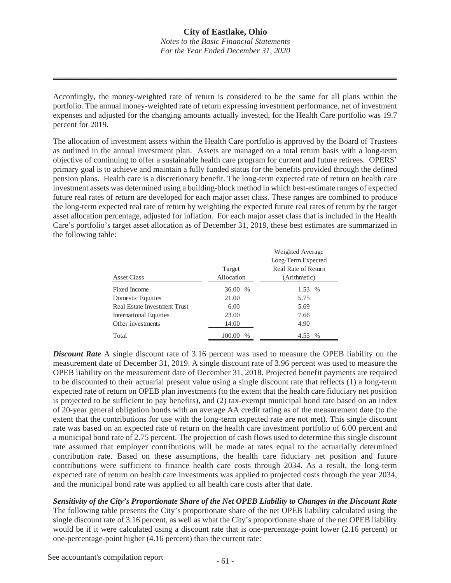*Notes to the Basic Financial Statements For the Year Ended December 31, 2020* 

*őőőőőőőőőőőőőőőőőőőőőőőőőőőőőőőőőőőőőőőőőőőőőőőőőőőőőőőőőőőő*

Accordingly, the money-weighted rate of return is considered to be the same for all plans within the portfolio. The annual money-weighted rate of return expressing investment performance, net of investment expenses and adjusted for the changing amounts actually invested, for the Health Care portfolio was 19.7 percent for 2019.

The allocation of investment assets within the Health Care portfolio is approved by the Board of Trustees as outlined in the annual investment plan. Assets are managed on a total return basis with a long-term objective of continuing to offer a sustainable health care program for current and future retirees. OPERS' primary goal is to achieve and maintain a fully funded status for the benefits provided through the defined pension plans. Health care is a discretionary benefit. The long-term expected rate of return on health care investment assets was determined using a building-block method in which best-estimate ranges of expected future real rates of return are developed for each major asset class. These ranges are combined to produce the long-term expected real rate of return by weighting the expected future real rates of return by the target asset allocation percentage, adjusted for inflation. For each major asset class that is included in the Health Care's portfolio's target asset allocation as of December 31, 2019, these best estimates are summarized in the following table:

|                                     |                         | Weighted Average    |
|-------------------------------------|-------------------------|---------------------|
|                                     |                         | Long-Term Expected  |
|                                     | Target                  | Real Rate of Return |
| <b>Asset Class</b>                  | Allocation              | (Arithmetic)        |
| Fixed Income                        | 36.00<br>$\frac{0}{0}$  | 1.53 %              |
| Domestic Equities                   | 21.00                   | 5.75                |
| <b>Real Estate Investment Trust</b> | 6.00                    | 5.69                |
| International Equities              | 23.00                   | 7.66                |
| Other investments                   | 14.00                   | 4.90                |
| Total                               | 100.00<br>$\frac{0}{0}$ | $\%$<br>4.55        |

*Discount Rate* A single discount rate of 3.16 percent was used to measure the OPEB liability on the measurement date of December 31, 2019. A single discount rate of 3.96 percent was used to measure the OPEB liability on the measurement date of December 31, 2018. Projected benefit payments are required to be discounted to their actuarial present value using a single discount rate that reflects (1) a long-term expected rate of return on OPEB plan investments (to the extent that the health care fiduciary net position is projected to be sufficient to pay benefits), and (2) tax-exempt municipal bond rate based on an index of 20-year general obligation bonds with an average AA credit rating as of the measurement date (to the extent that the contributions for use with the long-term expected rate are not met). This single discount rate was based on an expected rate of return on the health care investment portfolio of 6.00 percent and a municipal bond rate of 2.75 percent. The projection of cash flows used to determine this single discount rate assumed that employer contributions will be made at rates equal to the actuarially determined contribution rate. Based on these assumptions, the health care fiduciary net position and future contributions were sufficient to finance health care costs through 2034. As a result, the long-term expected rate of return on health care investments was applied to projected costs through the year 2034, and the municipal bond rate was applied to all health care costs after that date.

#### *Sensitivity of the City's Proportionate Share of the Net OPEB Liability to Changes in the Discount Rate* The following table presents the City's proportionate share of the net OPEB liability calculated using the single discount rate of 3.16 percent, as well as what the City's proportionate share of the net OPEB liability would be if it were calculated using a discount rate that is one-percentage-point lower (2.16 percent) or one-percentage-point higher (4.16 percent) than the current rate: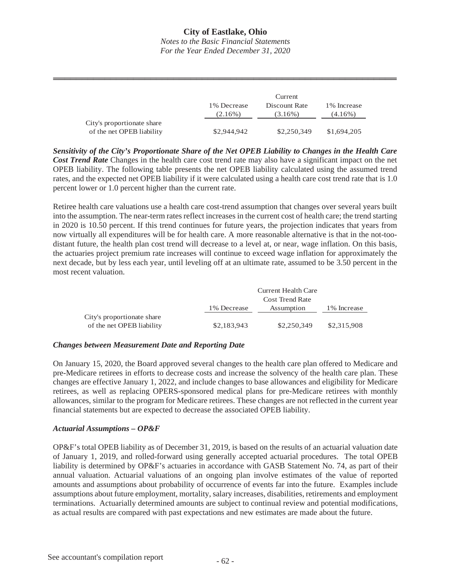*Notes to the Basic Financial Statements For the Year Ended December 31, 2020* 

*őőőőőőőőőőőőőőőőőőőőőőőőőőőőőőőőőőőőőőőőőőőőőőőőőőőőőőőőőőőő*

|                            |                           | Current                     |                           |
|----------------------------|---------------------------|-----------------------------|---------------------------|
|                            | 1% Decrease<br>$(2.16\%)$ | Discount Rate<br>$(3.16\%)$ | 1% Increase<br>$(4.16\%)$ |
| City's proportionate share |                           |                             |                           |
| of the net OPEB liability  | \$2,944,942               | \$2,250,349                 | \$1,694,205               |

*Sensitivity of the City's Proportionate Share of the Net OPEB Liability to Changes in the Health Care Cost Trend Rate* Changes in the health care cost trend rate may also have a significant impact on the net OPEB liability. The following table presents the net OPEB liability calculated using the assumed trend rates, and the expected net OPEB liability if it were calculated using a health care cost trend rate that is 1.0 percent lower or 1.0 percent higher than the current rate.

Retiree health care valuations use a health care cost-trend assumption that changes over several years built into the assumption. The near-term rates reflect increases in the current cost of health care; the trend starting in 2020 is 10.50 percent. If this trend continues for future years, the projection indicates that years from now virtually all expenditures will be for health care. A more reasonable alternative is that in the not-toodistant future, the health plan cost trend will decrease to a level at, or near, wage inflation. On this basis, the actuaries project premium rate increases will continue to exceed wage inflation for approximately the next decade, but by less each year, until leveling off at an ultimate rate, assumed to be 3.50 percent in the most recent valuation.

|                            | Current Health Care    |             |              |
|----------------------------|------------------------|-------------|--------------|
|                            | <b>Cost Trend Rate</b> |             |              |
|                            | 1% Decrease            | Assumption  | 1\% Increase |
| City's proportionate share |                        |             |              |
| of the net OPEB liability  | \$2,183,943            | \$2,250,349 | \$2,315,908  |

### *Changes between Measurement Date and Reporting Date*

On January 15, 2020, the Board approved several changes to the health care plan offered to Medicare and pre-Medicare retirees in efforts to decrease costs and increase the solvency of the health care plan. These changes are effective January 1, 2022, and include changes to base allowances and eligibility for Medicare retirees, as well as replacing OPERS-sponsored medical plans for pre-Medicare retirees with monthly allowances, similar to the program for Medicare retirees. These changes are not reflected in the current year financial statements but are expected to decrease the associated OPEB liability.

### *Actuarial Assumptions – OP&F*

OP&F's total OPEB liability as of December 31, 2019, is based on the results of an actuarial valuation date of January 1, 2019, and rolled-forward using generally accepted actuarial procedures. The total OPEB liability is determined by OP&F's actuaries in accordance with GASB Statement No. 74, as part of their annual valuation. Actuarial valuations of an ongoing plan involve estimates of the value of reported amounts and assumptions about probability of occurrence of events far into the future. Examples include assumptions about future employment, mortality, salary increases, disabilities, retirements and employment terminations. Actuarially determined amounts are subject to continual review and potential modifications, as actual results are compared with past expectations and new estimates are made about the future.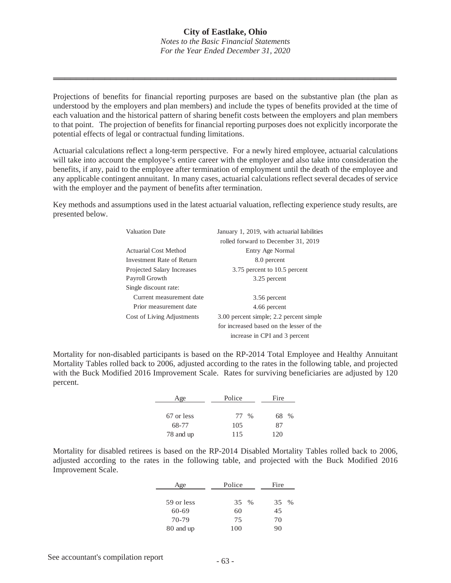*Notes to the Basic Financial Statements For the Year Ended December 31, 2020* 

*őőőőőőőőőőőőőőőőőőőőőőőőőőőőőőőőőőőőőőőőőőőőőőőőőőőőőőőőőőőő*

Projections of benefits for financial reporting purposes are based on the substantive plan (the plan as understood by the employers and plan members) and include the types of benefits provided at the time of each valuation and the historical pattern of sharing benefit costs between the employers and plan members to that point. The projection of benefits for financial reporting purposes does not explicitly incorporate the potential effects of legal or contractual funding limitations.

Actuarial calculations reflect a long-term perspective. For a newly hired employee, actuarial calculations will take into account the employee's entire career with the employer and also take into consideration the benefits, if any, paid to the employee after termination of employment until the death of the employee and any applicable contingent annuitant. In many cases, actuarial calculations reflect several decades of service with the employer and the payment of benefits after termination.

Key methods and assumptions used in the latest actuarial valuation, reflecting experience study results, are presented below.

| <b>Valuation Date</b>             | January 1, 2019, with actuarial liabilities |  |  |
|-----------------------------------|---------------------------------------------|--|--|
|                                   | rolled forward to December 31, 2019         |  |  |
| Actuarial Cost Method             | Entry Age Normal                            |  |  |
| Investment Rate of Return         | 8.0 percent                                 |  |  |
| <b>Projected Salary Increases</b> | 3.75 percent to 10.5 percent                |  |  |
| Payroll Growth                    | 3.25 percent                                |  |  |
| Single discount rate:             |                                             |  |  |
| Current measurement date          | 3.56 percent                                |  |  |
| Prior measurement date            | 4.66 percent                                |  |  |
| Cost of Living Adjustments        | 3.00 percent simple; 2.2 percent simple     |  |  |
|                                   | for increased based on the lesser of the    |  |  |
|                                   | increase in CPI and 3 percent               |  |  |

Mortality for non-disabled participants is based on the RP-2014 Total Employee and Healthy Annuitant Mortality Tables rolled back to 2006, adjusted according to the rates in the following table, and projected with the Buck Modified 2016 Improvement Scale. Rates for surviving beneficiaries are adjusted by 120 percent.

| Age        | Police | Fire |
|------------|--------|------|
|            |        |      |
| 67 or less | 77 %   | 68 % |
| 68-77      | 105    | 87   |
| 78 and up  | 115    | 120  |

Mortality for disabled retirees is based on the RP-2014 Disabled Mortality Tables rolled back to 2006, adjusted according to the rates in the following table, and projected with the Buck Modified 2016 Improvement Scale.

| Age        | Police     | Fire       |
|------------|------------|------------|
|            |            |            |
| 59 or less | 35<br>$\%$ | 35<br>$\%$ |
| 60-69      | 60         | 45         |
| $70-79$    | 75         | 70         |
| 80 and up  | 100        | 90         |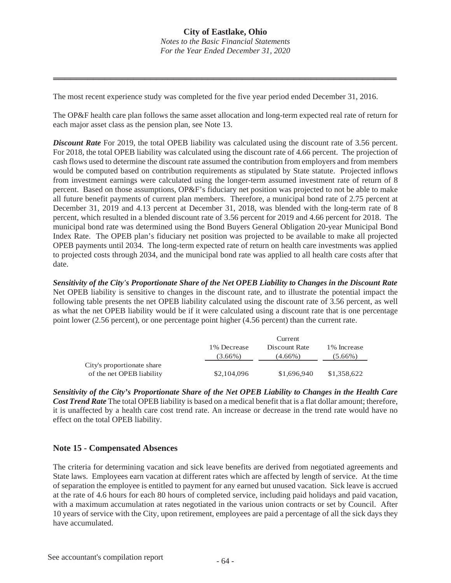The most recent experience study was completed for the five year period ended December 31, 2016.

The OP&F health care plan follows the same asset allocation and long-term expected real rate of return for each major asset class as the pension plan, see Note 13.

**Discount Rate** For 2019, the total OPEB liability was calculated using the discount rate of 3.56 percent. For 2018, the total OPEB liability was calculated using the discount rate of 4.66 percent. The projection of cash flows used to determine the discount rate assumed the contribution from employers and from members would be computed based on contribution requirements as stipulated by State statute. Projected inflows from investment earnings were calculated using the longer-term assumed investment rate of return of 8 percent. Based on those assumptions, OP&F's fiduciary net position was projected to not be able to make all future benefit payments of current plan members. Therefore, a municipal bond rate of 2.75 percent at December 31, 2019 and 4.13 percent at December 31, 2018, was blended with the long-term rate of 8 percent, which resulted in a blended discount rate of 3.56 percent for 2019 and 4.66 percent for 2018. The municipal bond rate was determined using the Bond Buyers General Obligation 20-year Municipal Bond Index Rate. The OPEB plan's fiduciary net position was projected to be available to make all projected OPEB payments until 2034. The long-term expected rate of return on health care investments was applied to projected costs through 2034, and the municipal bond rate was applied to all health care costs after that date.

*Sensitivity of the City's Proportionate Share of the Net OPEB Liability to Changes in the Discount Rate* Net OPEB liability is sensitive to changes in the discount rate, and to illustrate the potential impact the following table presents the net OPEB liability calculated using the discount rate of 3.56 percent, as well as what the net OPEB liability would be if it were calculated using a discount rate that is one percentage point lower (2.56 percent), or one percentage point higher (4.56 percent) than the current rate.

|                            |             | Current       |              |  |  |
|----------------------------|-------------|---------------|--------------|--|--|
|                            | 1% Decrease | Discount Rate | 1\% Increase |  |  |
|                            | $(3.66\%)$  | $(4.66\%)$    | $(5.66\%)$   |  |  |
| City's proportionate share |             |               |              |  |  |
| of the net OPEB liability  | \$2,104,096 | \$1,696,940   | \$1,358,622  |  |  |

*Sensitivity of the City's Proportionate Share of the Net OPEB Liability to Changes in the Health Care Cost Trend Rate* The total OPEB liability is based on a medical benefit that is a flat dollar amount; therefore, it is unaffected by a health care cost trend rate. An increase or decrease in the trend rate would have no effect on the total OPEB liability.

## **Note 15 - Compensated Absences**

The criteria for determining vacation and sick leave benefits are derived from negotiated agreements and State laws. Employees earn vacation at different rates which are affected by length of service. At the time of separation the employee is entitled to payment for any earned but unused vacation. Sick leave is accrued at the rate of 4.6 hours for each 80 hours of completed service, including paid holidays and paid vacation, with a maximum accumulation at rates negotiated in the various union contracts or set by Council. After 10 years of service with the City, upon retirement, employees are paid a percentage of all the sick days they have accumulated.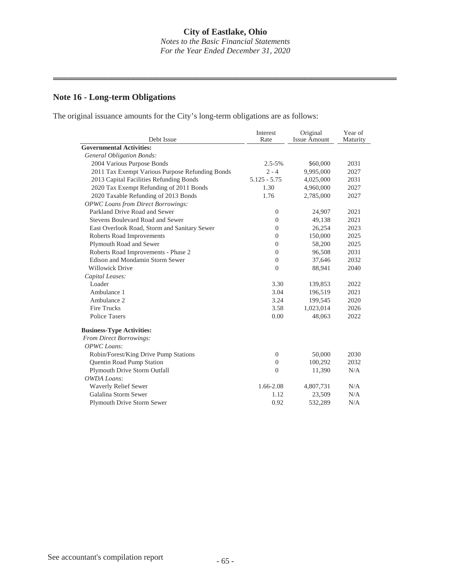*Notes to the Basic Financial Statements For the Year Ended December 31, 2020* 

*őőőőőőőőőőőőőőőőőőőőőőőőőőőőőőőőőőőőőőőőőőőőőőőőőőőőőőőőőőőő*

# **Note 16 - Long-term Obligations**

The original issuance amounts for the City's long-term obligations are as follows:

| Debt Issue                                      | Interest<br>Rate | Original<br><b>Issue Amount</b> | Year of<br>Maturity |
|-------------------------------------------------|------------------|---------------------------------|---------------------|
| <b>Governmental Activities:</b>                 |                  |                                 |                     |
| <b>General Obligation Bonds:</b>                |                  |                                 |                     |
| 2004 Various Purpose Bonds                      | $2.5 - 5%$       | \$60,000                        | 2031                |
| 2011 Tax Exempt Various Purpose Refunding Bonds | $2 - 4$          | 9,995,000                       | 2027                |
| 2013 Capital Facilities Refunding Bonds         | $5.125 - 5.75$   | 4,025,000                       | 2031                |
| 2020 Tax Exempt Refunding of 2011 Bonds         | 1.30             | 4,960,000                       | 2027                |
| 2020 Taxable Refunding of 2013 Bonds            | 1.76             | 2,785,000                       | 2027                |
| <b>OPWC</b> Loans from Direct Borrowings:       |                  |                                 |                     |
| Parkland Drive Road and Sewer                   | $\overline{0}$   | 24,907                          | 2021                |
| Stevens Boulevard Road and Sewer                | $\overline{0}$   | 49,138                          | 2021                |
| East Overlook Road, Storm and Sanitary Sewer    | $\overline{0}$   | 26,254                          | 2023                |
| Roberts Road Improvements                       | $\Omega$         | 150,000                         | 2025                |
| Plymouth Road and Sewer                         | $\Omega$         | 58,200                          | 2025                |
| Roberts Road Improvements - Phase 2             | $\Omega$         | 96,508                          | 2031                |
| Edison and Mondamin Storm Sewer                 | $\theta$         | 37,646                          | 2032                |
| <b>Willowick Drive</b>                          | $\theta$         | 88,941                          | 2040                |
| Capital Leases:                                 |                  |                                 |                     |
| Loader                                          | 3.30             | 139,853                         | 2022                |
| Ambulance 1                                     | 3.04             | 196,519                         | 2021                |
| Ambulance 2                                     | 3.24             | 199,545                         | 2020                |
| <b>Fire Trucks</b>                              | 3.58             | 1,023,014                       | 2026                |
| <b>Police Tasers</b>                            | 0.00             | 48,063                          | 2022                |
| <b>Business-Type Activities:</b>                |                  |                                 |                     |
| From Direct Borrowings:                         |                  |                                 |                     |
| <b>OPWC</b> Loans:                              |                  |                                 |                     |
| Robin/Forest/King Drive Pump Stations           | $\mathbf{0}$     | 50,000                          | 2030                |
| Quentin Road Pump Station                       | $\overline{0}$   | 100,292                         | 2032                |
| Plymouth Drive Storm Outfall                    | $\Omega$         | 11,390                          | N/A                 |
| <b>OWDA</b> Loans:                              |                  |                                 |                     |
| <b>Waverly Relief Sewer</b>                     | 1.66-2.08        | 4,807,731                       | N/A                 |
| Galalina Storm Sewer                            | 1.12             | 23,509                          | N/A                 |
| Plymouth Drive Storm Sewer                      | 0.92             | 532,289                         | N/A                 |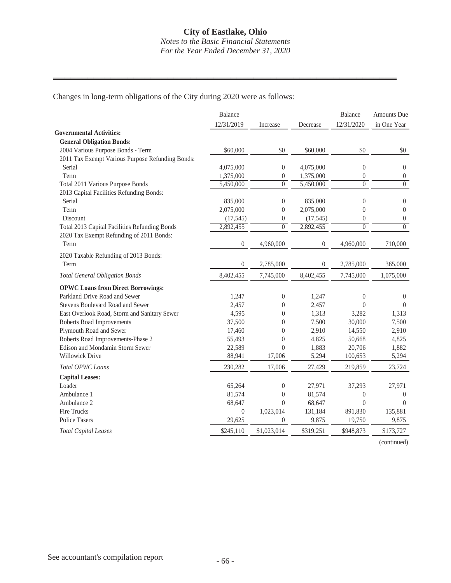*Notes to the Basic Financial Statements For the Year Ended December 31, 2020* 

*őőőőőőőőőőőőőőőőőőőőőőőőőőőőőőőőőőőőőőőőőőőőőőőőőőőőőőőőőőőő*

Changes in long-term obligations of the City during 2020 were as follows:

|                                                  | <b>Balance</b>   |                  |                  | <b>Balance</b>   | <b>Amounts</b> Due |
|--------------------------------------------------|------------------|------------------|------------------|------------------|--------------------|
|                                                  | 12/31/2019       | Increase         | Decrease         | 12/31/2020       | in One Year        |
| <b>Governmental Activities:</b>                  |                  |                  |                  |                  |                    |
| <b>General Obligation Bonds:</b>                 |                  |                  |                  |                  |                    |
| 2004 Various Purpose Bonds - Term                | \$60,000         | \$0              | \$60,000         | \$0              | \$0                |
| 2011 Tax Exempt Various Purpose Refunding Bonds: |                  |                  |                  |                  |                    |
| Serial                                           | 4,075,000        | $\boldsymbol{0}$ | 4,075,000        | $\overline{0}$   | $\overline{0}$     |
| Term                                             | 1,375,000        | $\boldsymbol{0}$ | 1,375,000        | 0                | $\boldsymbol{0}$   |
| Total 2011 Various Purpose Bonds                 | 5,450,000        | $\boldsymbol{0}$ | 5,450,000        | $\overline{0}$   | $\overline{0}$     |
| 2013 Capital Facilities Refunding Bonds:         |                  |                  |                  |                  |                    |
| Serial                                           | 835,000          | $\boldsymbol{0}$ | 835,000          | $\boldsymbol{0}$ | $\boldsymbol{0}$   |
| Term                                             | 2,075,000        | $\boldsymbol{0}$ | 2,075,000        | $\boldsymbol{0}$ | $\boldsymbol{0}$   |
| Discount                                         | (17, 545)        | $\boldsymbol{0}$ | (17, 545)        | 0                | $\boldsymbol{0}$   |
| Total 2013 Capital Facilities Refunding Bonds    | 2,892,455        | $\boldsymbol{0}$ | 2,892,455        | $\overline{0}$   | $\theta$           |
| 2020 Tax Exempt Refunding of 2011 Bonds:         |                  |                  |                  |                  |                    |
| Term                                             | $\overline{0}$   | 4,960,000        | $\overline{0}$   | 4,960,000        | 710,000            |
| 2020 Taxable Refunding of 2013 Bonds:            |                  |                  |                  |                  |                    |
| Term                                             | $\boldsymbol{0}$ | 2,785,000        | $\boldsymbol{0}$ | 2,785,000        | 365,000            |
| <b>Total General Obligation Bonds</b>            | 8,402,455        | 7,745,000        | 8,402,455        | 7,745,000        | 1,075,000          |
| <b>OPWC Loans from Direct Borrowings:</b>        |                  |                  |                  |                  |                    |
| Parkland Drive Road and Sewer                    | 1,247            | $\boldsymbol{0}$ | 1,247            | $\boldsymbol{0}$ | $\overline{0}$     |
| <b>Stevens Boulevard Road and Sewer</b>          | 2,457            | $\overline{0}$   | 2,457            | $\theta$         | $\Omega$           |
| East Overlook Road, Storm and Sanitary Sewer     | 4,595            | $\overline{0}$   | 1,313            | 3,282            | 1,313              |
| Roberts Road Improvements                        | 37,500           | $\overline{0}$   | 7,500            | 30,000           | 7,500              |
| Plymouth Road and Sewer                          | 17,460           | $\theta$         | 2,910            | 14,550           | 2,910              |
| Roberts Road Improvements-Phase 2                | 55,493           | $\overline{0}$   | 4,825            | 50,668           | 4,825              |
| Edison and Mondamin Storm Sewer                  | 22,589           | $\theta$         | 1,883            | 20,706           | 1,882              |
| <b>Willowick Drive</b>                           | 88,941           | 17,006           | 5,294            | 100,653          | 5,294              |
| <b>Total OPWC Loans</b>                          | 230,282          | 17,006           | 27,429           | 219,859          | 23,724             |
| <b>Capital Leases:</b>                           |                  |                  |                  |                  |                    |
| Loader                                           | 65,264           | $\boldsymbol{0}$ | 27,971           | 37,293           | 27,971             |
| Ambulance 1                                      | 81,574           | $\boldsymbol{0}$ | 81,574           | 0                | $\overline{0}$     |
| Ambulance 2                                      | 68,647           | $\theta$         | 68,647           | $\overline{0}$   | $\Omega$           |
| <b>Fire Trucks</b>                               | $\overline{0}$   | 1,023,014        | 131,184          | 891,830          | 135,881            |
| <b>Police Tasers</b>                             | 29,625           | $\boldsymbol{0}$ | 9,875            | 19,750           | 9,875              |
| <b>Total Capital Leases</b>                      | \$245,110        | \$1,023,014      | \$319,251        | \$948,873        | \$173,727          |

(continued)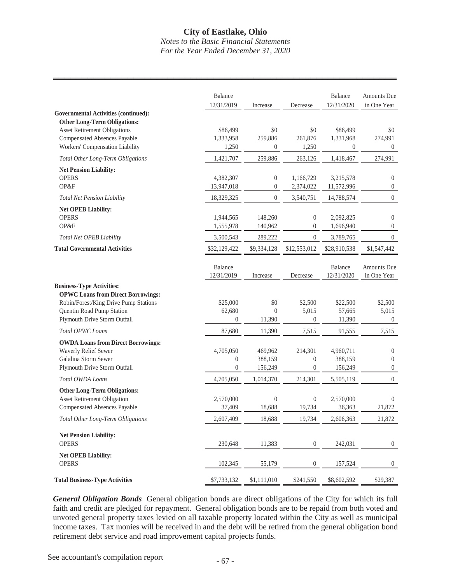*Notes to the Basic Financial Statements For the Year Ended December 31, 2020* 

*őőőőőőőőőőőőőőőőőőőőőőőőőőőőőőőőőőőőőőőőőőőőőőőőőőőőőőőőőőőő*

|                                             | Balance        |                  |                  | Balance      | Amounts Due        |
|---------------------------------------------|----------------|------------------|------------------|--------------|--------------------|
|                                             | 12/31/2019     | Increase         | Decrease         | 12/31/2020   | in One Year        |
| <b>Governmental Activities (continued):</b> |                |                  |                  |              |                    |
| <b>Other Long-Term Obligations:</b>         |                |                  |                  |              |                    |
| <b>Asset Retirement Obligations</b>         | \$86,499       | \$0              | \$0              | \$86,499     | \$0                |
| Compensated Absences Payable                | 1,333,958      | 259,886          | 261,876          | 1,331,968    | 274,991            |
| Workers' Compensation Liability             | 1,250          | $\boldsymbol{0}$ | 1,250            | 0            | $\overline{0}$     |
| Total Other Long-Term Obligations           | 1,421,707      | 259,886          | 263,126          | 1,418,467    | 274,991            |
| <b>Net Pension Liability:</b>               |                |                  |                  |              |                    |
| <b>OPERS</b>                                | 4,382,307      | $\boldsymbol{0}$ | 1,166,729        | 3,215,578    | $\overline{0}$     |
| OP&F                                        | 13,947,018     | $\boldsymbol{0}$ | 2,374,022        | 11,572,996   | $\boldsymbol{0}$   |
| <b>Total Net Pension Liability</b>          | 18,329,325     | $\boldsymbol{0}$ | 3,540,751        | 14,788,574   | $\boldsymbol{0}$   |
| <b>Net OPEB Liability:</b>                  |                |                  |                  |              |                    |
| <b>OPERS</b>                                | 1,944,565      | 148,260          | $\boldsymbol{0}$ | 2,092,825    | $\theta$           |
| OP&F                                        | 1,555,978      | 140,962          | $\boldsymbol{0}$ | 1,696,940    | $\boldsymbol{0}$   |
| Total Net OPEB Liability                    | 3,500,543      | 289,222          | $\boldsymbol{0}$ | 3,789,765    | $\theta$           |
| <b>Total Governmental Activities</b>        | \$32,129,422   | \$9,334,128      | \$12,553,012     | \$28,910,538 | \$1,547,442        |
|                                             |                |                  |                  |              |                    |
|                                             | <b>Balance</b> |                  |                  | Balance      | <b>Amounts</b> Due |
|                                             | 12/31/2019     | Increase         | Decrease         | 12/31/2020   | in One Year        |
| <b>Business-Type Activities:</b>            |                |                  |                  |              |                    |
| <b>OPWC Loans from Direct Borrowings:</b>   |                |                  |                  |              |                    |
| Robin/Forest/King Drive Pump Stations       | \$25,000       | \$0              | \$2,500          | \$22,500     | \$2,500            |
| Quentin Road Pump Station                   | 62,680         | $\overline{0}$   | 5,015            | 57,665       | 5,015              |
| Plymouth Drive Storm Outfall                | $\overline{0}$ | 11,390           | $\theta$         | 11,390       | $\overline{0}$     |
| Total OPWC Loans                            | 87,680         | 11,390           | 7,515            | 91,555       | 7,515              |
| <b>OWDA Loans from Direct Borrowings:</b>   |                |                  |                  |              |                    |
| Waverly Relief Sewer                        | 4,705,050      | 469,962          | 214,301          | 4,960,711    | $\mathbf{0}$       |
| Galalina Storm Sewer                        | $\theta$       | 388,159          | $\boldsymbol{0}$ | 388,159      | $\boldsymbol{0}$   |
| Plymouth Drive Storm Outfall                | $\overline{0}$ | 156,249          | $\mathbf{0}$     | 156,249      | $\boldsymbol{0}$   |
| Total OWDA Loans                            | 4,705,050      | 1,014,370        | 214,301          | 5,505,119    | $\overline{0}$     |
| <b>Other Long-Term Obligations:</b>         |                |                  |                  |              |                    |
| <b>Asset Retirement Obligation</b>          | 2,570,000      | $\theta$         | $\Omega$         | 2,570,000    | $\Omega$           |
| Compensated Absences Payable                | 37,409         | 18,688           | 19,734           | 36,363       | 21,872             |
| Total Other Long-Term Obligations           | 2,607,409      | 18,688           | 19,734           | 2,606,363    | 21,872             |
| <b>Net Pension Liability:</b>               |                |                  |                  |              |                    |
| <b>OPERS</b>                                | 230,648        | 11,383           | $\boldsymbol{0}$ | 242,031      | $\boldsymbol{0}$   |
| <b>Net OPEB Liability:</b>                  |                |                  |                  |              |                    |
| <b>OPERS</b>                                | 102,345        | 55,179           | $\boldsymbol{0}$ | 157,524      | $\boldsymbol{0}$   |
|                                             |                |                  |                  |              |                    |
| <b>Total Business-Type Activities</b>       | \$7,733,132    | \$1,111,010      | \$241,550        | \$8,602,592  | \$29,387           |

*General Obligation Bonds* General obligation bonds are direct obligations of the City for which its full faith and credit are pledged for repayment. General obligation bonds are to be repaid from both voted and unvoted general property taxes levied on all taxable property located within the City as well as municipal income taxes. Tax monies will be received in and the debt will be retired from the general obligation bond retirement debt service and road improvement capital projects funds.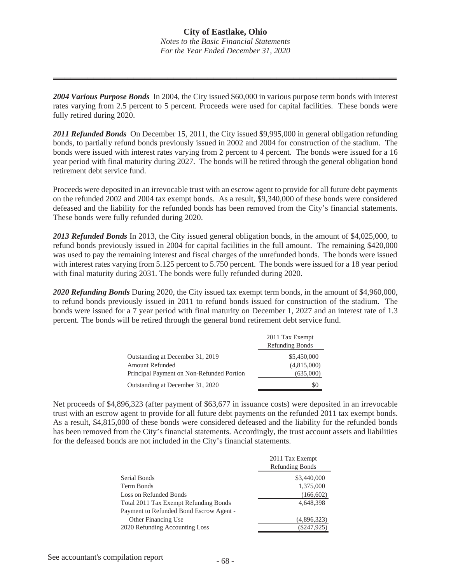*2004 Various Purpose Bonds* In 2004, the City issued \$60,000 in various purpose term bonds with interest rates varying from 2.5 percent to 5 percent. Proceeds were used for capital facilities. These bonds were fully retired during 2020.

*őőőőőőőőőőőőőőőőőőőőőőőőőőőőőőőőőőőőőőőőőőőőőőőőőőőőőőőőőőőő*

*2011 Refunded Bonds* On December 15, 2011, the City issued \$9,995,000 in general obligation refunding bonds, to partially refund bonds previously issued in 2002 and 2004 for construction of the stadium. The bonds were issued with interest rates varying from 2 percent to 4 percent. The bonds were issued for a 16 year period with final maturity during 2027. The bonds will be retired through the general obligation bond retirement debt service fund.

Proceeds were deposited in an irrevocable trust with an escrow agent to provide for all future debt payments on the refunded 2002 and 2004 tax exempt bonds. As a result, \$9,340,000 of these bonds were considered defeased and the liability for the refunded bonds has been removed from the City's financial statements. These bonds were fully refunded during 2020.

*2013 Refunded Bonds* In 2013, the City issued general obligation bonds, in the amount of \$4,025,000, to refund bonds previously issued in 2004 for capital facilities in the full amount. The remaining \$420,000 was used to pay the remaining interest and fiscal charges of the unrefunded bonds. The bonds were issued with interest rates varying from 5.125 percent to 5.750 percent. The bonds were issued for a 18 year period with final maturity during 2031. The bonds were fully refunded during 2020.

*2020 Refunding Bonds* During 2020, the City issued tax exempt term bonds, in the amount of \$4,960,000, to refund bonds previously issued in 2011 to refund bonds issued for construction of the stadium. The bonds were issued for a 7 year period with final maturity on December 1, 2027 and an interest rate of 1.3 percent. The bonds will be retired through the general bond retirement debt service fund.

|                                           | 2011 Tax Exempt<br><b>Refunding Bonds</b> |
|-------------------------------------------|-------------------------------------------|
| Outstanding at December 31, 2019          | \$5,450,000                               |
| Amount Refunded                           | (4,815,000)                               |
| Principal Payment on Non-Refunded Portion | (635,000)                                 |
| Outstanding at December 31, 2020          | 80                                        |

Net proceeds of \$4,896,323 (after payment of \$63,677 in issuance costs) were deposited in an irrevocable trust with an escrow agent to provide for all future debt payments on the refunded 2011 tax exempt bonds. As a result, \$4,815,000 of these bonds were considered defeased and the liability for the refunded bonds has been removed from the City's financial statements. Accordingly, the trust account assets and liabilities for the defeased bonds are not included in the City's financial statements.

|                                         | 2011 Tax Exempt<br>Refunding Bonds |
|-----------------------------------------|------------------------------------|
| Serial Bonds                            | \$3,440,000                        |
| Term Bonds                              | 1,375,000                          |
| Loss on Refunded Bonds                  | (166, 602)                         |
| Total 2011 Tax Exempt Refunding Bonds   | 4.648.398                          |
| Payment to Refunded Bond Escrow Agent - |                                    |
| Other Financing Use                     | (4,896,323)                        |
| 2020 Refunding Accounting Loss          | (S247.925)                         |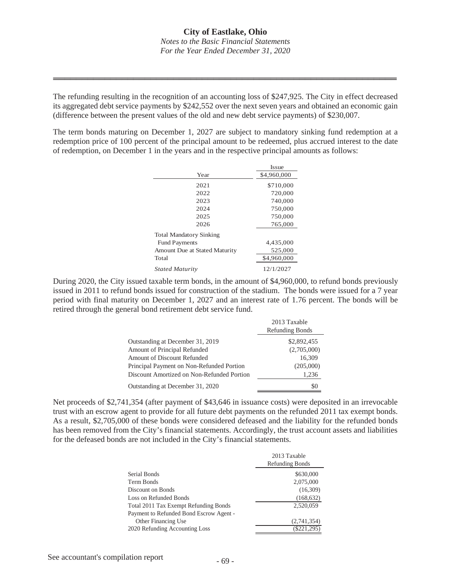*Notes to the Basic Financial Statements For the Year Ended December 31, 2020* 

The refunding resulting in the recognition of an accounting loss of \$247,925. The City in effect decreased its aggregated debt service payments by \$242,552 over the next seven years and obtained an economic gain (difference between the present values of the old and new debt service payments) of \$230,007.

*őőőőőőőőőőőőőőőőőőőőőőőőőőőőőőőőőőőőőőőőőőőőőőőőőőőőőőőőőőőő*

The term bonds maturing on December 1, 2027 are subject to mandatory sinking fund redemption at a redemption price of 100 percent of the principal amount to be redeemed, plus accrued interest to the date of redemption, on December 1 in the years and in the respective principal amounts as follows:

|                                | <b>Issue</b> |
|--------------------------------|--------------|
| Year                           | \$4,960,000  |
| 2021                           | \$710,000    |
| 2022                           | 720,000      |
| 2023                           | 740,000      |
| 2024                           | 750,000      |
| 2025                           | 750,000      |
| 2026                           | 765,000      |
| <b>Total Mandatory Sinking</b> |              |
| <b>Fund Payments</b>           | 4,435,000    |
| Amount Due at Stated Maturity  | 525,000      |
| Total                          | \$4,960,000  |
| <b>Stated Maturity</b>         | 12/1/2027    |

During 2020, the City issued taxable term bonds, in the amount of \$4,960,000, to refund bonds previously issued in 2011 to refund bonds issued for construction of the stadium. The bonds were issued for a 7 year period with final maturity on December 1, 2027 and an interest rate of 1.76 percent. The bonds will be retired through the general bond retirement debt service fund.

|                                            | 2013 Taxable<br>Refunding Bonds |
|--------------------------------------------|---------------------------------|
| Outstanding at December 31, 2019           | \$2,892,455                     |
| Amount of Principal Refunded               | (2,705,000)                     |
| Amount of Discount Refunded                | 16.309                          |
| Principal Payment on Non-Refunded Portion  | (205,000)                       |
| Discount Amortized on Non-Refunded Portion | 1,236                           |
| Outstanding at December 31, 2020           | SC                              |

Net proceeds of \$2,741,354 (after payment of \$43,646 in issuance costs) were deposited in an irrevocable trust with an escrow agent to provide for all future debt payments on the refunded 2011 tax exempt bonds. As a result, \$2,705,000 of these bonds were considered defeased and the liability for the refunded bonds has been removed from the City's financial statements. Accordingly, the trust account assets and liabilities for the defeased bonds are not included in the City's financial statements.

|                                         | 2013 Taxable<br>Refunding Bonds |
|-----------------------------------------|---------------------------------|
| Serial Bonds                            | \$630,000                       |
| Term Bonds                              | 2,075,000                       |
| Discount on Bonds                       | (16,309)                        |
| Loss on Refunded Bonds                  | (168, 632)                      |
| Total 2011 Tax Exempt Refunding Bonds   | 2,520,059                       |
| Payment to Refunded Bond Escrow Agent - |                                 |
| Other Financing Use                     | (2,741,354)                     |
| 2020 Refunding Accounting Loss          | $(\$221, 295)$                  |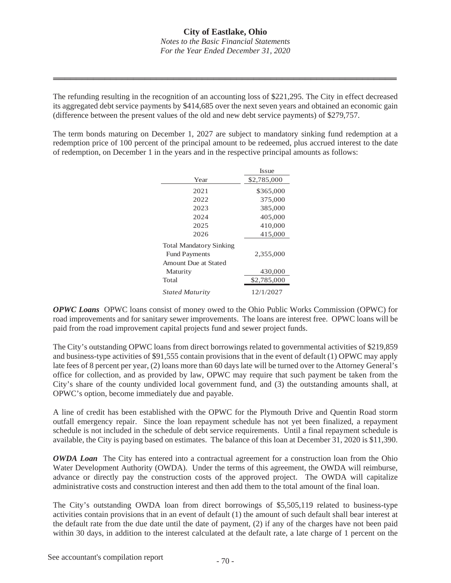*Notes to the Basic Financial Statements For the Year Ended December 31, 2020* 

The refunding resulting in the recognition of an accounting loss of \$221,295. The City in effect decreased its aggregated debt service payments by \$414,685 over the next seven years and obtained an economic gain (difference between the present values of the old and new debt service payments) of \$279,757.

*őőőőőőőőőőőőőőőőőőőőőőőőőőőőőőőőőőőőőőőőőőőőőőőőőőőőőőőőőőőő*

The term bonds maturing on December 1, 2027 are subject to mandatory sinking fund redemption at a redemption price of 100 percent of the principal amount to be redeemed, plus accrued interest to the date of redemption, on December 1 in the years and in the respective principal amounts as follows:

|                                | <b>Issue</b> |  |
|--------------------------------|--------------|--|
| Year                           | \$2,785,000  |  |
| 2021                           | \$365,000    |  |
| 2022                           | 375,000      |  |
| 2023                           | 385,000      |  |
| 2024                           | 405,000      |  |
| 2025                           | 410,000      |  |
| 2026                           | 415,000      |  |
| <b>Total Mandatory Sinking</b> |              |  |
| <b>Fund Payments</b>           | 2.355,000    |  |
| Amount Due at Stated           |              |  |
| Maturity                       | 430,000      |  |
| Total                          | \$2,785,000  |  |
| <b>Stated Maturity</b>         | 12/1/2027    |  |

*OPWC Loans* OPWC loans consist of money owed to the Ohio Public Works Commission (OPWC) for road improvements and for sanitary sewer improvements. The loans are interest free. OPWC loans will be paid from the road improvement capital projects fund and sewer project funds.

The City's outstanding OPWC loans from direct borrowings related to governmental activities of \$219,859 and business-type activities of \$91,555 contain provisions that in the event of default (1) OPWC may apply late fees of 8 percent per year, (2) loans more than 60 days late will be turned over to the Attorney General's office for collection, and as provided by law, OPWC may require that such payment be taken from the City's share of the county undivided local government fund, and (3) the outstanding amounts shall, at OPWC's option, become immediately due and payable.

A line of credit has been established with the OPWC for the Plymouth Drive and Quentin Road storm outfall emergency repair. Since the loan repayment schedule has not yet been finalized, a repayment schedule is not included in the schedule of debt service requirements. Until a final repayment schedule is available, the City is paying based on estimates. The balance of this loan at December 31, 2020 is \$11,390.

*OWDA Loan* The City has entered into a contractual agreement for a construction loan from the Ohio Water Development Authority (OWDA). Under the terms of this agreement, the OWDA will reimburse, advance or directly pay the construction costs of the approved project. The OWDA will capitalize administrative costs and construction interest and then add them to the total amount of the final loan.

The City's outstanding OWDA loan from direct borrowings of \$5,505,119 related to business-type activities contain provisions that in an event of default (1) the amount of such default shall bear interest at the default rate from the due date until the date of payment, (2) if any of the charges have not been paid within 30 days, in addition to the interest calculated at the default rate, a late charge of 1 percent on the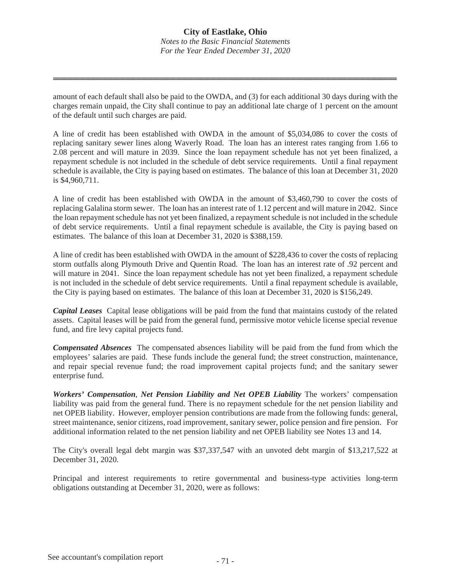amount of each default shall also be paid to the OWDA, and (3) for each additional 30 days during with the charges remain unpaid, the City shall continue to pay an additional late charge of 1 percent on the amount of the default until such charges are paid.

*őőőőőőőőőőőőőőőőőőőőőőőőőőőőőőőőőőőőőőőőőőőőőőőőőőőőőőőőőőőő*

A line of credit has been established with OWDA in the amount of \$5,034,086 to cover the costs of replacing sanitary sewer lines along Waverly Road. The loan has an interest rates ranging from 1.66 to 2.08 percent and will mature in 2039. Since the loan repayment schedule has not yet been finalized, a repayment schedule is not included in the schedule of debt service requirements. Until a final repayment schedule is available, the City is paying based on estimates. The balance of this loan at December 31, 2020 is \$4,960,711.

A line of credit has been established with OWDA in the amount of \$3,460,790 to cover the costs of replacing Galalina storm sewer. The loan has an interest rate of 1.12 percent and will mature in 2042. Since the loan repayment schedule has not yet been finalized, a repayment schedule is not included in the schedule of debt service requirements. Until a final repayment schedule is available, the City is paying based on estimates. The balance of this loan at December 31, 2020 is \$388,159.

A line of credit has been established with OWDA in the amount of \$228,436 to cover the costs of replacing storm outfalls along Plymouth Drive and Quentin Road. The loan has an interest rate of .92 percent and will mature in 2041. Since the loan repayment schedule has not yet been finalized, a repayment schedule is not included in the schedule of debt service requirements. Until a final repayment schedule is available, the City is paying based on estimates. The balance of this loan at December 31, 2020 is \$156,249.

*Capital Leases* Capital lease obligations will be paid from the fund that maintains custody of the related assets. Capital leases will be paid from the general fund, permissive motor vehicle license special revenue fund, and fire levy capital projects fund.

*Compensated Absences* The compensated absences liability will be paid from the fund from which the employees' salaries are paid. These funds include the general fund; the street construction, maintenance, and repair special revenue fund; the road improvement capital projects fund; and the sanitary sewer enterprise fund.

*Workers' Compensation*, *Net Pension Liability and Net OPEB Liability* The workers' compensation liability was paid from the general fund. There is no repayment schedule for the net pension liability and net OPEB liability. However, employer pension contributions are made from the following funds: general, street maintenance, senior citizens, road improvement, sanitary sewer, police pension and fire pension. For additional information related to the net pension liability and net OPEB liability see Notes 13 and 14.

The City's overall legal debt margin was \$37,337,547 with an unvoted debt margin of \$13,217,522 at December 31, 2020.

Principal and interest requirements to retire governmental and business-type activities long-term obligations outstanding at December 31, 2020, were as follows: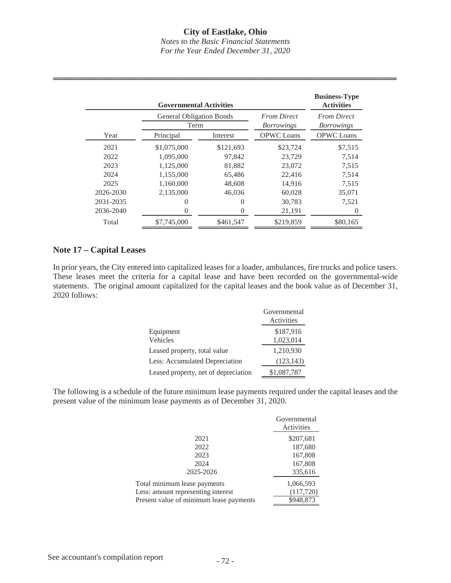*Notes to the Basic Financial Statements For the Year Ended December 31, 2020* 

*őőőőőőőőőőőőőőőőőőőőőőőőőőőőőőőőőőőőőőőőőőőőőőőőőőőőőőőőőőőő*

|           | <b>Business-Type</b><br><b>Activities</b> |           |                                         |                                         |
|-----------|-------------------------------------------|-----------|-----------------------------------------|-----------------------------------------|
|           | <b>General Obligation Bonds</b><br>Term   |           | <b>From Direct</b><br><i>Borrowings</i> | <b>From Direct</b><br><i>Borrowings</i> |
| Year      | Principal                                 | Interest  | <b>OPWC</b> Loans                       | <b>OPWC</b> Loans                       |
| 2021      | \$1,075,000                               | \$121,693 | \$23,724                                | \$7,515                                 |
| 2022      | 1,095,000                                 | 97,842    | 23,729                                  | 7,514                                   |
| 2023      | 1,125,000                                 | 81,882    | 23,072                                  | 7,515                                   |
| 2024      | 1,155,000                                 | 65,486    | 22,416                                  | 7,514                                   |
| 2025      | 1.160.000                                 | 48,608    | 14.916                                  | 7,515                                   |
| 2026-2030 | 2,135,000                                 | 46,036    | 60,028                                  | 35,071                                  |
| 2031-2035 |                                           | 0         | 30,783                                  | 7,521                                   |
| 2036-2040 |                                           | 0         | 21,191                                  |                                         |
| Total     | \$7,745,000                               | \$461,547 | \$219,859                               | \$80,165                                |

# **Note 17 – Capital Leases**

In prior years, the City entered into capitalized leases for a loader, ambulances, fire trucks and police tasers. These leases meet the criteria for a capital lease and have been recorded on the governmental-wide statements. The original amount capitalized for the capital leases and the book value as of December 31, 2020 follows:

|                                      | Governmental |
|--------------------------------------|--------------|
|                                      | Activities   |
| Equipment                            | \$187,916    |
| Vehicles                             | 1,023,014    |
| Leased property, total value         | 1,210,930    |
| Less: Accumulated Depreciation       | (123, 143)   |
| Leased property, net of depreciation | \$1,087,787  |

The following is a schedule of the future minimum lease payments required under the capital leases and the present value of the minimum lease payments as of December 31, 2020.

|                                         | Governmental<br>Activities |
|-----------------------------------------|----------------------------|
| 2021                                    | \$207,681                  |
| 2022                                    | 187,680                    |
| 2023                                    | 167,808                    |
| 2024                                    | 167,808                    |
| 2025-2026                               | 335,616                    |
| Total minimum lease payments            | 1,066,593                  |
| Less: amount representing interest      | (117,720)                  |
| Present value of minimum lease payments | \$948,873                  |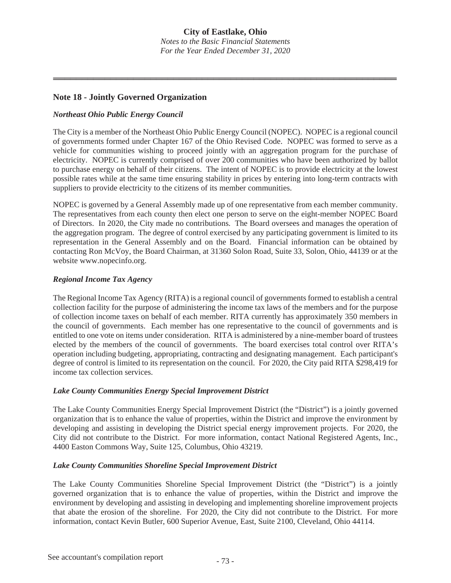# **Note 18 - Jointly Governed Organization**

### *Northeast Ohio Public Energy Council*

The City is a member of the Northeast Ohio Public Energy Council (NOPEC). NOPEC is a regional council of governments formed under Chapter 167 of the Ohio Revised Code. NOPEC was formed to serve as a vehicle for communities wishing to proceed jointly with an aggregation program for the purchase of electricity. NOPEC is currently comprised of over 200 communities who have been authorized by ballot to purchase energy on behalf of their citizens. The intent of NOPEC is to provide electricity at the lowest possible rates while at the same time ensuring stability in prices by entering into long-term contracts with suppliers to provide electricity to the citizens of its member communities.

NOPEC is governed by a General Assembly made up of one representative from each member community. The representatives from each county then elect one person to serve on the eight-member NOPEC Board of Directors. In 2020, the City made no contributions. The Board oversees and manages the operation of the aggregation program. The degree of control exercised by any participating government is limited to its representation in the General Assembly and on the Board. Financial information can be obtained by contacting Ron McVoy, the Board Chairman, at 31360 Solon Road, Suite 33, Solon, Ohio, 44139 or at the website www.nopecinfo.org.

## *Regional Income Tax Agency*

The Regional Income Tax Agency (RITA) is a regional council of governments formed to establish a central collection facility for the purpose of administering the income tax laws of the members and for the purpose of collection income taxes on behalf of each member. RITA currently has approximately 350 members in the council of governments. Each member has one representative to the council of governments and is entitled to one vote on items under consideration. RITA is administered by a nine-member board of trustees elected by the members of the council of governments. The board exercises total control over RITA's operation including budgeting, appropriating, contracting and designating management. Each participant's degree of control is limited to its representation on the council. For 2020, the City paid RITA \$298,419 for income tax collection services.

### *Lake County Communities Energy Special Improvement District*

The Lake County Communities Energy Special Improvement District (the "District") is a jointly governed organization that is to enhance the value of properties, within the District and improve the environment by developing and assisting in developing the District special energy improvement projects. For 2020, the City did not contribute to the District. For more information, contact National Registered Agents, Inc., 4400 Easton Commons Way, Suite 125, Columbus, Ohio 43219.

### *Lake County Communities Shoreline Special Improvement District*

The Lake County Communities Shoreline Special Improvement District (the "District") is a jointly governed organization that is to enhance the value of properties, within the District and improve the environment by developing and assisting in developing and implementing shoreline improvement projects that abate the erosion of the shoreline. For 2020, the City did not contribute to the District. For more information, contact Kevin Butler, 600 Superior Avenue, East, Suite 2100, Cleveland, Ohio 44114.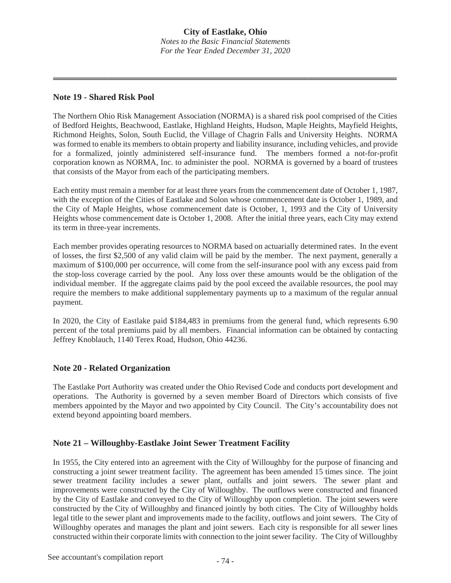## **Note 19 - Shared Risk Pool**

The Northern Ohio Risk Management Association (NORMA) is a shared risk pool comprised of the Cities of Bedford Heights, Beachwood, Eastlake, Highland Heights, Hudson, Maple Heights, Mayfield Heights, Richmond Heights, Solon, South Euclid, the Village of Chagrin Falls and University Heights. NORMA was formed to enable its members to obtain property and liability insurance, including vehicles, and provide for a formalized, jointly administered self-insurance fund. The members formed a not-for-profit corporation known as NORMA, Inc. to administer the pool. NORMA is governed by a board of trustees that consists of the Mayor from each of the participating members.

Each entity must remain a member for at least three years from the commencement date of October 1, 1987, with the exception of the Cities of Eastlake and Solon whose commencement date is October 1, 1989, and the City of Maple Heights, whose commencement date is October, 1, 1993 and the City of University Heights whose commencement date is October 1, 2008. After the initial three years, each City may extend its term in three-year increments.

Each member provides operating resources to NORMA based on actuarially determined rates. In the event of losses, the first \$2,500 of any valid claim will be paid by the member. The next payment, generally a maximum of \$100,000 per occurrence, will come from the self-insurance pool with any excess paid from the stop-loss coverage carried by the pool. Any loss over these amounts would be the obligation of the individual member. If the aggregate claims paid by the pool exceed the available resources, the pool may require the members to make additional supplementary payments up to a maximum of the regular annual payment.

In 2020, the City of Eastlake paid \$184,483 in premiums from the general fund, which represents 6.90 percent of the total premiums paid by all members. Financial information can be obtained by contacting Jeffrey Knoblauch, 1140 Terex Road, Hudson, Ohio 44236.

# **Note 20 - Related Organization**

The Eastlake Port Authority was created under the Ohio Revised Code and conducts port development and operations. The Authority is governed by a seven member Board of Directors which consists of five members appointed by the Mayor and two appointed by City Council. The City's accountability does not extend beyond appointing board members.

# **Note 21 – Willoughby-Eastlake Joint Sewer Treatment Facility**

In 1955, the City entered into an agreement with the City of Willoughby for the purpose of financing and constructing a joint sewer treatment facility. The agreement has been amended 15 times since. The joint sewer treatment facility includes a sewer plant, outfalls and joint sewers. The sewer plant and improvements were constructed by the City of Willoughby. The outflows were constructed and financed by the City of Eastlake and conveyed to the City of Willoughby upon completion. The joint sewers were constructed by the City of Willoughby and financed jointly by both cities. The City of Willoughby holds legal title to the sewer plant and improvements made to the facility, outflows and joint sewers. The City of Willoughby operates and manages the plant and joint sewers. Each city is responsible for all sewer lines constructed within their corporate limits with connection to the joint sewer facility. The City of Willoughby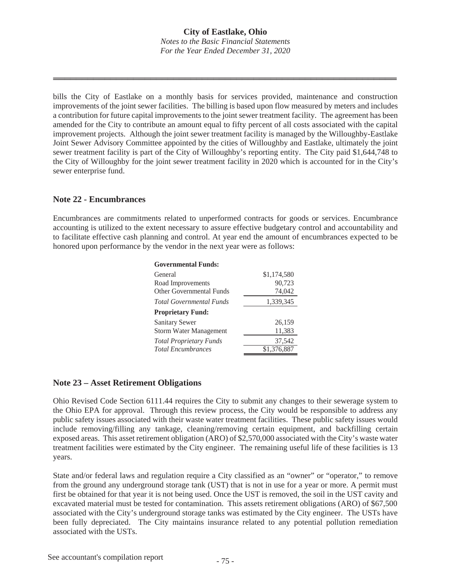### **City of Eastlake, Ohio** *Notes to the Basic Financial Statements For the Year Ended December 31, 2020*

*őőőőőőőőőőőőőőőőőőőőőőőőőőőőőőőőőőőőőőőőőőőőőőőőőőőőőőőőőőőő*

bills the City of Eastlake on a monthly basis for services provided, maintenance and construction improvements of the joint sewer facilities. The billing is based upon flow measured by meters and includes a contribution for future capital improvements to the joint sewer treatment facility. The agreement has been amended for the City to contribute an amount equal to fifty percent of all costs associated with the capital improvement projects. Although the joint sewer treatment facility is managed by the Willoughby-Eastlake Joint Sewer Advisory Committee appointed by the cities of Willoughby and Eastlake, ultimately the joint sewer treatment facility is part of the City of Willoughby's reporting entity. The City paid \$1,644,748 to the City of Willoughby for the joint sewer treatment facility in 2020 which is accounted for in the City's sewer enterprise fund.

# **Note 22 - Encumbrances**

Encumbrances are commitments related to unperformed contracts for goods or services. Encumbrance accounting is utilized to the extent necessary to assure effective budgetary control and accountability and to facilitate effective cash planning and control. At year end the amount of encumbrances expected to be honored upon performance by the vendor in the next year were as follows:

| <b>Governmental Funds:</b>      |             |
|---------------------------------|-------------|
| General                         | \$1,174,580 |
| Road Improvements               | 90,723      |
| Other Governmental Funds        | 74,042      |
| <b>Total Governmental Funds</b> | 1,339,345   |
| <b>Proprietary Fund:</b>        |             |
| <b>Sanitary Sewer</b>           | 26,159      |
| <b>Storm Water Management</b>   | 11,383      |
| <b>Total Proprietary Funds</b>  | 37,542      |
| <b>Total Encumbrances</b>       | \$1,376,887 |

# **Note 23 – Asset Retirement Obligations**

Ohio Revised Code Section 6111.44 requires the City to submit any changes to their sewerage system to the Ohio EPA for approval. Through this review process, the City would be responsible to address any public safety issues associated with their waste water treatment facilities. These public safety issues would include removing/filling any tankage, cleaning/removing certain equipment, and backfilling certain exposed areas. This asset retirement obligation (ARO) of \$2,570,000 associated with the City's waste water treatment facilities were estimated by the City engineer. The remaining useful life of these facilities is 13 years.

State and/or federal laws and regulation require a City classified as an "owner" or "operator," to remove from the ground any underground storage tank (UST) that is not in use for a year or more. A permit must first be obtained for that year it is not being used. Once the UST is removed, the soil in the UST cavity and excavated material must be tested for contamination. This assets retirement obligations (ARO) of \$67,500 associated with the City's underground storage tanks was estimated by the City engineer. The USTs have been fully depreciated. The City maintains insurance related to any potential pollution remediation associated with the USTs.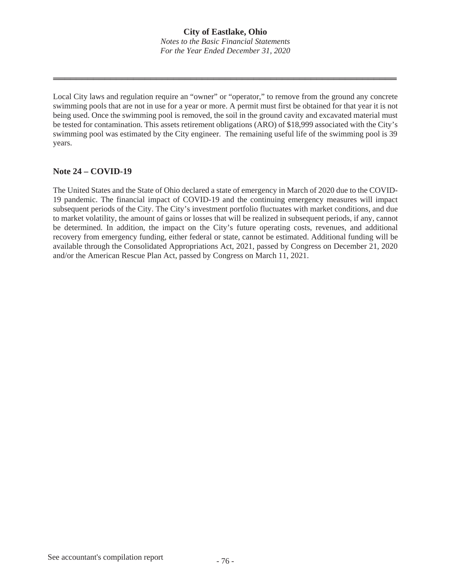Local City laws and regulation require an "owner" or "operator," to remove from the ground any concrete swimming pools that are not in use for a year or more. A permit must first be obtained for that year it is not being used. Once the swimming pool is removed, the soil in the ground cavity and excavated material must be tested for contamination. This assets retirement obligations (ARO) of \$18,999 associated with the City's swimming pool was estimated by the City engineer. The remaining useful life of the swimming pool is 39 years.

# **Note 24 – COVID-19**

The United States and the State of Ohio declared a state of emergency in March of 2020 due to the COVID-19 pandemic. The financial impact of COVID-19 and the continuing emergency measures will impact subsequent periods of the City. The City's investment portfolio fluctuates with market conditions, and due to market volatility, the amount of gains or losses that will be realized in subsequent periods, if any, cannot be determined. In addition, the impact on the City's future operating costs, revenues, and additional recovery from emergency funding, either federal or state, cannot be estimated. Additional funding will be available through the Consolidated Appropriations Act, 2021, passed by Congress on December 21, 2020 and/or the American Rescue Plan Act, passed by Congress on March 11, 2021.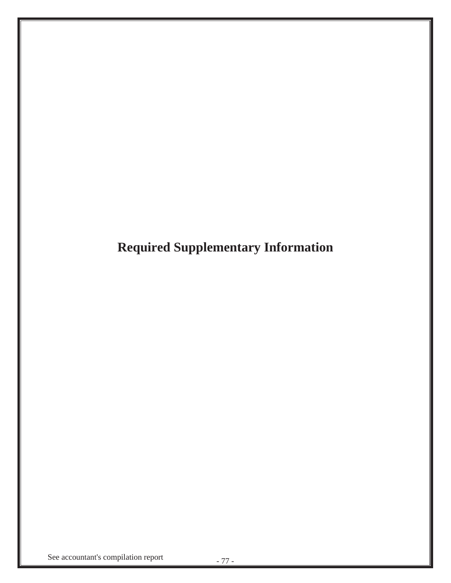**Required Supplementary Information**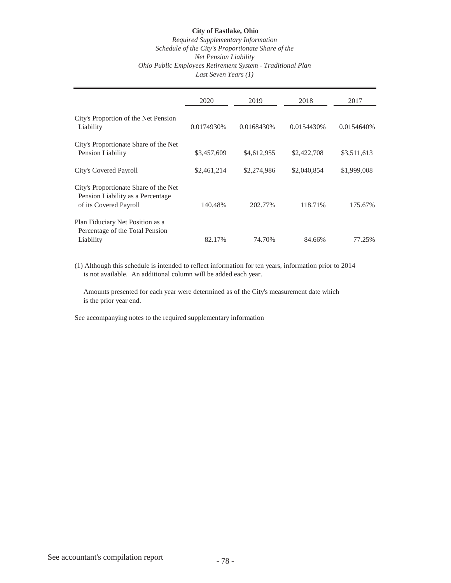#### *Last Seven Years (1) Required Supplementary Information Schedule of the City's Proportionate Share of the Net Pension Liability Ohio Public Employees Retirement System - Traditional Plan*

|                                                                                                      | 2020        | 2019        | 2018        | 2017        |
|------------------------------------------------------------------------------------------------------|-------------|-------------|-------------|-------------|
| City's Proportion of the Net Pension<br>Liability                                                    | 0.0174930\% | 0.0168430\% | 0.0154430\% | 0.0154640\% |
| City's Proportionate Share of the Net<br>Pension Liability                                           | \$3,457,609 | \$4,612,955 | \$2,422,708 | \$3,511,613 |
| City's Covered Payroll                                                                               | \$2,461,214 | \$2,274,986 | \$2,040,854 | \$1,999,008 |
| City's Proportionate Share of the Net<br>Pension Liability as a Percentage<br>of its Covered Payroll | 140.48%     | 202.77%     | 118.71%     | 175.67%     |
| Plan Fiduciary Net Position as a<br>Percentage of the Total Pension<br>Liability                     | 82.17%      | 74.70%      | 84.66%      | 77.25%      |

(1) Although this schedule is intended to reflect information for ten years, information prior to 2014 is not available. An additional column will be added each year.

 Amounts presented for each year were determined as of the City's measurement date which is the prior year end.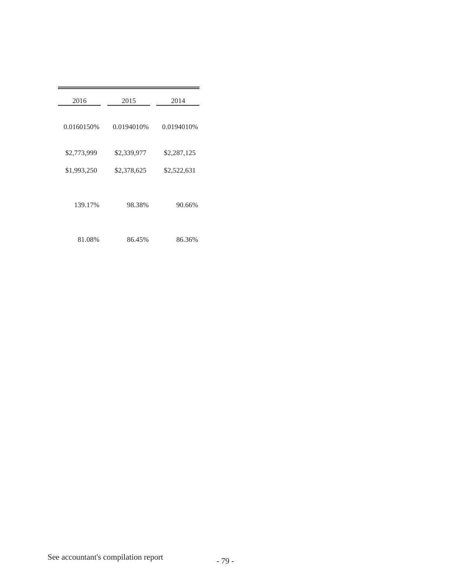| 2016        | 2015        | 2014        |
|-------------|-------------|-------------|
| 0.0160150%  | 0.0194010%  | 0.0194010%  |
| \$2,773,999 | \$2,339,977 | \$2,287,125 |
| \$1,993,250 | \$2,378,625 | \$2,522,631 |
| 139.17%     | 98.38%      | 90.66%      |
| 81.08%      | 86.45%      | 86.36%      |

 $\overline{\phantom{a}}$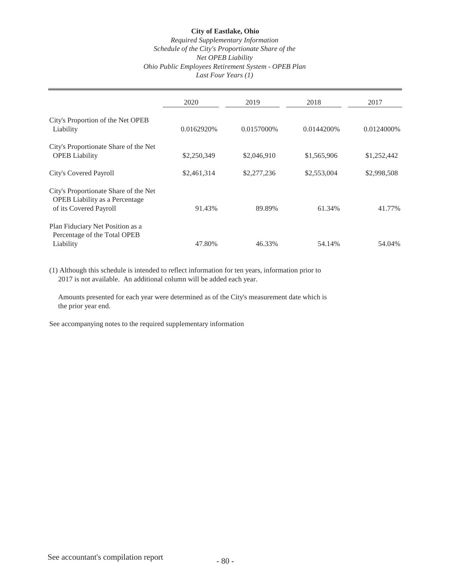#### *Last Four Years (1) Required Supplementary Information Schedule of the City's Proportionate Share of the Net OPEB Liability Ohio Public Employees Retirement System - OPEB Plan*

|                                                                                                          | 2020        | 2019        | 2018        | 2017        |
|----------------------------------------------------------------------------------------------------------|-------------|-------------|-------------|-------------|
| City's Proportion of the Net OPEB<br>Liability                                                           | 0.0162920\% | 0.0157000%  | 0.0144200\% | 0.0124000\% |
| City's Proportionate Share of the Net<br><b>OPEB</b> Liability                                           | \$2,250,349 | \$2,046,910 | \$1,565,906 | \$1,252,442 |
| City's Covered Payroll                                                                                   | \$2,461,314 | \$2,277,236 | \$2,553,004 | \$2,998,508 |
| City's Proportionate Share of the Net<br><b>OPEB</b> Liability as a Percentage<br>of its Covered Payroll | 91.43%      | 89.89%      | 61.34%      | 41.77%      |
| Plan Fiduciary Net Position as a<br>Percentage of the Total OPEB<br>Liability                            | 47.80%      | 46.33%      | 54.14%      | 54.04%      |

(1) Although this schedule is intended to reflect information for ten years, information prior to 2017 is not available. An additional column will be added each year.

 Amounts presented for each year were determined as of the City's measurement date which is the prior year end.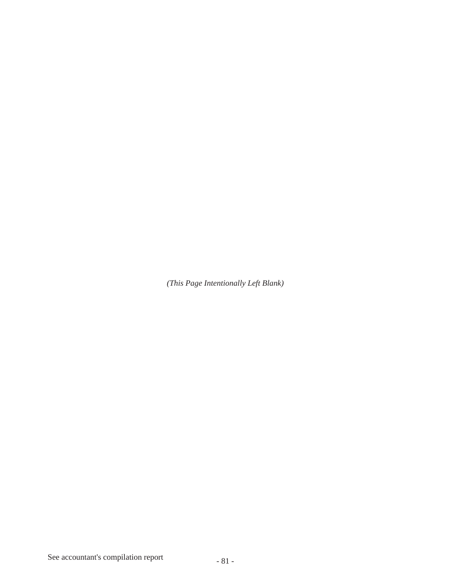*(This Page Intentionally Left Blank)*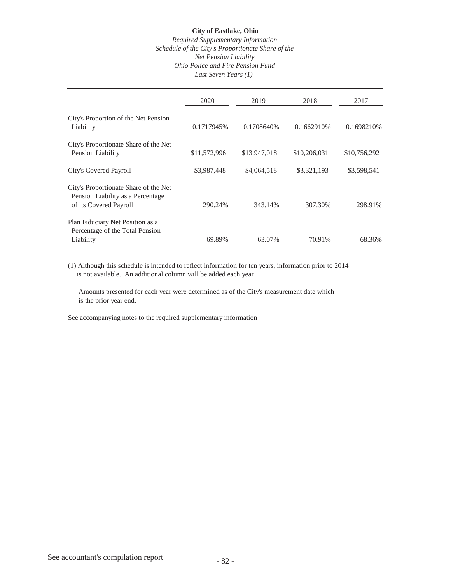#### *Last Seven Years (1) Required Supplementary Information Schedule of the City's Proportionate Share of the Net Pension Liability Ohio Police and Fire Pension Fund*

|                                                                                                      | 2020         | 2019         | 2018         | 2017         |
|------------------------------------------------------------------------------------------------------|--------------|--------------|--------------|--------------|
| City's Proportion of the Net Pension<br>Liability                                                    | 0.1717945%   | 0.1708640\%  | 0.1662910%   | 0.1698210\%  |
| City's Proportionate Share of the Net<br>Pension Liability                                           | \$11,572,996 | \$13,947,018 | \$10,206,031 | \$10,756,292 |
| City's Covered Payroll                                                                               | \$3,987,448  | \$4,064,518  | \$3,321,193  | \$3,598,541  |
| City's Proportionate Share of the Net<br>Pension Liability as a Percentage<br>of its Covered Payroll | 290.24%      | 343.14%      | 307.30%      | 298.91%      |
| Plan Fiduciary Net Position as a<br>Percentage of the Total Pension<br>Liability                     | 69.89%       | 63.07%       | 70.91%       | 68.36%       |

(1) Although this schedule is intended to reflect information for ten years, information prior to 2014 is not available. An additional column will be added each year

 Amounts presented for each year were determined as of the City's measurement date which is the prior year end.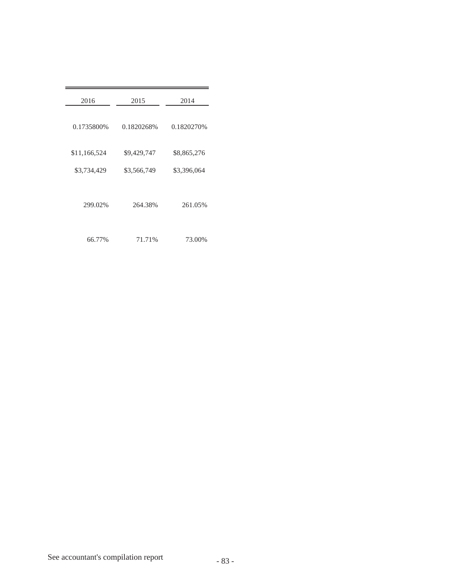| 2016         | 2015        | 2014        |
|--------------|-------------|-------------|
| 0.1735800%   | 0.1820268%  | 0.1820270%  |
| \$11,166,524 | \$9,429,747 | \$8,865,276 |
| \$3,734,429  | \$3,566,749 | \$3,396,064 |
| 299.02%      | 264.38%     | 261.05%     |
| 66.77%       | 71.71%      | 73.00%      |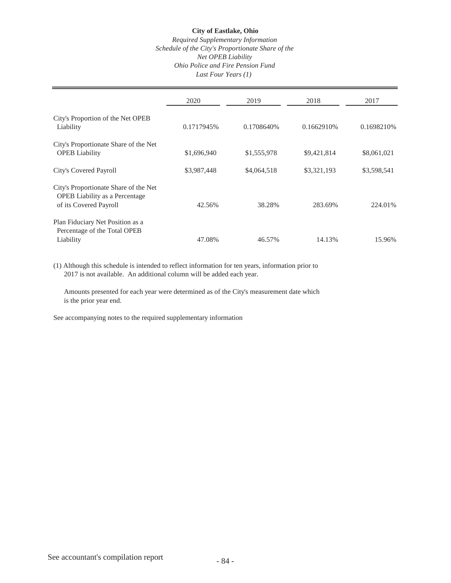#### *Last Four Years (1) Required Supplementary Information Schedule of the City's Proportionate Share of the Net OPEB Liability Ohio Police and Fire Pension Fund*

|                                                                                                          | 2020        | 2019        | 2018        | 2017        |
|----------------------------------------------------------------------------------------------------------|-------------|-------------|-------------|-------------|
| City's Proportion of the Net OPEB<br>Liability                                                           | 0.1717945%  | 0.1708640%  | 0.1662910%  | 0.1698210\% |
| City's Proportionate Share of the Net<br><b>OPEB</b> Liability                                           | \$1,696,940 | \$1,555,978 | \$9,421,814 | \$8,061,021 |
| City's Covered Payroll                                                                                   | \$3,987,448 | \$4,064,518 | \$3,321,193 | \$3,598,541 |
| City's Proportionate Share of the Net<br><b>OPEB</b> Liability as a Percentage<br>of its Covered Payroll | 42.56%      | 38.28%      | 283.69%     | 224.01%     |
| Plan Fiduciary Net Position as a<br>Percentage of the Total OPEB<br>Liability                            | 47.08%      | 46.57%      | 14.13%      | 15.96%      |

(1) Although this schedule is intended to reflect information for ten years, information prior to 2017 is not available. An additional column will be added each year.

 Amounts presented for each year were determined as of the City's measurement date which is the prior year end.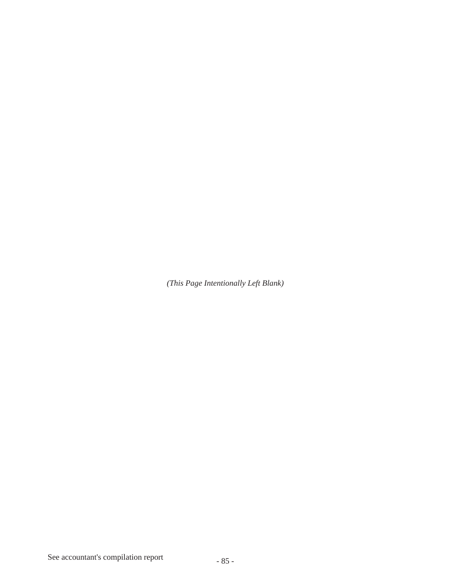*(This Page Intentionally Left Blank)*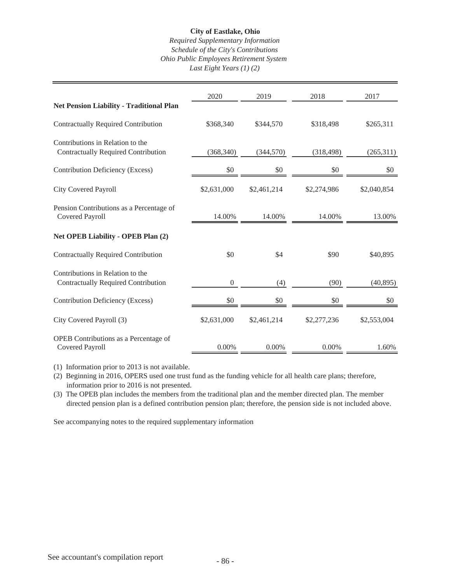### *Required Supplementary Information Schedule of the City's Contributions Ohio Public Employees Retirement System Last Eight Years (1) (2)*

|                                                                                | 2020        | 2019        | 2018        | 2017        |
|--------------------------------------------------------------------------------|-------------|-------------|-------------|-------------|
| <b>Net Pension Liability - Traditional Plan</b>                                |             |             |             |             |
| <b>Contractually Required Contribution</b>                                     | \$368,340   | \$344,570   | \$318,498   | \$265,311   |
| Contributions in Relation to the<br><b>Contractually Required Contribution</b> | (368, 340)  | (344, 570)  | (318, 498)  | (265,311)   |
| Contribution Deficiency (Excess)                                               | \$0         | \$0         | \$0         | \$0         |
| <b>City Covered Payroll</b>                                                    | \$2,631,000 | \$2,461,214 | \$2,274,986 | \$2,040,854 |
| Pension Contributions as a Percentage of<br>Covered Payroll                    | 14.00%      | 14.00%      | 14.00%      | 13.00%      |
| Net OPEB Liability - OPEB Plan (2)                                             |             |             |             |             |
| <b>Contractually Required Contribution</b>                                     | \$0         | \$4         | \$90        | \$40,895    |
| Contributions in Relation to the<br><b>Contractually Required Contribution</b> | $\Omega$    | (4)         | (90)        | (40, 895)   |
| Contribution Deficiency (Excess)                                               | \$0         | \$0         | \$0         | \$0         |
| City Covered Payroll (3)                                                       | \$2,631,000 | \$2,461,214 | \$2,277,236 | \$2,553,004 |
| OPEB Contributions as a Percentage of<br><b>Covered Payroll</b>                | 0.00%       | $0.00\%$    | 0.00%       | 1.60%       |

(1) Information prior to 2013 is not available.

(2) Beginning in 2016, OPERS used one trust fund as the funding vehicle for all health care plans; therefore, information prior to 2016 is not presented.

(3) The OPEB plan includes the members from the traditional plan and the member directed plan. The member directed pension plan is a defined contribution pension plan; therefore, the pension side is not included above.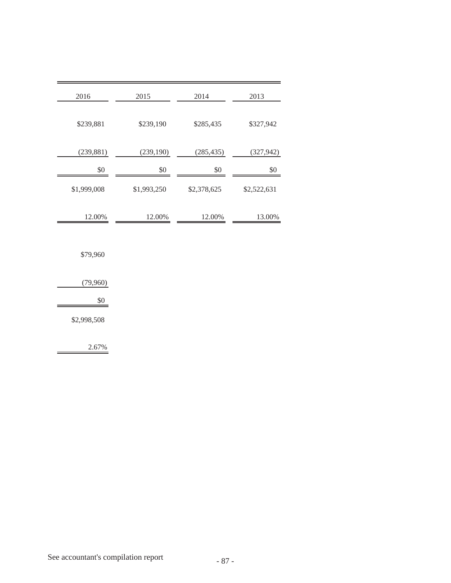| 2016        | 2015        | 2014        | 2013        |
|-------------|-------------|-------------|-------------|
| \$239,881   | \$239,190   | \$285,435   | \$327,942   |
| (239, 881)  | (239, 190)  | (285, 435)  | (327, 942)  |
| \$0         | \$0         | \$0         | \$0         |
| \$1,999,008 | \$1,993,250 | \$2,378,625 | \$2,522,631 |
| 12.00%      | 12.00%      | 12.00%      | 13.00%      |

\$79,960

(79,960)

\$0

\$2,998,508

2.67%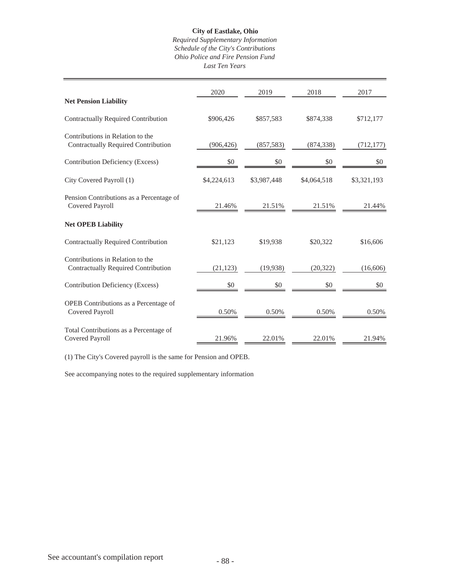#### *Required Supplementary Information Schedule of the City's Contributions Ohio Police and Fire Pension Fund*

*Last Ten Years*

|                                                                                | 2020        | 2019        | 2018        | 2017        |
|--------------------------------------------------------------------------------|-------------|-------------|-------------|-------------|
| <b>Net Pension Liability</b>                                                   |             |             |             |             |
| <b>Contractually Required Contribution</b>                                     | \$906,426   | \$857,583   | \$874,338   | \$712,177   |
| Contributions in Relation to the<br><b>Contractually Required Contribution</b> | (906, 426)  | (857, 583)  | (874, 338)  | (712, 177)  |
| Contribution Deficiency (Excess)                                               | \$0         | \$0         | \$0         | \$0         |
| City Covered Payroll (1)                                                       | \$4,224,613 | \$3,987,448 | \$4,064,518 | \$3,321,193 |
| Pension Contributions as a Percentage of<br>Covered Payroll                    | 21.46%      | 21.51%      | 21.51%      | 21.44%      |
| <b>Net OPEB Liability</b>                                                      |             |             |             |             |
| <b>Contractually Required Contribution</b>                                     | \$21,123    | \$19,938    | \$20,322    | \$16,606    |
| Contributions in Relation to the<br>Contractually Required Contribution        | (21, 123)   | (19,938)    | (20, 322)   | (16,606)    |
| Contribution Deficiency (Excess)                                               | \$0         | \$0         | \$0         | \$0         |
| OPEB Contributions as a Percentage of<br>Covered Payroll                       | 0.50%       | 0.50%       | 0.50%       | 0.50%       |
| Total Contributions as a Percentage of<br>Covered Payroll                      | 21.96%      | 22.01%      | 22.01%      | 21.94%      |

(1) The City's Covered payroll is the same for Pension and OPEB.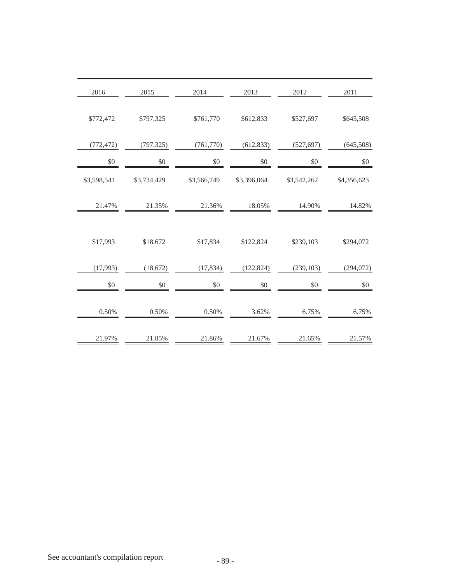| 2016        | 2015        | 2014        | 2013        | 2012        | 2011        |
|-------------|-------------|-------------|-------------|-------------|-------------|
| \$772,472   | \$797,325   | \$761,770   | \$612,833   | \$527,697   | \$645,508   |
| (772, 472)  | (797, 325)  | (761, 770)  | (612, 833)  | (527, 697)  | (645,508)   |
| $\$0$       | \$0         | \$0         | \$0         | $\$0$       | \$0         |
| \$3,598,541 | \$3,734,429 | \$3,566,749 | \$3,396,064 | \$3,542,262 | \$4,356,623 |
| 21.47%      | 21.35%      | 21.36%      | 18.05%      | 14.90%      | 14.82%      |
| \$17,993    | \$18,672    | \$17,834    | \$122,824   | \$239,103   | \$294,072   |
| (17,993)    | (18,672)    | (17, 834)   | (122, 824)  | (239, 103)  | (294, 072)  |
| \$0         | \$0         | \$0         | \$0         | \$0         | \$0         |
| 0.50%       | 0.50%       | 0.50%       | 3.62%       | 6.75%       | 6.75%       |
| 21.97%      | 21.85%      | 21.86%      | 21.67%      | 21.65%      | 21.57%      |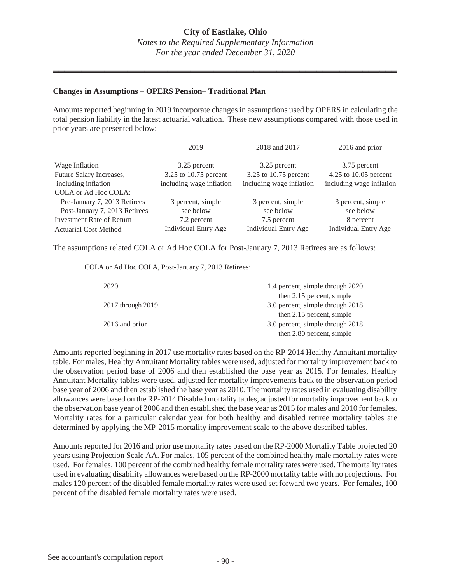### **Changes in Assumptions – OPERS Pension– Traditional Plan**

Amounts reported beginning in 2019 incorporate changes in assumptions used by OPERS in calculating the total pension liability in the latest actuarial valuation. These new assumptions compared with those used in prior years are presented below:

|                                  | 2019                        | 2018 and 2017               | 2016 and prior              |
|----------------------------------|-----------------------------|-----------------------------|-----------------------------|
|                                  |                             |                             |                             |
| Wage Inflation                   | 3.25 percent                | 3.25 percent                | 3.75 percent                |
| Future Salary Increases,         | 3.25 to 10.75 percent       | 3.25 to 10.75 percent       | $4.25$ to 10.05 percent     |
| including inflation              | including wage inflation    | including wage inflation    | including wage inflation    |
| COLA or Ad Hoc COLA:             |                             |                             |                             |
| Pre-January 7, 2013 Retirees     | 3 percent, simple           | 3 percent, simple           | 3 percent, simple           |
| Post-January 7, 2013 Retirees    | see below                   | see below                   | see below                   |
| <b>Investment Rate of Return</b> | 7.2 percent                 | 7.5 percent                 | 8 percent                   |
| <b>Actuarial Cost Method</b>     | <b>Individual Entry Age</b> | <b>Individual Entry Age</b> | <b>Individual Entry Age</b> |

The assumptions related COLA or Ad Hoc COLA for Post-January 7, 2013 Retirees are as follows:

COLA or Ad Hoc COLA, Post-January 7, 2013 Retirees:

| 2020              | 1.4 percent, simple through 2020                              |
|-------------------|---------------------------------------------------------------|
| 2017 through 2019 | then 2.15 percent, simple<br>3.0 percent, simple through 2018 |
|                   | then 2.15 percent, simple                                     |
| 2016 and prior    | 3.0 percent, simple through 2018                              |
|                   | then 2.80 percent, simple                                     |

Amounts reported beginning in 2017 use mortality rates based on the RP-2014 Healthy Annuitant mortality table. For males, Healthy Annuitant Mortality tables were used, adjusted for mortality improvement back to the observation period base of 2006 and then established the base year as 2015. For females, Healthy Annuitant Mortality tables were used, adjusted for mortality improvements back to the observation period base year of 2006 and then established the base year as 2010. The mortality rates used in evaluating disability allowances were based on the RP-2014 Disabled mortality tables, adjusted for mortality improvement back to the observation base year of 2006 and then established the base year as 2015 for males and 2010 for females. Mortality rates for a particular calendar year for both healthy and disabled retiree mortality tables are determined by applying the MP-2015 mortality improvement scale to the above described tables.

Amounts reported for 2016 and prior use mortality rates based on the RP-2000 Mortality Table projected 20 years using Projection Scale AA. For males, 105 percent of the combined healthy male mortality rates were used. For females, 100 percent of the combined healthy female mortality rates were used. The mortality rates used in evaluating disability allowances were based on the RP-2000 mortality table with no projections. For males 120 percent of the disabled female mortality rates were used set forward two years. For females, 100 percent of the disabled female mortality rates were used.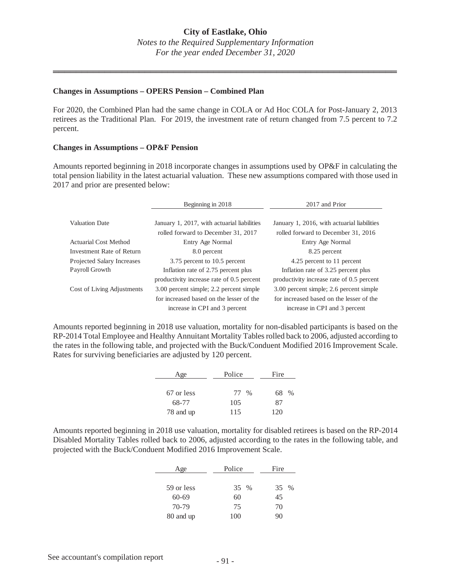### **Changes in Assumptions – OPERS Pension – Combined Plan**

For 2020, the Combined Plan had the same change in COLA or Ad Hoc COLA for Post-January 2, 2013 retirees as the Traditional Plan. For 2019, the investment rate of return changed from 7.5 percent to 7.2 percent.

#### **Changes in Assumptions – OP&F Pension**

Amounts reported beginning in 2018 incorporate changes in assumptions used by OP&F in calculating the total pension liability in the latest actuarial valuation. These new assumptions compared with those used in 2017 and prior are presented below:

|                              | Beginning in 2018                           | 2017 and Prior                              |
|------------------------------|---------------------------------------------|---------------------------------------------|
| <b>Valuation Date</b>        | January 1, 2017, with actuarial liabilities | January 1, 2016, with actuarial liabilities |
|                              | rolled forward to December 31, 2017         | rolled forward to December 31, 2016         |
| <b>Actuarial Cost Method</b> | Entry Age Normal                            | Entry Age Normal                            |
| Investment Rate of Return    | 8.0 percent                                 | 8.25 percent                                |
| Projected Salary Increases   | 3.75 percent to 10.5 percent                | 4.25 percent to 11 percent                  |
| Payroll Growth               | Inflation rate of 2.75 percent plus         | Inflation rate of 3.25 percent plus         |
|                              | productivity increase rate of 0.5 percent   | productivity increase rate of 0.5 percent   |
| Cost of Living Adjustments   | 3.00 percent simple; 2.2 percent simple     | 3.00 percent simple; 2.6 percent simple     |
|                              | for increased based on the lesser of the    | for increased based on the lesser of the    |
|                              | increase in CPI and 3 percent               | increase in CPI and 3 percent               |

Amounts reported beginning in 2018 use valuation, mortality for non-disabled participants is based on the RP-2014 Total Employee and Healthy Annuitant Mortality Tables rolled back to 2006, adjusted according to the rates in the following table, and projected with the Buck/Conduent Modified 2016 Improvement Scale. Rates for surviving beneficiaries are adjusted by 120 percent.

| Age        | Police | Fire        |
|------------|--------|-------------|
|            |        |             |
| 67 or less | 77 %   | 68.<br>$\%$ |
| 68-77      | 105    | 87          |
| 78 and up  | 115    | 120         |

Amounts reported beginning in 2018 use valuation, mortality for disabled retirees is based on the RP-2014 Disabled Mortality Tables rolled back to 2006, adjusted according to the rates in the following table, and projected with the Buck/Conduent Modified 2016 Improvement Scale.

| Age        | Police | Fire |  |
|------------|--------|------|--|
|            |        |      |  |
| 59 or less | $35\%$ | 35 % |  |
| $60 - 69$  | 60     | 45   |  |
| $70-79$    | 75     | 70   |  |
| 80 and up  | 100    | 90   |  |